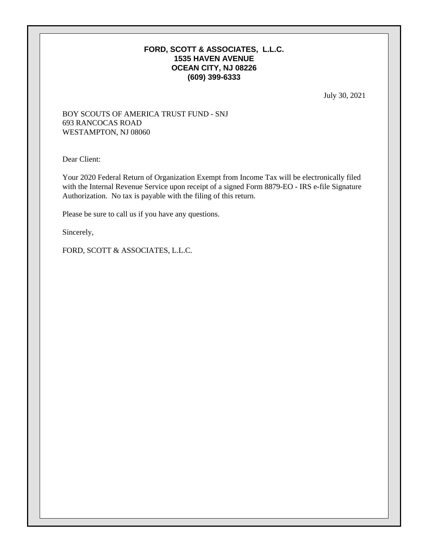### **FORD, SCOTT & ASSOCIATES, L.L.C. 1535 HAVEN AVENUE OCEAN CITY, NJ 08226 (609) 399-6333**

July 30, 2021

### BOY SCOUTS OF AMERICA TRUST FUND - SNJ 693 RANCOCAS ROAD WESTAMPTON, NJ 08060

Dear Client:

Your 2020 Federal Return of Organization Exempt from Income Tax will be electronically filed with the Internal Revenue Service upon receipt of a signed Form 8879-EO - IRS e-file Signature Authorization. No tax is payable with the filing of this return.

Please be sure to call us if you have any questions.

Sincerely,

FORD, SCOTT & ASSOCIATES, L.L.C.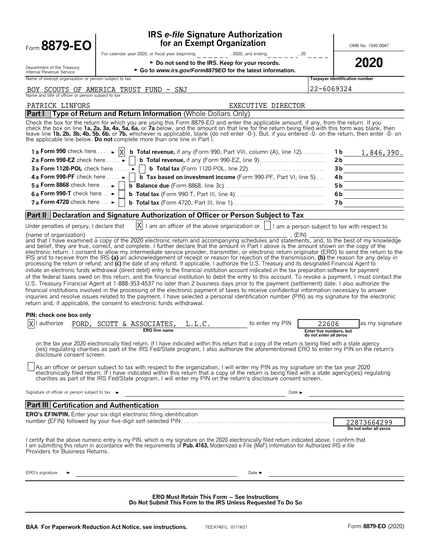| Form 8879-EO                                                                | <b>IRS e-file Signature Authorization</b><br>for an Exempt Organization                                                                                                                                                                                                                                                                                                                                                                                                                                                                                                                                                                                                                                                                                                                                                                                                                                                                                                                                                                                                                                                                                                                                                                                                                                                                                                                                                                                                                                                                                                                                                                                                                                                                                                                                                                                                                                                                       |                                                            | OMB No. 1545-0047                     |
|-----------------------------------------------------------------------------|-----------------------------------------------------------------------------------------------------------------------------------------------------------------------------------------------------------------------------------------------------------------------------------------------------------------------------------------------------------------------------------------------------------------------------------------------------------------------------------------------------------------------------------------------------------------------------------------------------------------------------------------------------------------------------------------------------------------------------------------------------------------------------------------------------------------------------------------------------------------------------------------------------------------------------------------------------------------------------------------------------------------------------------------------------------------------------------------------------------------------------------------------------------------------------------------------------------------------------------------------------------------------------------------------------------------------------------------------------------------------------------------------------------------------------------------------------------------------------------------------------------------------------------------------------------------------------------------------------------------------------------------------------------------------------------------------------------------------------------------------------------------------------------------------------------------------------------------------------------------------------------------------------------------------------------------------|------------------------------------------------------------|---------------------------------------|
|                                                                             | For calendar year 2020, or fiscal year beginning<br>, 2020, and ending<br>$   , 20$                                                                                                                                                                                                                                                                                                                                                                                                                                                                                                                                                                                                                                                                                                                                                                                                                                                                                                                                                                                                                                                                                                                                                                                                                                                                                                                                                                                                                                                                                                                                                                                                                                                                                                                                                                                                                                                           |                                                            |                                       |
| Department of the Treasury                                                  | ► Do not send to the IRS. Keep for your records.                                                                                                                                                                                                                                                                                                                                                                                                                                                                                                                                                                                                                                                                                                                                                                                                                                                                                                                                                                                                                                                                                                                                                                                                                                                                                                                                                                                                                                                                                                                                                                                                                                                                                                                                                                                                                                                                                              |                                                            | 2020                                  |
| Internal Revenue Service                                                    | ► Go to www.irs.gov/Form8879EO for the latest information.                                                                                                                                                                                                                                                                                                                                                                                                                                                                                                                                                                                                                                                                                                                                                                                                                                                                                                                                                                                                                                                                                                                                                                                                                                                                                                                                                                                                                                                                                                                                                                                                                                                                                                                                                                                                                                                                                    |                                                            |                                       |
| Name of exempt organization or person subject to tax                        |                                                                                                                                                                                                                                                                                                                                                                                                                                                                                                                                                                                                                                                                                                                                                                                                                                                                                                                                                                                                                                                                                                                                                                                                                                                                                                                                                                                                                                                                                                                                                                                                                                                                                                                                                                                                                                                                                                                                               |                                                            | Taxpayer identification number        |
| Name and title of officer or person subject to tax                          | BOY SCOUTS OF AMERICA TRUST FUND - SNJ                                                                                                                                                                                                                                                                                                                                                                                                                                                                                                                                                                                                                                                                                                                                                                                                                                                                                                                                                                                                                                                                                                                                                                                                                                                                                                                                                                                                                                                                                                                                                                                                                                                                                                                                                                                                                                                                                                        | 22-6069324                                                 |                                       |
| PATRICK LINFORS                                                             | EXECUTIVE DIRECTOR                                                                                                                                                                                                                                                                                                                                                                                                                                                                                                                                                                                                                                                                                                                                                                                                                                                                                                                                                                                                                                                                                                                                                                                                                                                                                                                                                                                                                                                                                                                                                                                                                                                                                                                                                                                                                                                                                                                            |                                                            |                                       |
| <b>Part I</b>                                                               | Type of Return and Return Information (Whole Dollars Only)                                                                                                                                                                                                                                                                                                                                                                                                                                                                                                                                                                                                                                                                                                                                                                                                                                                                                                                                                                                                                                                                                                                                                                                                                                                                                                                                                                                                                                                                                                                                                                                                                                                                                                                                                                                                                                                                                    |                                                            |                                       |
|                                                                             | Check the box for the return for which you are using this Form 8879-EO and enter the applicable amount, if any, from the return. If you<br>check the box on line 1a, 2a, 3a, 4a, 5a, 6a, or 7a below, and the amount on that line for the return being filed with this form was blank, then<br>leave line 1b, 2b, 3b, 4b, 5b, 6b, or 7b, whichever is applicable, blank (do not enter -0-). But, if you entered -0- on the return, then enter -0- on<br>the applicable line below. Do not complete more than one line in Part I.                                                                                                                                                                                                                                                                                                                                                                                                                                                                                                                                                                                                                                                                                                                                                                                                                                                                                                                                                                                                                                                                                                                                                                                                                                                                                                                                                                                                              |                                                            |                                       |
| 1 a Form 990 check here $\dots \rightarrow  X $                             | <b>b</b> Total revenue, if any (Form 990, Part VIII, column (A), line $12$ )                                                                                                                                                                                                                                                                                                                                                                                                                                                                                                                                                                                                                                                                                                                                                                                                                                                                                                                                                                                                                                                                                                                                                                                                                                                                                                                                                                                                                                                                                                                                                                                                                                                                                                                                                                                                                                                                  |                                                            | $1b$ 1, 846, 390.                     |
| 2 a Form 990-EZ check here $\ldots$                                         |                                                                                                                                                                                                                                                                                                                                                                                                                                                                                                                                                                                                                                                                                                                                                                                                                                                                                                                                                                                                                                                                                                                                                                                                                                                                                                                                                                                                                                                                                                                                                                                                                                                                                                                                                                                                                                                                                                                                               |                                                            | 2b                                    |
| <b>3a Form 1120-POL</b> check here                                          |                                                                                                                                                                                                                                                                                                                                                                                                                                                                                                                                                                                                                                                                                                                                                                                                                                                                                                                                                                                                                                                                                                                                                                                                                                                                                                                                                                                                                                                                                                                                                                                                                                                                                                                                                                                                                                                                                                                                               |                                                            | 3b                                    |
| 4 a Form 990-PF check here $\dots \rightarrow$                              | <b>b</b> Tax based on investment income (Form 990-PF, Part VI, line 5)                                                                                                                                                                                                                                                                                                                                                                                                                                                                                                                                                                                                                                                                                                                                                                                                                                                                                                                                                                                                                                                                                                                                                                                                                                                                                                                                                                                                                                                                                                                                                                                                                                                                                                                                                                                                                                                                        |                                                            | 4b.                                   |
| 5 a Form 8868 check here $\ldots \blacktriangleright$                       |                                                                                                                                                                                                                                                                                                                                                                                                                                                                                                                                                                                                                                                                                                                                                                                                                                                                                                                                                                                                                                                                                                                                                                                                                                                                                                                                                                                                                                                                                                                                                                                                                                                                                                                                                                                                                                                                                                                                               |                                                            | 5 b                                   |
| 6 a Form 990-T check here $\ldots$                                          |                                                                                                                                                                                                                                                                                                                                                                                                                                                                                                                                                                                                                                                                                                                                                                                                                                                                                                                                                                                                                                                                                                                                                                                                                                                                                                                                                                                                                                                                                                                                                                                                                                                                                                                                                                                                                                                                                                                                               |                                                            | 6b                                    |
| 7 a Form 4720 check here $\ldots$                                           |                                                                                                                                                                                                                                                                                                                                                                                                                                                                                                                                                                                                                                                                                                                                                                                                                                                                                                                                                                                                                                                                                                                                                                                                                                                                                                                                                                                                                                                                                                                                                                                                                                                                                                                                                                                                                                                                                                                                               |                                                            | 7 b                                   |
| <b>Part II</b>                                                              | Declaration and Signature Authorization of Officer or Person Subject to Tax                                                                                                                                                                                                                                                                                                                                                                                                                                                                                                                                                                                                                                                                                                                                                                                                                                                                                                                                                                                                                                                                                                                                                                                                                                                                                                                                                                                                                                                                                                                                                                                                                                                                                                                                                                                                                                                                   |                                                            |                                       |
| Under penalties of perjury, I declare that                                  | $ X $ I am an officer of the above organization or $ $   I am a person subject to tax with respect to                                                                                                                                                                                                                                                                                                                                                                                                                                                                                                                                                                                                                                                                                                                                                                                                                                                                                                                                                                                                                                                                                                                                                                                                                                                                                                                                                                                                                                                                                                                                                                                                                                                                                                                                                                                                                                         |                                                            |                                       |
| PIN: check one box only<br>authorize<br>FORD.<br>disclosure consent screen. | IRS and to receive from the IRS (a) an acknowledgement of receipt or reason for rejection of the transmission, (b) the reason for any delay in<br>processing the return or refund, and (c) the date of any refund. If applicable, I authorize the U.S. Treasury and its designated Financial Agent to<br>initiate an electronic funds withdrawal (direct debit) entry to the financial institution account indicated in the tax preparation software for payment<br>of the federal taxes owed on this return, and the financial institution to debit the entry to this account. To revoke a payment, I must contact the<br>U.S. Treasury Financial Agent at 1-888-353-4537 no later than 2 business days prior to the payment (settlement) date. I also authorize the<br>financial institutions involved in the processing of the electronic payment of taxes to receive confidential information necessary to answer<br>inquiries and resolve issues related to the payment. I have selected a personal identification number (PIN) as my signature for the electronic<br>return and, if applicable, the consent to electronic funds withdrawal.<br>SCOTT & ASSOCIATES,<br>to enter my PIN<br>L.L.C.<br><b>ERO</b> firm name<br>on the tax year 2020 electronically filed return. If I have indicated within this return that a copy of the return is being filed with a state agency<br>(ies) requiating charities as part of the IRS Fed/State program, I also authorize the aforementioned ERO to enter my PIN on the return's<br>As an officer or person subject to tax with respect to the organization, I will enter my PIN as my signature on the tax year 2020<br>electronically filed return. If I have indicated within this return that a copy of the return is being filed with a state agency(ies) regulating<br>charities as part of the IRS Fed/State program, I will enter my PIN on the return's disclosure consent screen. | 22606<br>Enter five numbers, but<br>do not enter all zeros | as my signature                       |
| Signature of officer or person subject to tax ►                             | Date $\blacktriangleright$<br><u> 1989 - Johann Barn, mars eta bainar eta idazlea (h. 1989).</u>                                                                                                                                                                                                                                                                                                                                                                                                                                                                                                                                                                                                                                                                                                                                                                                                                                                                                                                                                                                                                                                                                                                                                                                                                                                                                                                                                                                                                                                                                                                                                                                                                                                                                                                                                                                                                                              |                                                            |                                       |
| <b>Part III Certification and Authentication</b>                            |                                                                                                                                                                                                                                                                                                                                                                                                                                                                                                                                                                                                                                                                                                                                                                                                                                                                                                                                                                                                                                                                                                                                                                                                                                                                                                                                                                                                                                                                                                                                                                                                                                                                                                                                                                                                                                                                                                                                               |                                                            |                                       |
|                                                                             | <b>ERO's EFIN/PIN.</b> Enter your six-digit electronic filing identification<br>I certify that the above numeric entry is my PIN, which is my signature on the 2020 electronically filed return indicated above. I confirm that<br>I am submitting this return in accordance with the requirements of Pub. 4163, Modernized e-File (MeF) Information for Authorized IRS e-file                                                                                                                                                                                                                                                                                                                                                                                                                                                                                                                                                                                                                                                                                                                                                                                                                                                                                                                                                                                                                                                                                                                                                                                                                                                                                                                                                                                                                                                                                                                                                                |                                                            | 22873664299<br>Do not enter all zeros |
| Providers for Business Returns.                                             | Date $\blacktriangleright$                                                                                                                                                                                                                                                                                                                                                                                                                                                                                                                                                                                                                                                                                                                                                                                                                                                                                                                                                                                                                                                                                                                                                                                                                                                                                                                                                                                                                                                                                                                                                                                                                                                                                                                                                                                                                                                                                                                    |                                                            |                                       |
| ERO's signature                                                             |                                                                                                                                                                                                                                                                                                                                                                                                                                                                                                                                                                                                                                                                                                                                                                                                                                                                                                                                                                                                                                                                                                                                                                                                                                                                                                                                                                                                                                                                                                                                                                                                                                                                                                                                                                                                                                                                                                                                               |                                                            |                                       |
|                                                                             | <b>ERO Must Retain This Form - See Instructions</b><br>Do Not Submit This Form to the IRS Unless Requested To Do So                                                                                                                                                                                                                                                                                                                                                                                                                                                                                                                                                                                                                                                                                                                                                                                                                                                                                                                                                                                                                                                                                                                                                                                                                                                                                                                                                                                                                                                                                                                                                                                                                                                                                                                                                                                                                           |                                                            |                                       |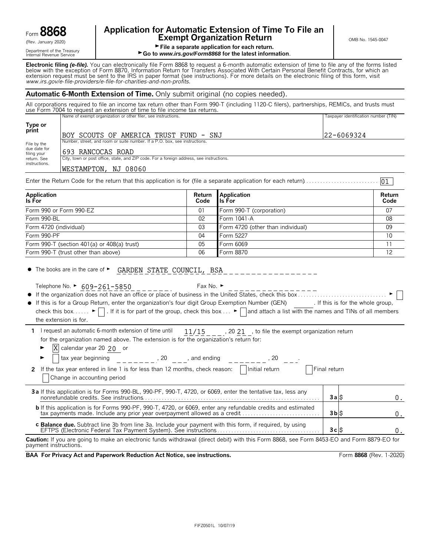|      | Ω<br>◠       |        |
|------|--------------|--------|
| ⊦orm | 0<br>T.<br>c | ı<br>0 |

Department of the Treasury<br>Internal Revenue Service

# **Application for Automatic Extension of Time To File an Form B8668 Exempt Organization Return** CRESC COMB No. 1545-0047

01

File a separate application for each return.

### ► Go to *www.irs.gov/Form8868* for the latest information.

**Electronic filing** *(e-file).* You can electronically file Form 8868 to request a 6-month automatic extension of time to file any of the forms listed below with the exception of Form 8870, Information Return for Transfers Associated With Certain Personal Benefit Contracts, for which an extension request must be sent to the IRS in paper format (see instructions). For more details on the electronic filing of this form, visit *www.irs.gov/e*-*file*-*providers/e-file-for-charities-and-non-profits*.

### **Automatic 6-Month Extension of Time.** Only submit original (no copies needed).

All corporations required to file an income tax return other than Form 990-T (including 1120-C filers), partnerships, REMICs, and trusts must use Form 7004 to request an extension of time to file income tax returns. Name of exempt organization or other filer, see instructions. The magnetic exercise of the contraction number (TIN)

|                                                                                                                                         | 22-6069324                                                                                                                                                          |  |  |  |  |  |  |  |
|-----------------------------------------------------------------------------------------------------------------------------------------|---------------------------------------------------------------------------------------------------------------------------------------------------------------------|--|--|--|--|--|--|--|
|                                                                                                                                         |                                                                                                                                                                     |  |  |  |  |  |  |  |
|                                                                                                                                         |                                                                                                                                                                     |  |  |  |  |  |  |  |
| filing your<br>City, town or post office, state, and ZIP code. For a foreign address, see instructions.<br>return. See<br>instructions. |                                                                                                                                                                     |  |  |  |  |  |  |  |
|                                                                                                                                         |                                                                                                                                                                     |  |  |  |  |  |  |  |
|                                                                                                                                         | IBOY SCOUTS OF AMERICA TRUST FUND - SNJ<br>Number, street, and room or suite number. If a P.O. box, see instructions.<br>1693 RANCOCAS ROAD<br>WESTAMPTON, NJ 08060 |  |  |  |  |  |  |  |

Enter the Return Code for the return that this application is for (file a separate application for each return). . . . . . . . . . . . . . . . . . . . . . . . . . .

| Application<br>Is For                               | Code | Return Application<br>lls For     | Return<br>Code  |
|-----------------------------------------------------|------|-----------------------------------|-----------------|
| Form 990 or Form 990-EZ                             | 01   | Form 990-T (corporation)          | 07              |
| Form 990-BL                                         | 02   | Form 1041-A                       | 08              |
| Form 4720 (individual)                              | 03   | Form 4720 (other than individual) | 09              |
| Form 990-PF                                         | 04   | Form 5227                         | 10 <sup>1</sup> |
| Form $990 - T$ (section $401(a)$ or $408(a)$ trust) | 05   | Form 6069                         |                 |
| Form 990-T (trust other than above)                 | 06   | Form 8870                         | 12              |

| $\bullet$<br>The books are in the care of $\blacktriangleright$ | GARDEN . | CDR | NINCTI<br>_ _ _ _ _ _ _ _ _ | and the state of the state of | . . | _______ |  | <u>the company's company's programs of the company's programs of the company's programs of the company's programs of the company's programs of the company's programs of the company's programs of the company's programs of the</u> |  |  |
|-----------------------------------------------------------------|----------|-----|-----------------------------|-------------------------------|-----|---------|--|--------------------------------------------------------------------------------------------------------------------------------------------------------------------------------------------------------------------------------------|--|--|
|-----------------------------------------------------------------|----------|-----|-----------------------------|-------------------------------|-----|---------|--|--------------------------------------------------------------------------------------------------------------------------------------------------------------------------------------------------------------------------------------|--|--|

the extension is for.

Fax No.  $\blacktriangleright$ 

| • If this is for a Group Return, enter the organization's four digit Group Exemption Number (GEN)                                                                    | . If this is for the whole group, |
|----------------------------------------------------------------------------------------------------------------------------------------------------------------------|-----------------------------------|
| check this box $\blacktriangleright$ . If it is for part of the group, check this box $\blacktriangleright$ and attach a list with the names and TINs of all members |                                   |

1 I request an automatic 6-month extension of time until  $11/15$ , 20 21, to file the exempt organization return for the organization named above. The extension is for the organization's return for:  $11/15$ 

 $\blacktriangleright$   $\mathbf{X}$  calendar year 20 20 or

| tax year beginning<br>20<br>, and ending                                                                                       |              |  |
|--------------------------------------------------------------------------------------------------------------------------------|--------------|--|
| Initial return<br>2 If the tax year entered in line 1 is for less than 12 months, check reason:<br>Change in accounting period | Final return |  |
| 3a If this application is for Forms 990-BL, 990-PF, 990-T, 4720, or 6069, enter the tentative tax, less any                    | 3alS         |  |
|                                                                                                                                | 3bs          |  |
|                                                                                                                                | 3clS         |  |

**Caution:** If you are going to make an electronic funds withdrawal (direct debit) with this Form 8868, see Form 8453-EO and Form 8879-EO for payment instructions.

**BAA For Privacy Act and Paperwork Reduction Act Notice, see instructions. Form 8868 (Rev. 1-2020)**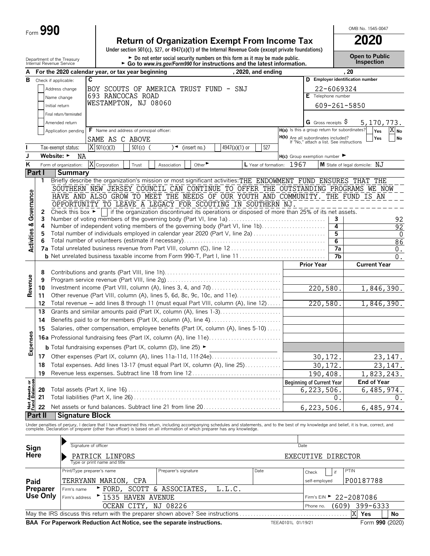| Form $\bm{J}$ | 990 |
|---------------|-----|
|---------------|-----|

# **Return of Organization Exempt From Income Tax 2020**

**Under section 501(c), 527, or 4947(a)(1) of the Internal Revenue Code (except private foundations)**

Department of the Treasury **and Exercic Connect of the Treasury Connect Connect Connect Connect Connect Connect Connect Connect Connect Connect Connect Connect Connect Connect Connect Connect Connection <b>Connection**<br>Inter

OMB No. 1545-0047

| А                                      |               | For the 2020 calendar year, or tax year beginning                                        |                                          |                             |            |                            |                                                                        |               | ad to www.ii.s.gov/i orifliced its inicial detions and the latest implifiation.<br>, 2020, and ending |                    |                                                                                 |                 | , 20                                                                                                                                                                                                                              |                       |
|----------------------------------------|---------------|------------------------------------------------------------------------------------------|------------------------------------------|-----------------------------|------------|----------------------------|------------------------------------------------------------------------|---------------|-------------------------------------------------------------------------------------------------------|--------------------|---------------------------------------------------------------------------------|-----------------|-----------------------------------------------------------------------------------------------------------------------------------------------------------------------------------------------------------------------------------|-----------------------|
| в                                      |               | Check if applicable:                                                                     | C                                        |                             |            |                            |                                                                        |               |                                                                                                       |                    |                                                                                 |                 | D Employer identification number                                                                                                                                                                                                  |                       |
|                                        |               |                                                                                          |                                          |                             |            |                            |                                                                        |               |                                                                                                       |                    |                                                                                 |                 |                                                                                                                                                                                                                                   |                       |
|                                        |               | Address change                                                                           | 693 RANCOCAS ROAD                        |                             |            |                            | BOY SCOUTS OF AMERICA TRUST FUND - SNJ                                 |               |                                                                                                       |                    | E Telephone number                                                              | 22-6069324      |                                                                                                                                                                                                                                   |                       |
|                                        |               | Name change                                                                              | WESTAMPTON, NJ 08060                     |                             |            |                            |                                                                        |               |                                                                                                       |                    |                                                                                 |                 |                                                                                                                                                                                                                                   |                       |
|                                        |               | Initial return                                                                           |                                          |                             |            |                            |                                                                        |               |                                                                                                       |                    |                                                                                 |                 | 609-261-5850                                                                                                                                                                                                                      |                       |
|                                        |               | Final return/terminated                                                                  |                                          |                             |            |                            |                                                                        |               |                                                                                                       |                    |                                                                                 |                 |                                                                                                                                                                                                                                   |                       |
|                                        |               | Amended return                                                                           |                                          |                             |            |                            |                                                                        |               |                                                                                                       |                    | G Gross receipts $\varsigma$<br>H(a) Is this a group return for subordinates?   |                 | 5, 170, 773.                                                                                                                                                                                                                      |                       |
|                                        |               | Application pending                                                                      | F Name and address of principal officer: |                             |            |                            |                                                                        |               |                                                                                                       |                    |                                                                                 |                 | Yes<br>Yes                                                                                                                                                                                                                        | $X_{\text{No}}$<br>No |
|                                        |               |                                                                                          | SAME AS C ABOVE                          |                             |            |                            |                                                                        |               |                                                                                                       |                    | H(b) Are all subordinates included?<br>If "No," attach a list. See instructions |                 |                                                                                                                                                                                                                                   |                       |
|                                        |               | Tax-exempt status:                                                                       | $\overline{X}$ 501(c)(3)                 |                             | $501(c)$ ( | )◄                         | (insert no.)                                                           | 4947(a)(1) or | 527                                                                                                   |                    |                                                                                 |                 |                                                                                                                                                                                                                                   |                       |
| J                                      |               | Website: ►<br>NA                                                                         |                                          |                             |            |                            |                                                                        |               |                                                                                                       |                    | $H(c)$ Group exemption number $\blacktriangleright$                             |                 |                                                                                                                                                                                                                                   |                       |
| Κ                                      |               | Form of organization:                                                                    | X Corporation                            |                             | Trust      | Association                | Other $\blacktriangleright$                                            |               | L Year of formation: 1967                                                                             |                    |                                                                                 |                 | M State of legal domicile: NJ                                                                                                                                                                                                     |                       |
|                                        | <b>Part I</b> | <b>Summary</b>                                                                           |                                          |                             |            |                            |                                                                        |               |                                                                                                       |                    |                                                                                 |                 |                                                                                                                                                                                                                                   |                       |
|                                        | 1             |                                                                                          |                                          |                             |            |                            |                                                                        |               |                                                                                                       |                    |                                                                                 |                 | Briefly describe the organization's mission or most significant activities: THE ENDOWMENT FUND ENSURES THAT THE                                                                                                                   |                       |
|                                        |               |                                                                                          |                                          |                             |            |                            |                                                                        |               |                                                                                                       |                    |                                                                                 |                 | SOUTHERN NEW JERSEY COUNCIL CAN CONTINUE TO OFFER THE OUTSTANDING PROGRAMS WE NOW<br>HAVE AND ALSO GROW TO MEET THE NEEDS OF OUR YOUTH AND COMMUNITY. THE FUND IS AN                                                              |                       |
| Governance                             |               |                                                                                          |                                          |                             |            |                            |                                                                        |               | OPPORTUNITY TO LEAVE A LEGACY FOR SCOUTING IN SOUTHERN NJ.                                            |                    |                                                                                 |                 |                                                                                                                                                                                                                                   |                       |
|                                        | 2             | Check this box $\blacktriangleright$                                                     |                                          |                             |            |                            |                                                                        |               | if the organization discontinued its operations or disposed of more than 25% of its net assets.       |                    |                                                                                 |                 |                                                                                                                                                                                                                                   |                       |
|                                        | 3             |                                                                                          |                                          |                             |            |                            |                                                                        |               | Number of voting members of the governing body (Part VI, line 1a)                                     |                    |                                                                                 | 3               |                                                                                                                                                                                                                                   | 92                    |
|                                        | 4             |                                                                                          |                                          |                             |            |                            |                                                                        |               | Number of independent voting members of the governing body (Part VI, line 1b)                         |                    |                                                                                 | 4               |                                                                                                                                                                                                                                   | 92                    |
|                                        | 5             |                                                                                          |                                          |                             |            |                            |                                                                        |               | Total number of individuals employed in calendar year 2020 (Part V, line 2a)                          |                    |                                                                                 | 5               |                                                                                                                                                                                                                                   | 0                     |
| <b>Activities &amp;</b>                |               |                                                                                          |                                          |                             |            |                            |                                                                        |               |                                                                                                       |                    |                                                                                 | $6\overline{6}$ |                                                                                                                                                                                                                                   | 86                    |
|                                        |               |                                                                                          |                                          |                             |            |                            |                                                                        |               |                                                                                                       |                    |                                                                                 | 7a              |                                                                                                                                                                                                                                   | 0.                    |
|                                        |               |                                                                                          |                                          |                             |            |                            |                                                                        |               |                                                                                                       |                    |                                                                                 | 7b              |                                                                                                                                                                                                                                   | $0$ .                 |
|                                        |               |                                                                                          |                                          |                             |            |                            |                                                                        |               |                                                                                                       |                    | <b>Prior Year</b>                                                               |                 | <b>Current Year</b>                                                                                                                                                                                                               |                       |
|                                        | 8<br>9        |                                                                                          |                                          |                             |            |                            |                                                                        |               |                                                                                                       |                    |                                                                                 |                 |                                                                                                                                                                                                                                   |                       |
| Revenue                                | 10            |                                                                                          |                                          |                             |            |                            |                                                                        |               |                                                                                                       |                    | 220,580.                                                                        |                 |                                                                                                                                                                                                                                   | 1,846,390.            |
|                                        | 11            |                                                                                          |                                          |                             |            |                            |                                                                        |               | Other revenue (Part VIII, column (A), lines 5, 6d, 8c, 9c, 10c, and 11e)                              |                    |                                                                                 |                 |                                                                                                                                                                                                                                   |                       |
|                                        | 12            |                                                                                          |                                          |                             |            |                            |                                                                        |               | Total revenue - add lines 8 through 11 (must equal Part VIII, column (A), line 12)                    |                    | 220,580.                                                                        |                 |                                                                                                                                                                                                                                   | 1,846,390.            |
|                                        | 13            |                                                                                          |                                          |                             |            |                            |                                                                        |               | Grants and similar amounts paid (Part IX, column (A), lines 1-3)                                      |                    |                                                                                 |                 |                                                                                                                                                                                                                                   |                       |
|                                        | 14            |                                                                                          |                                          |                             |            |                            |                                                                        |               | Benefits paid to or for members (Part IX, column (A), line 4)                                         |                    |                                                                                 |                 |                                                                                                                                                                                                                                   |                       |
|                                        | 15            |                                                                                          |                                          |                             |            |                            |                                                                        |               | Salaries, other compensation, employee benefits (Part IX, column (A), lines 5-10)                     |                    |                                                                                 |                 |                                                                                                                                                                                                                                   |                       |
| Expenses                               |               |                                                                                          |                                          |                             |            |                            |                                                                        |               | <b>16a</b> Professional fundraising fees (Part IX, column (A), line 11e)                              |                    |                                                                                 |                 |                                                                                                                                                                                                                                   |                       |
|                                        |               | <b>b</b> Total fundraising expenses (Part IX, column (D), line 25) $\blacktriangleright$ |                                          |                             |            |                            |                                                                        |               |                                                                                                       |                    |                                                                                 |                 |                                                                                                                                                                                                                                   |                       |
|                                        | 17            |                                                                                          |                                          |                             |            |                            |                                                                        |               |                                                                                                       |                    |                                                                                 |                 |                                                                                                                                                                                                                                   |                       |
|                                        | 18            |                                                                                          |                                          |                             |            |                            |                                                                        |               | Total expenses. Add lines 13-17 (must equal Part IX, column (A), line 25)                             |                    | 30,172.<br>30,172.                                                              |                 |                                                                                                                                                                                                                                   | 23, 147.              |
|                                        | 19            |                                                                                          |                                          |                             |            |                            |                                                                        |               | Revenue less expenses. Subtract line 18 from line 12                                                  |                    |                                                                                 |                 |                                                                                                                                                                                                                                   | 23, 147.              |
|                                        |               |                                                                                          |                                          |                             |            |                            |                                                                        |               |                                                                                                       |                    | 190,408.<br><b>Beginning of Current Year</b>                                    |                 | <b>End of Year</b>                                                                                                                                                                                                                | 1,823,243.            |
|                                        | 20            |                                                                                          |                                          |                             |            |                            |                                                                        |               |                                                                                                       |                    | 6,223,506.                                                                      |                 |                                                                                                                                                                                                                                   | 6,485,974.            |
|                                        | 21            |                                                                                          |                                          |                             |            |                            |                                                                        |               |                                                                                                       |                    |                                                                                 | 0.              |                                                                                                                                                                                                                                   | 0.                    |
| <b>Net Assets or<br/>Fund Balances</b> | 22            |                                                                                          |                                          |                             |            |                            |                                                                        |               | Net assets or fund balances. Subtract line 21 from line 20                                            |                    | 6, 223, 506.                                                                    |                 |                                                                                                                                                                                                                                   | 6,485,974.            |
|                                        | Part II       | <b>Signature Block</b>                                                                   |                                          |                             |            |                            |                                                                        |               |                                                                                                       |                    |                                                                                 |                 |                                                                                                                                                                                                                                   |                       |
|                                        |               |                                                                                          |                                          |                             |            |                            |                                                                        |               |                                                                                                       |                    |                                                                                 |                 |                                                                                                                                                                                                                                   |                       |
|                                        |               |                                                                                          |                                          |                             |            |                            |                                                                        |               |                                                                                                       |                    |                                                                                 |                 | Under penalties of perjury, I declare that I have examined this return, including accompanying schedules and statements, and to the best of my knowledge and belief, it is true, correct, and<br>complete. Declaration of prepare |                       |
|                                        |               |                                                                                          |                                          |                             |            |                            |                                                                        |               |                                                                                                       |                    |                                                                                 |                 |                                                                                                                                                                                                                                   |                       |
| Sign                                   |               |                                                                                          | Signature of officer                     |                             |            |                            |                                                                        |               |                                                                                                       |                    | Date                                                                            |                 |                                                                                                                                                                                                                                   |                       |
| Here                                   |               |                                                                                          | PATRICK LINFORS                          |                             |            |                            |                                                                        |               |                                                                                                       |                    | EXECUTIVE DIRECTOR                                                              |                 |                                                                                                                                                                                                                                   |                       |
|                                        |               |                                                                                          | Type or print name and title             |                             |            |                            |                                                                        |               |                                                                                                       |                    |                                                                                 |                 |                                                                                                                                                                                                                                   |                       |
|                                        |               |                                                                                          | Print/Type preparer's name               |                             |            | Preparer's signature       |                                                                        |               | Date                                                                                                  |                    | Check                                                                           | if              | PTIN                                                                                                                                                                                                                              |                       |
| Paid                                   |               |                                                                                          | TERRYANN MARION, CPA                     |                             |            |                            |                                                                        |               |                                                                                                       |                    | self-employed                                                                   |                 | P00187788                                                                                                                                                                                                                         |                       |
|                                        | Preparer      | Firm's name                                                                              |                                          | $\blacktriangleright$ FORD, |            | SCOTT & ASSOCIATES,        |                                                                        | L.L.C.        |                                                                                                       |                    |                                                                                 |                 |                                                                                                                                                                                                                                   |                       |
|                                        | Use Only      | Firm's address                                                                           |                                          |                             |            | <b>- 1535 HAVEN AVENUE</b> |                                                                        |               |                                                                                                       |                    | Firm's EIN ▶                                                                    |                 | 22-2087086                                                                                                                                                                                                                        |                       |
|                                        |               |                                                                                          |                                          |                             |            | OCEAN CITY, NJ 08226       |                                                                        |               |                                                                                                       |                    | Phone no.                                                                       | (609)           | 399-6333                                                                                                                                                                                                                          |                       |
|                                        |               |                                                                                          |                                          |                             |            |                            |                                                                        |               | May the IRS discuss this return with the preparer shown above? See instructions                       |                    |                                                                                 |                 | X<br>Yes                                                                                                                                                                                                                          | No                    |
|                                        |               |                                                                                          |                                          |                             |            |                            | BAA For Paperwork Reduction Act Notice, see the separate instructions. |               |                                                                                                       | TEEA0101L 01/19/21 |                                                                                 |                 |                                                                                                                                                                                                                                   | Form 990 (2020)       |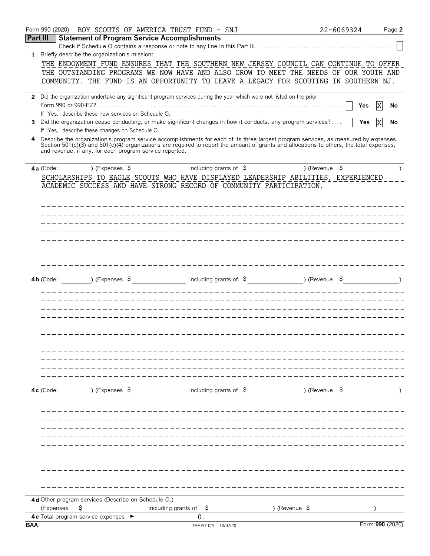|                 | Form 990 (2020)                                          | BOY SCOUTS OF AMERICA TRUST FUND - SNJ                  |                                                                                                                                                                                                                                                                                  |               | 22-6069324 | Page 2          |
|-----------------|----------------------------------------------------------|---------------------------------------------------------|----------------------------------------------------------------------------------------------------------------------------------------------------------------------------------------------------------------------------------------------------------------------------------|---------------|------------|-----------------|
| <b>Part III</b> |                                                          | <b>Statement of Program Service Accomplishments</b>     |                                                                                                                                                                                                                                                                                  |               |            |                 |
|                 |                                                          |                                                         | Check if Schedule O contains a response or note to any line in this Part III                                                                                                                                                                                                     |               |            |                 |
| 1               | Briefly describe the organization's mission:             |                                                         |                                                                                                                                                                                                                                                                                  |               |            |                 |
|                 |                                                          |                                                         | THE ENDOWMENT FUND ENSURES THAT THE SOUTHERN NEW JERSEY COUNCIL CAN CONTINUE TO OFFER                                                                                                                                                                                            |               |            |                 |
|                 |                                                          |                                                         | THE OUTSTANDING PROGRAMS WE NOW HAVE AND ALSO GROW TO MEET THE NEEDS OF OUR YOUTH AND                                                                                                                                                                                            |               |            |                 |
|                 |                                                          |                                                         | COMMUNITY. THE FUND IS AN OPPORTUNITY TO LEAVE A LEGACY FOR SCOUTING IN SOUTHERN NJ.                                                                                                                                                                                             |               |            |                 |
|                 |                                                          |                                                         |                                                                                                                                                                                                                                                                                  |               |            |                 |
|                 |                                                          |                                                         | 2 Did the organization undertake any significant program services during the year which were not listed on the prior                                                                                                                                                             |               |            |                 |
|                 |                                                          |                                                         |                                                                                                                                                                                                                                                                                  |               | Yes        | ΙX<br>No        |
|                 |                                                          | If "Yes," describe these new services on Schedule O.    |                                                                                                                                                                                                                                                                                  |               |            |                 |
| 3               |                                                          |                                                         | Did the organization cease conducting, or make significant changes in how it conducts, any program services?                                                                                                                                                                     |               | Yes        | X<br>No         |
|                 | If "Yes," describe these changes on Schedule O.          |                                                         |                                                                                                                                                                                                                                                                                  |               |            |                 |
| 4               |                                                          |                                                         | Describe the organization's program service accomplishments for each of its three largest program services, as measured by expenses.<br>Section 501(c)(3) and 501(c)(4) organizations are required to report the amount of grants and allocations to others, the total expenses, |               |            |                 |
|                 |                                                          | and revenue, if any, for each program service reported. |                                                                                                                                                                                                                                                                                  |               |            |                 |
|                 |                                                          |                                                         |                                                                                                                                                                                                                                                                                  |               |            |                 |
|                 | 4a (Code:                                                | ) (Expenses \$                                          | including grants of $\sqrt{5}$                                                                                                                                                                                                                                                   | ) (Revenue \$ |            |                 |
|                 |                                                          |                                                         | SCHOLARSHIPS TO EAGLE SCOUTS WHO HAVE DISPLAYED LEADERSHIP ABILITIES, EXPERIENCED                                                                                                                                                                                                |               |            |                 |
|                 |                                                          |                                                         | ACADEMIC SUCCESS AND HAVE STRONG RECORD OF COMMUNITY PARTICIPATION.                                                                                                                                                                                                              |               |            |                 |
|                 |                                                          |                                                         |                                                                                                                                                                                                                                                                                  |               |            |                 |
|                 |                                                          |                                                         |                                                                                                                                                                                                                                                                                  |               |            |                 |
|                 |                                                          |                                                         |                                                                                                                                                                                                                                                                                  |               |            |                 |
|                 |                                                          |                                                         |                                                                                                                                                                                                                                                                                  |               |            |                 |
|                 |                                                          |                                                         |                                                                                                                                                                                                                                                                                  |               |            |                 |
|                 |                                                          |                                                         |                                                                                                                                                                                                                                                                                  |               |            |                 |
|                 |                                                          |                                                         |                                                                                                                                                                                                                                                                                  |               |            |                 |
|                 |                                                          |                                                         |                                                                                                                                                                                                                                                                                  |               |            |                 |
|                 |                                                          |                                                         |                                                                                                                                                                                                                                                                                  |               |            |                 |
|                 |                                                          |                                                         |                                                                                                                                                                                                                                                                                  |               |            |                 |
|                 |                                                          | ) (Expenses $\frac{1}{2}$                               | including grants of $\frac{1}{5}$                                                                                                                                                                                                                                                | ) (Revenue    |            |                 |
|                 | $4b$ (Code:                                              |                                                         |                                                                                                                                                                                                                                                                                  |               |            |                 |
|                 |                                                          |                                                         |                                                                                                                                                                                                                                                                                  |               |            |                 |
|                 |                                                          |                                                         |                                                                                                                                                                                                                                                                                  |               |            |                 |
|                 |                                                          |                                                         |                                                                                                                                                                                                                                                                                  |               |            |                 |
|                 |                                                          |                                                         |                                                                                                                                                                                                                                                                                  |               |            |                 |
|                 |                                                          |                                                         |                                                                                                                                                                                                                                                                                  |               |            |                 |
|                 |                                                          |                                                         |                                                                                                                                                                                                                                                                                  |               |            |                 |
|                 |                                                          |                                                         |                                                                                                                                                                                                                                                                                  |               |            |                 |
|                 |                                                          |                                                         |                                                                                                                                                                                                                                                                                  |               |            |                 |
|                 |                                                          |                                                         |                                                                                                                                                                                                                                                                                  |               |            |                 |
|                 |                                                          |                                                         |                                                                                                                                                                                                                                                                                  |               |            |                 |
|                 |                                                          |                                                         |                                                                                                                                                                                                                                                                                  |               |            |                 |
|                 |                                                          |                                                         |                                                                                                                                                                                                                                                                                  |               |            |                 |
|                 | 4c (Code:                                                | ) (Expenses \$                                          | including grants of $\beta$ (Revenue $\beta$                                                                                                                                                                                                                                     |               |            |                 |
|                 |                                                          |                                                         |                                                                                                                                                                                                                                                                                  |               |            |                 |
|                 |                                                          |                                                         |                                                                                                                                                                                                                                                                                  |               |            |                 |
|                 |                                                          |                                                         |                                                                                                                                                                                                                                                                                  |               |            |                 |
|                 |                                                          |                                                         |                                                                                                                                                                                                                                                                                  |               |            |                 |
|                 |                                                          |                                                         |                                                                                                                                                                                                                                                                                  |               |            |                 |
|                 |                                                          |                                                         |                                                                                                                                                                                                                                                                                  |               |            |                 |
|                 |                                                          |                                                         |                                                                                                                                                                                                                                                                                  |               |            |                 |
|                 |                                                          |                                                         |                                                                                                                                                                                                                                                                                  |               |            |                 |
|                 |                                                          |                                                         |                                                                                                                                                                                                                                                                                  |               |            |                 |
|                 |                                                          |                                                         |                                                                                                                                                                                                                                                                                  |               |            |                 |
|                 |                                                          |                                                         |                                                                                                                                                                                                                                                                                  |               |            |                 |
|                 |                                                          |                                                         |                                                                                                                                                                                                                                                                                  |               |            |                 |
|                 |                                                          | 4d Other program services (Describe on Schedule O.)     |                                                                                                                                                                                                                                                                                  |               |            |                 |
|                 | \$<br>(Expenses                                          |                                                         | including grants of $\frac{1}{2}$                                                                                                                                                                                                                                                | ) (Revenue \$ |            |                 |
|                 | 4 e Total program service expenses $\blacktriangleright$ |                                                         | 0.                                                                                                                                                                                                                                                                               |               |            |                 |
| <b>BAA</b>      |                                                          |                                                         | TEEA0102L 10/07/20                                                                                                                                                                                                                                                               |               |            | Form 990 (2020) |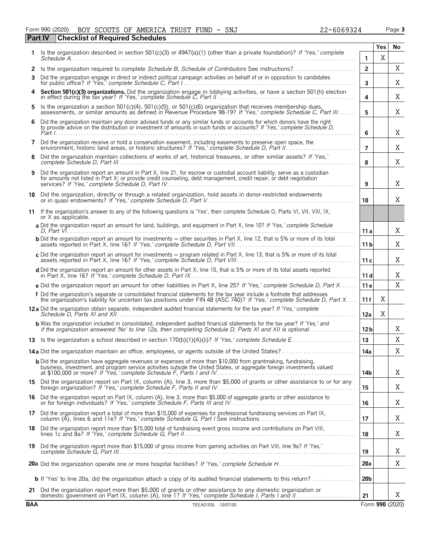| Form 990 (2020) |  |  | BOY SCOUTS OF AMERICA TRUST FUND - SNJ         |  |  | 22-6069324 | Page 3 |
|-----------------|--|--|------------------------------------------------|--|--|------------|--------|
|                 |  |  | <b>Part IV Checklist of Required Schedules</b> |  |  |            |        |

|            |                                                                                                                                                                                                                                                     |                 | <b>Yes</b> | No              |
|------------|-----------------------------------------------------------------------------------------------------------------------------------------------------------------------------------------------------------------------------------------------------|-----------------|------------|-----------------|
|            | Is the organization described in section 501(c)(3) or 4947(a)(1) (other than a private foundation)? If 'Yes,' complete                                                                                                                              | 1.              | X          |                 |
| 2          | Is the organization required to complete Schedule B, Schedule of Contributors See instructions?                                                                                                                                                     | $\overline{2}$  |            | Χ               |
| 3          | Did the organization engage in direct or indirect political campaign activities on behalf of or in opposition to candidates                                                                                                                         | 3               |            | Χ               |
|            | Section 501(c)(3) organizations. Did the organization engage in lobbying activities, or have a section 501(h) election in effect during the tax year? If 'Yes,' complete Schedule C, Part II                                                        | 4               |            | Χ               |
| 5          | Is the organization a section 501(c)(4), 501(c)(5), or 501(c)(6) organization that receives membership dues,<br>assessments, or similar amounts as defined in Revenue Procedure 98-19? If 'Yes,' complete Schedule C, Part III                      | 5               |            | Χ               |
| 6          | Did the organization maintain any donor advised funds or any similar funds or accounts for which donors have the right<br>to provide advice on the distribution or investment of amounts in such funds or accounts? If 'Yes,' complete Schedule D,  | 6               |            | X               |
| 7          | Did the organization receive or hold a conservation easement, including easements to preserve open space, the environment, historic land areas, or historic structures? If 'Yes,' complete Schedule D, Part II                                      | $\overline{7}$  |            | Χ               |
| 8          | Did the organization maintain collections of works of art, historical treasures, or other similar assets? If 'Yes,'                                                                                                                                 | 8               |            | Χ               |
| 9          | Did the organization report an amount in Part X, line 21, for escrow or custodial account liability, serve as a custodian<br>for amounts not listed in Part X; or provide credit counseling, debt management, credit repair, or debt negotiation    | 9               |            | Χ               |
| 10         | Did the organization, directly or through a related organization, hold assets in donor-restricted endowments                                                                                                                                        | 10              |            | X               |
| 11         | If the organization's answer to any of the following questions is 'Yes', then complete Schedule D, Parts VI, VII, VIII, IX,<br>or X as applicable.                                                                                                  |                 |            |                 |
|            | a Did the organization report an amount for land, buildings, and equipment in Part X, line 10? If 'Yes,' complete Schedule                                                                                                                          | 11 a            |            | Χ               |
|            | <b>b</b> Did the organization report an amount for investments - other securities in Part X, line 12, that is 5% or more of its total                                                                                                               | 11 <sub>b</sub> |            | Χ               |
|            | c Did the organization report an amount for investments - program related in Part X, line 13, that is 5% or more of its total                                                                                                                       | 11c             |            | Χ               |
|            | d Did the organization report an amount for other assets in Part X, line 15, that is 5% or more of its total assets reported                                                                                                                        | 11d             |            | Χ               |
|            | e Did the organization report an amount for other liabilities in Part X, line 25? If 'Yes,' complete Schedule D, Part X                                                                                                                             | 11e             |            | X               |
|            | f Did the organization's separate or consolidated financial statements for the tax year include a footnote that addresses<br>the organization's liability for uncertain tax positions under FIN 48 (ASC 740)? If 'Yes,' complete Schedule D, Part X | 11f             | Χ          |                 |
|            | 12a Did the organization obtain separate, independent audited financial statements for the tax year? If 'Yes,' complete                                                                                                                             | 12a             | X          |                 |
|            | <b>b</b> Was the organization included in consolidated, independent audited financial statements for the tax year? If 'Yes,' and<br>if the organization answered 'No' to line 12a, then completing Schedule D, Parts XI and XII is optional         | 12 <sub>b</sub> |            | X               |
|            |                                                                                                                                                                                                                                                     | 13              |            | Χ               |
|            | 14a Did the organization maintain an office, employees, or agents outside of the United States?                                                                                                                                                     | 14a             |            | Χ               |
|            | <b>b</b> Did the organization have aggregate revenues or expenses of more than \$10,000 from grantmaking, fundraising,<br>business, investment, and program service activities outside the United States, or aggregate foreign investments valued   | 14b             |            | Χ               |
|            | 15 Did the organization report on Part IX, column (A), line 3, more than \$5,000 of grants or other assistance to or for any foreign organization? If 'Yes,' complete Schedule F, Parts II and IV                                                   | 15              |            | Χ               |
|            | 16 Did the organization report on Part IX, column (A), line 3, more than \$5,000 of aggregate grants or other assistance to or for foreign individuals? If 'Yes,' complete Schedule F, Parts III and IV                                             | 16              |            | X               |
|            | 17 Did the organization report a total of more than \$15,000 of expenses for professional fundraising services on Part IX,                                                                                                                          | 17              |            | Χ               |
|            | 18 Did the organization report more than \$15,000 total of fundraising event gross income and contributions on Part VIII,                                                                                                                           | 18              |            | Χ               |
|            | 19 Did the organization report more than \$15,000 of gross income from gaming activities on Part VIII, line 9a? If 'Yes,'                                                                                                                           | 19              |            | Χ               |
|            |                                                                                                                                                                                                                                                     | 20a             |            | X               |
|            | <b>b</b> If 'Yes' to line 20a, did the organization attach a copy of its audited financial statements to this return?                                                                                                                               | 20 <sub>b</sub> |            |                 |
| 21         | Did the organization report more than \$5,000 of grants or other assistance to any domestic organization or                                                                                                                                         | 21              |            | Χ               |
| <b>BAA</b> | TEEA0103L 10/07/20                                                                                                                                                                                                                                  |                 |            | Form 990 (2020) |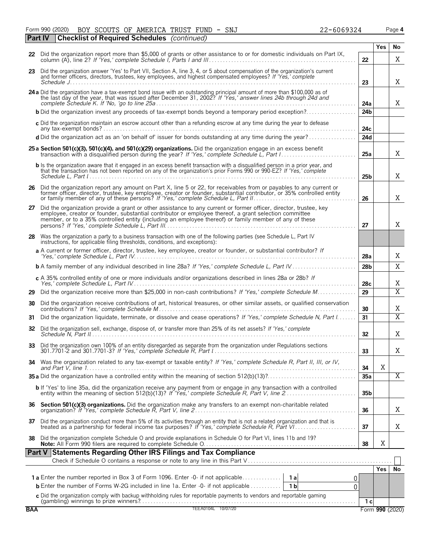Form 990 (2020) BOY SCOUTS OF AMERICA TRUST FUND - SNJ 22-6069324 Page **4** BOY SCOUTS OF AMERICA TRUST FUND - SNJ 22-6069324

|            | Part IV | <b>Checklist of Required Schedules</b> (continued)                                                                                                                                                                                                                                                                                    |                 |            |                         |
|------------|---------|---------------------------------------------------------------------------------------------------------------------------------------------------------------------------------------------------------------------------------------------------------------------------------------------------------------------------------------|-----------------|------------|-------------------------|
|            |         | 22 Did the organization report more than \$5,000 of grants or other assistance to or for domestic individuals on Part IX,                                                                                                                                                                                                             |                 | Yes        | No                      |
|            |         |                                                                                                                                                                                                                                                                                                                                       | 22              |            | X                       |
|            |         | 23 Did the organization answer 'Yes' to Part VII, Section A, line 3, 4, or 5 about compensation of the organization's current<br>and former officers, directors, trustees, key employees, and highest compensated employees? If 'Yes,' complete                                                                                       | 23              |            | X                       |
|            |         | 24 a Did the organization have a tax-exempt bond issue with an outstanding principal amount of more than \$100,000 as of the last day of the year, that was issued after December 31, 2002? If 'Yes,' answer lines 24b through                                                                                                        | 24a             |            | X                       |
|            |         | <b>b</b> Did the organization invest any proceeds of tax-exempt bonds beyond a temporary period exception?                                                                                                                                                                                                                            | 24 <sub>b</sub> |            |                         |
|            |         | c Did the organization maintain an escrow account other than a refunding escrow at any time during the year to defease                                                                                                                                                                                                                | 24с             |            |                         |
|            |         | d Did the organization act as an 'on behalf of' issuer for bonds outstanding at any time during the year?                                                                                                                                                                                                                             | 24d             |            |                         |
|            |         | 25 a Section 501(c)(3), 501(c)(4), and 501(c)(29) organizations. Did the organization engage in an excess benefit                                                                                                                                                                                                                     | 25a             |            | X                       |
|            |         | <b>b</b> Is the organization aware that it engaged in an excess benefit transaction with a disqualified person in a prior year, and<br>that the transaction has not been reported on any of the organization's prior Forms 990 or 990-EZ? If 'Yes,' complete                                                                          | 25b             |            | X                       |
|            |         | 26 Did the organization report any amount on Part X, line 5 or 22, for receivables from or payables to any current or former officer, director, trustee, key employee, creator or founder, substantial contributor, or 35% con                                                                                                        | 26              |            | Χ                       |
| 27         |         | Did the organization provide a grant or other assistance to any current or former officer, director, trustee, key<br>employee, creator or founder, substantial contributor or employee thereof, a grant selection committee<br>member, or to a 35% controlled entity (including an employee thereof) or family member of any of these | 27              |            | Χ                       |
| 28         |         | Was the organization a party to a business transaction with one of the following parties (see Schedule L, Part IV<br>instructions, for applicable filing thresholds, conditions, and exceptions):                                                                                                                                     |                 |            |                         |
|            |         | a A current or former officer, director, trustee, key employee, creator or founder, or substantial contributor? If                                                                                                                                                                                                                    | 28a             |            | Χ                       |
|            |         | <b>b</b> A family member of any individual described in line 28a? If 'Yes,' complete Schedule L, Part IV                                                                                                                                                                                                                              | 28 <sub>b</sub> |            | X                       |
|            |         | c A 35% controlled entity of one or more individuals and/or organizations described in lines 28a or 28b? If                                                                                                                                                                                                                           | 28c             |            | Χ                       |
| 29         |         | Did the organization receive more than \$25,000 in non-cash contributions? If 'Yes,' complete Schedule M                                                                                                                                                                                                                              | 29              |            | $\overline{\text{X}}$   |
| 30         |         | Did the organization receive contributions of art, historical treasures, or other similar assets, or qualified conservation                                                                                                                                                                                                           | 30              |            | Χ                       |
| 31         |         | Did the organization liquidate, terminate, or dissolve and cease operations? If 'Yes,' complete Schedule N, Part I                                                                                                                                                                                                                    | 31              |            | $\overline{\mathrm{X}}$ |
| 32         |         | Did the organization sell, exchange, dispose of, or transfer more than 25% of its net assets? If 'Yes,' complete                                                                                                                                                                                                                      | 32 <sub>2</sub> |            | Χ                       |
| 33         |         | Did the organization own 100% of an entity disregarded as separate from the organization under Regulations sections                                                                                                                                                                                                                   | 33              |            | Χ                       |
| 34         |         | Was the organization related to any tax-exempt or taxable entity? If 'Yes,' complete Schedule R, Part II, III, or IV,                                                                                                                                                                                                                 | 34              | X          |                         |
|            |         |                                                                                                                                                                                                                                                                                                                                       | 35a             |            | Χ                       |
|            |         | b If 'Yes' to line 35a, did the organization receive any payment from or engage in any transaction with a controlled<br>entity within the meaning of section 512(b)(13)? If 'Yes,' complete Schedule R, Part V, line 2                                                                                                                | 35 <sub>b</sub> |            |                         |
|            |         |                                                                                                                                                                                                                                                                                                                                       | 36              |            | Χ                       |
| 37         |         | Did the organization conduct more than 5% of its activities through an entity that is not a related organization and that is treated as a partnership for federal income tax purposes? If 'Yes,' complete Schedule R, Part VI.                                                                                                        | 37              |            | Χ                       |
| 38         |         | Did the organization complete Schedule O and provide explanations in Schedule O for Part VI, lines 11b and 19?                                                                                                                                                                                                                        | 38              | X          |                         |
|            |         | Part V Statements Regarding Other IRS Filings and Tax Compliance                                                                                                                                                                                                                                                                      |                 |            |                         |
|            |         |                                                                                                                                                                                                                                                                                                                                       |                 | <b>Yes</b> | No                      |
|            |         | 0.                                                                                                                                                                                                                                                                                                                                    |                 |            |                         |
|            |         | <b>b</b> Enter the number of Forms W-2G included in line 1a. Enter -0- if not applicable<br>1 <sub>b</sub><br>0                                                                                                                                                                                                                       |                 |            |                         |
|            |         | C Did the organization comply with backup withholding rules for reportable payments to vendors and reportable gaming<br>(gambling) winnings to prize winners?<br>TEEA0104L 10/07/20                                                                                                                                                   | 1 <sub>c</sub>  |            |                         |
| <b>BAA</b> |         |                                                                                                                                                                                                                                                                                                                                       |                 |            | Form 990 (2020)         |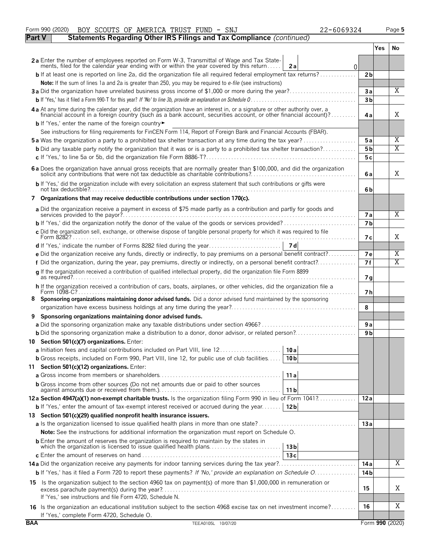|               | Form 990 (2020)<br>BOY SCOUTS OF AMERICA TRUST FUND - SNJ<br>22-6069324                                                                                                                                                                          |                 |     | Page 5          |
|---------------|--------------------------------------------------------------------------------------------------------------------------------------------------------------------------------------------------------------------------------------------------|-----------------|-----|-----------------|
| <b>Part V</b> | Statements Regarding Other IRS Filings and Tax Compliance (continued)                                                                                                                                                                            |                 |     |                 |
|               |                                                                                                                                                                                                                                                  |                 | Yes | No.             |
|               | 2a Enter the number of employees reported on Form W-3, Transmittal of Wage and Tax State-<br>ments, filed for the calendar year ending with or within the year covered by this return<br>2a<br>0                                                 |                 |     |                 |
|               | <b>b</b> If at least one is reported on line 2a, did the organization file all required federal employment tax returns?                                                                                                                          | 2 <sub>b</sub>  |     |                 |
|               | Note: If the sum of lines 1a and 2a is greater than 250, you may be required to e-file (see instructions)                                                                                                                                        |                 |     |                 |
|               | 3a Did the organization have unrelated business gross income of \$1,000 or more during the year?                                                                                                                                                 | 3a              |     | X               |
|               |                                                                                                                                                                                                                                                  | 3 <sub>b</sub>  |     |                 |
|               | 4a At any time during the calendar year, did the organization have an interest in, or a signature or other authority over, a<br>financial account in a foreign country (such as a bank account, securities account, or other financial account)? | 4a              |     | X               |
|               | b If 'Yes,' enter the name of the foreign country                                                                                                                                                                                                |                 |     |                 |
|               | See instructions for filing requirements for FinCEN Form 114, Report of Foreign Bank and Financial Accounts (FBAR).                                                                                                                              |                 |     |                 |
|               | <b>5a</b> Was the organization a party to a prohibited tax shelter transaction at any time during the tax year?                                                                                                                                  | 5a              |     | Χ<br>X          |
|               | <b>b</b> Did any taxable party notify the organization that it was or is a party to a prohibited tax shelter transaction?                                                                                                                        | 5b              |     |                 |
|               |                                                                                                                                                                                                                                                  | 5c              |     |                 |
|               | 6 a Does the organization have annual gross receipts that are normally greater than \$100,000, and did the organization solicit any contributions that were not tax deductible as charitable contributions?                                      | 6a              |     | X               |
|               | b If 'Yes,' did the organization include with every solicitation an express statement that such contributions or gifts were                                                                                                                      | 6b              |     |                 |
|               | 7 Organizations that may receive deductible contributions under section 170(c).                                                                                                                                                                  |                 |     |                 |
|               | a Did the organization receive a payment in excess of \$75 made partly as a contribution and partly for goods and                                                                                                                                | <b>7a</b>       |     | $\overline{X}$  |
|               |                                                                                                                                                                                                                                                  | 7 <sub>b</sub>  |     |                 |
|               | c Did the organization sell, exchange, or otherwise dispose of tangible personal property for which it was required to file                                                                                                                      |                 |     | X               |
|               |                                                                                                                                                                                                                                                  | 7 с             |     |                 |
|               | e Did the organization receive any funds, directly or indirectly, to pay premiums on a personal benefit contract?                                                                                                                                | 7e              |     | Χ               |
|               | f Did the organization, during the year, pay premiums, directly or indirectly, on a personal benefit contract?                                                                                                                                   | 7f              |     | Χ               |
|               | g If the organization received a contribution of qualified intellectual property, did the organization file Form 8899                                                                                                                            |                 |     |                 |
|               | h If the organization received a contribution of cars, boats, airplanes, or other vehicles, did the organization file a                                                                                                                          | 7 g             |     |                 |
| 8             | Sponsoring organizations maintaining donor advised funds. Did a donor advised fund maintained by the sponsoring                                                                                                                                  | 7 h             |     |                 |
|               |                                                                                                                                                                                                                                                  | 8               |     |                 |
| 9             | Sponsoring organizations maintaining donor advised funds.                                                                                                                                                                                        |                 |     |                 |
|               |                                                                                                                                                                                                                                                  | 9a              |     |                 |
|               | <b>b</b> Did the sponsoring organization make a distribution to a donor, donor advisor, or related person?                                                                                                                                       | 9 b             |     |                 |
|               | 10 Section 501(c)(7) organizations. Enter:                                                                                                                                                                                                       |                 |     |                 |
|               | 10 a                                                                                                                                                                                                                                             |                 |     |                 |
|               | <b>b</b> Gross receipts, included on Form 990, Part VIII, line 12, for public use of club facilities<br>10 <sub>b</sub>                                                                                                                          |                 |     |                 |
|               | 11 Section 501(c)(12) organizations. Enter:                                                                                                                                                                                                      |                 |     |                 |
|               | 11a                                                                                                                                                                                                                                              |                 |     |                 |
|               | <b>b</b> Gross income from other sources (Do not net amounts due or paid to other sources<br>11 b                                                                                                                                                |                 |     |                 |
|               | 12a Section 4947(a)(1) non-exempt charitable trusts. Is the organization filing Form 990 in lieu of Form 1041?                                                                                                                                   | 12a             |     |                 |
|               | 12 <sub>b</sub><br><b>b</b> If 'Yes,' enter the amount of tax-exempt interest received or accrued during the year                                                                                                                                |                 |     |                 |
|               | 13 Section 501(c)(29) qualified nonprofit health insurance issuers.                                                                                                                                                                              |                 |     |                 |
|               |                                                                                                                                                                                                                                                  | 13a             |     |                 |
|               | Note: See the instructions for additional information the organization must report on Schedule O.                                                                                                                                                |                 |     |                 |
|               | <b>b</b> Enter the amount of reserves the organization is required to maintain by the states in<br>which the organization is licensed to issue qualified health plans<br>13 <sub>b</sub>                                                         |                 |     |                 |
|               | 13c                                                                                                                                                                                                                                              |                 |     |                 |
|               |                                                                                                                                                                                                                                                  | 14 a            |     | Χ               |
|               | b If 'Yes,' has it filed a Form 720 to report these payments? If 'No,' provide an explanation on Schedule O                                                                                                                                      | 14 <sub>b</sub> |     |                 |
|               | 15 Is the organization subject to the section 4960 tax on payment(s) of more than \$1,000,000 in remuneration or                                                                                                                                 | 15              |     | Χ               |
|               | If 'Yes,' see instructions and file Form 4720, Schedule N.                                                                                                                                                                                       |                 |     |                 |
|               | 16 Is the organization an educational institution subject to the section 4968 excise tax on net investment income?<br>If 'Yes,' complete Form 4720, Schedule O.                                                                                  | 16              |     | Χ               |
| <b>BAA</b>    | TEEA0105L 10/07/20                                                                                                                                                                                                                               |                 |     | Form 990 (2020) |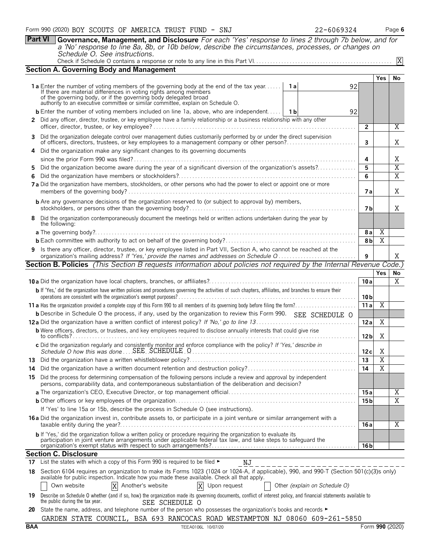**Part VI Governance, Management, and Disclosure** *For each 'Yes' response to lines 2 through 7b below, and for a 'No' response to line 8a, 8b, or 10b below, describe the circumstances, processes, or changes on Schedule O. See instructions.*

|--|--|

|                                                                                                                                        | <b>Section A. Governing Body and Management</b>                                                                                                                                                                                            |                 |                |                       |  |  |  |  |  |
|----------------------------------------------------------------------------------------------------------------------------------------|--------------------------------------------------------------------------------------------------------------------------------------------------------------------------------------------------------------------------------------------|-----------------|----------------|-----------------------|--|--|--|--|--|
|                                                                                                                                        |                                                                                                                                                                                                                                            |                 | Yes            | No                    |  |  |  |  |  |
|                                                                                                                                        | <b>1a</b> Enter the number of voting members of the governing body at the end of the tax year<br>1 a<br>92<br>If there are material differences in voting rights among members                                                             |                 |                |                       |  |  |  |  |  |
|                                                                                                                                        | of the governing body, or if the governing body delegated broad<br>authority to an executive committee or similar committee, explain on Schedule O.                                                                                        |                 |                |                       |  |  |  |  |  |
|                                                                                                                                        | <b>b</b> Enter the number of voting members included on line 1a, above, who are independent   1b<br>92                                                                                                                                     |                 |                |                       |  |  |  |  |  |
|                                                                                                                                        | 2 Did any officer, director, trustee, or key employee have a family relationship or a business relationship with any other                                                                                                                 |                 |                |                       |  |  |  |  |  |
|                                                                                                                                        |                                                                                                                                                                                                                                            | $\overline{2}$  |                | Χ                     |  |  |  |  |  |
|                                                                                                                                        | 3 Did the organization delegate control over management duties customarily performed by or under the direct supervision<br>of officers, directors, trustees, or key employees to a management company or other person?                     | 3               |                | Χ                     |  |  |  |  |  |
|                                                                                                                                        | Did the organization make any significant changes to its governing documents<br>4                                                                                                                                                          | 4               |                | Χ                     |  |  |  |  |  |
|                                                                                                                                        | Did the organization become aware during the year of a significant diversion of the organization's assets?                                                                                                                                 | 5               |                | $\overline{\text{X}}$ |  |  |  |  |  |
| 5.<br>6.                                                                                                                               |                                                                                                                                                                                                                                            |                 |                |                       |  |  |  |  |  |
|                                                                                                                                        | 7 a Did the organization have members, stockholders, or other persons who had the power to elect or appoint one or more                                                                                                                    | 6<br>7 a        |                | $\overline{X}$<br>X   |  |  |  |  |  |
|                                                                                                                                        | <b>b</b> Are any governance decisions of the organization reserved to (or subject to approval by) members,                                                                                                                                 |                 |                |                       |  |  |  |  |  |
|                                                                                                                                        |                                                                                                                                                                                                                                            | 7 b             |                | X                     |  |  |  |  |  |
| 8 Did the organization contemporaneously document the meetings held or written actions undertaken during the year by<br>the following: |                                                                                                                                                                                                                                            |                 |                |                       |  |  |  |  |  |
|                                                                                                                                        |                                                                                                                                                                                                                                            | 8 a             | Χ              |                       |  |  |  |  |  |
|                                                                                                                                        |                                                                                                                                                                                                                                            | 8 <sub>b</sub>  | $\overline{X}$ |                       |  |  |  |  |  |
|                                                                                                                                        | 9 Is there any officer, director, trustee, or key employee listed in Part VII, Section A, who cannot be reached at the                                                                                                                     |                 |                |                       |  |  |  |  |  |
|                                                                                                                                        |                                                                                                                                                                                                                                            |                 |                |                       |  |  |  |  |  |
| <b>Section B. Policies</b> (This Section B requests information about policies not required by the Internal Revenue Code.)             |                                                                                                                                                                                                                                            |                 |                |                       |  |  |  |  |  |
|                                                                                                                                        |                                                                                                                                                                                                                                            |                 | <b>Yes</b>     | No                    |  |  |  |  |  |
|                                                                                                                                        |                                                                                                                                                                                                                                            | 10a             |                | $\overline{X}$        |  |  |  |  |  |
|                                                                                                                                        | b If 'Yes,' did the organization have written policies and procedures governing the activities of such chapters, affiliates, and branches to ensure their                                                                                  | 10 <sub>b</sub> |                |                       |  |  |  |  |  |
|                                                                                                                                        |                                                                                                                                                                                                                                            | 11a             | $\overline{X}$ |                       |  |  |  |  |  |
|                                                                                                                                        | <b>b</b> Describe in Schedule O the process, if any, used by the organization to review this Form 990. SEE SCHEDULE O                                                                                                                      |                 |                |                       |  |  |  |  |  |
|                                                                                                                                        |                                                                                                                                                                                                                                            | 12a             | Χ              |                       |  |  |  |  |  |
|                                                                                                                                        | <b>b</b> Were officers, directors, or trustees, and key employees required to disclose annually interests that could give rise                                                                                                             | 12 <sub>b</sub> | Χ              |                       |  |  |  |  |  |
|                                                                                                                                        | c Did the organization regularly and consistently monitor and enforce compliance with the policy? If 'Yes,' describe in                                                                                                                    | 12c             | Χ              |                       |  |  |  |  |  |
|                                                                                                                                        |                                                                                                                                                                                                                                            | 13              | $\overline{X}$ |                       |  |  |  |  |  |
| 14                                                                                                                                     |                                                                                                                                                                                                                                            | 14              | $\overline{X}$ |                       |  |  |  |  |  |
|                                                                                                                                        | 15 Did the process for determining compensation of the following persons include a review and approval by independent<br>persons, comparability data, and contemporaneous substantiation of the deliberation and decision?                 |                 |                |                       |  |  |  |  |  |
|                                                                                                                                        |                                                                                                                                                                                                                                            | 15 a            |                | Χ                     |  |  |  |  |  |
|                                                                                                                                        |                                                                                                                                                                                                                                            | 15 <sub>b</sub> |                | $\overline{X}$        |  |  |  |  |  |
|                                                                                                                                        | If 'Yes' to line 15a or 15b, describe the process in Schedule O (see instructions).                                                                                                                                                        |                 |                |                       |  |  |  |  |  |
|                                                                                                                                        | 16 a Did the organization invest in, contribute assets to, or participate in a joint venture or similar arrangement with a                                                                                                                 | 16 a            |                | X                     |  |  |  |  |  |
|                                                                                                                                        | b If 'Yes,' did the organization follow a written policy or procedure requiring the organization to evaluate its                                                                                                                           |                 |                |                       |  |  |  |  |  |
|                                                                                                                                        | participation in joint venture arrangements under applicable federal tax law, and take steps to safeguard the                                                                                                                              | 16 <sub>b</sub> |                |                       |  |  |  |  |  |
|                                                                                                                                        | <b>Section C. Disclosure</b>                                                                                                                                                                                                               |                 |                |                       |  |  |  |  |  |
|                                                                                                                                        | 17 List the states with which a copy of this Form 990 is required to be filed $\blacktriangleright$<br>ΝJ                                                                                                                                  |                 |                |                       |  |  |  |  |  |
|                                                                                                                                        | 18 Section 6104 requires an organization to make its Forms 1023 (1024 or 1024-A, if applicable), 990, and 990-T (Section 501(c)(3)s only)<br>available for public inspection. Indicate how you made these available. Check all that apply. |                 |                |                       |  |  |  |  |  |
|                                                                                                                                        | X<br>Another's website<br>Other (explain on Schedule O)<br>Own website<br>X<br>Upon request                                                                                                                                                |                 |                |                       |  |  |  |  |  |
|                                                                                                                                        | 19 Describe on Schedule O whether (and if so, how) the organization made its governing documents, conflict of interest policy, and financial statements available to<br>the public during the tax year.<br>SEE SCHEDULE O                  |                 |                |                       |  |  |  |  |  |
| 20                                                                                                                                     | State the name, address, and telephone number of the person who possesses the organization's books and records ►                                                                                                                           |                 |                |                       |  |  |  |  |  |

|  |  |  |  | Le bidio tho hanno, dadress, and tolophone hannon or the porson mile possesses the organization's books and roomas |  |  |  |
|--|--|--|--|--------------------------------------------------------------------------------------------------------------------|--|--|--|
|  |  |  |  | GARDEN STATE COUNCIL, BSA 693 RANCOCAS ROAD WESTAMPTON NJ 08060 609-261-5850                                       |  |  |  |

X

| AWEKICH IKUDI LUND - DNJ |  |  |  |  |
|--------------------------|--|--|--|--|
|                          |  |  |  |  |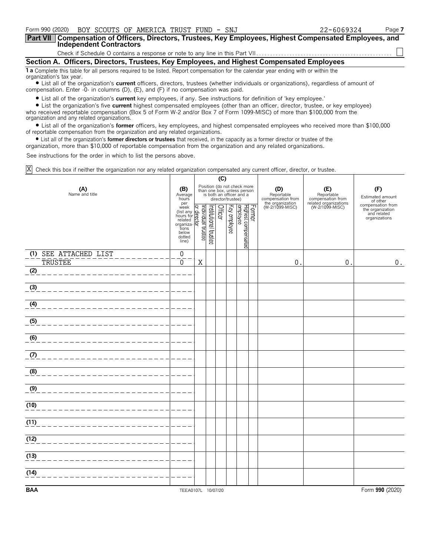| Form 990 (2020) BOY SCOUTS OF AMERICA TRUST FUND - SNJ                                                                                                                                                                                | 22-6069324 | Page 7 |  |  |  |  |  |  |
|---------------------------------------------------------------------------------------------------------------------------------------------------------------------------------------------------------------------------------------|------------|--------|--|--|--|--|--|--|
| <b>Part VII</b><br>Compensation of Officers, Directors, Trustees, Key Employees, Highest Compensated Employees, and<br><b>Independent Contractors</b>                                                                                 |            |        |  |  |  |  |  |  |
|                                                                                                                                                                                                                                       |            |        |  |  |  |  |  |  |
| Section A. Officers, Directors, Trustees, Key Employees, and Highest Compensated Employees                                                                                                                                            |            |        |  |  |  |  |  |  |
| <b>1 a</b> Complete this table for all persons required to be listed. Report compensation for the calendar year ending with or within the<br>organization's tax year.                                                                 |            |        |  |  |  |  |  |  |
| • List all of the organization's <b>current</b> officers, directors, trustees (whether individuals or organizations), regardless of amount of<br>compensation. Enter $-0$ - in columns (D), (E), and (F) if no compensation was paid. |            |        |  |  |  |  |  |  |

? List all of the organization's **current** key employees, if any. See instructions for definition of 'key employee.'

? List the organization's five **current** highest compensated employees (other than an officer, director, trustee, or key employee) who received reportable compensation (Box 5 of Form W-2 and/or Box 7 of Form 1099-MISC) of more than \$100,000 from the organization and any related organizations.

? List all of the organization's **former** officers, key employees, and highest compensated employees who received more than \$100,000 of reportable compensation from the organization and any related organizations.

? List all of the organization's **former directors or trustees** that received, in the capacity as a former director or trustee of the

organization, more than \$10,000 of reportable compensation from the organization and any related organizations.

See instructions for the order in which to list the persons above.

Check this box if neither the organization nor any related organization compensated any current officer, director, or trustee. X

|                                         |                                                                                                                                          | (C) |                       |         |              |                                                                                                             |        |                                                                               |                                          |                                                                                   |
|-----------------------------------------|------------------------------------------------------------------------------------------------------------------------------------------|-----|-----------------------|---------|--------------|-------------------------------------------------------------------------------------------------------------|--------|-------------------------------------------------------------------------------|------------------------------------------|-----------------------------------------------------------------------------------|
| (A)<br>Name and title                   |                                                                                                                                          |     |                       |         |              | Position (do not check more<br>than one box, unless person<br>is both an officer and a<br>director/trustee) |        | (D)<br>Reportable<br>compensation from<br>the organization<br>(W-2/1099-MISC) | (E)<br>Reportable<br>compensation from   | (F)<br>Estimated amount<br>of other                                               |
|                                         | per<br>per<br>(list any Graph<br>(list any Graph<br>hours for pelated<br>related<br>tions<br>below<br>dotted<br>line)<br>(line)<br>line) |     | Institutional trustee | Officer | Key employee | Highest compensated<br>employee                                                                             | Former |                                                                               | related organizations<br>(W-2/1099-MISC) | of other<br>compensation from<br>the organization<br>and related<br>organizations |
| (1) SEE ATTACHED LIST<br><b>TRUSTEE</b> | $\boldsymbol{0}$<br>$\mathbf 0$                                                                                                          | X   |                       |         |              |                                                                                                             |        | $\mathbf 0$                                                                   | $\boldsymbol{0}$                         | $0$ .                                                                             |
| (2)                                     |                                                                                                                                          |     |                       |         |              |                                                                                                             |        |                                                                               |                                          |                                                                                   |
| (3)                                     |                                                                                                                                          |     |                       |         |              |                                                                                                             |        |                                                                               |                                          |                                                                                   |
| (4)                                     |                                                                                                                                          |     |                       |         |              |                                                                                                             |        |                                                                               |                                          |                                                                                   |
| (5)                                     |                                                                                                                                          |     |                       |         |              |                                                                                                             |        |                                                                               |                                          |                                                                                   |
| (6)                                     |                                                                                                                                          |     |                       |         |              |                                                                                                             |        |                                                                               |                                          |                                                                                   |
| (7)                                     |                                                                                                                                          |     |                       |         |              |                                                                                                             |        |                                                                               |                                          |                                                                                   |
| (8)                                     |                                                                                                                                          |     |                       |         |              |                                                                                                             |        |                                                                               |                                          |                                                                                   |
| (9)                                     |                                                                                                                                          |     |                       |         |              |                                                                                                             |        |                                                                               |                                          |                                                                                   |
| (10)                                    |                                                                                                                                          |     |                       |         |              |                                                                                                             |        |                                                                               |                                          |                                                                                   |
| (11)                                    |                                                                                                                                          |     |                       |         |              |                                                                                                             |        |                                                                               |                                          |                                                                                   |
| (12)                                    |                                                                                                                                          |     |                       |         |              |                                                                                                             |        |                                                                               |                                          |                                                                                   |
| (13)                                    |                                                                                                                                          |     |                       |         |              |                                                                                                             |        |                                                                               |                                          |                                                                                   |
| (14)                                    |                                                                                                                                          |     |                       |         |              |                                                                                                             |        |                                                                               |                                          |                                                                                   |
| <b>BAA</b>                              | TEEA0107L 10/07/20                                                                                                                       |     |                       |         |              |                                                                                                             |        |                                                                               |                                          | Form 990 (2020)                                                                   |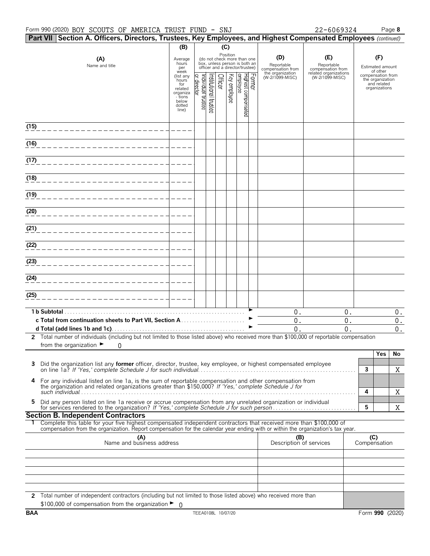| Part VII   Section A. Officers, Directors, Trustees, Key Employees, and Highest Compensated Employees (continued)                                                                                                                                      |                                                              |                              |                      |              |                                                                                                             |        |                                                                               |                                                                                    |                     |                                                                                             |                    |
|--------------------------------------------------------------------------------------------------------------------------------------------------------------------------------------------------------------------------------------------------------|--------------------------------------------------------------|------------------------------|----------------------|--------------|-------------------------------------------------------------------------------------------------------------|--------|-------------------------------------------------------------------------------|------------------------------------------------------------------------------------|---------------------|---------------------------------------------------------------------------------------------|--------------------|
|                                                                                                                                                                                                                                                        | (B)                                                          |                              |                      | (C)          |                                                                                                             |        |                                                                               |                                                                                    |                     |                                                                                             |                    |
| (A)<br>Name and title                                                                                                                                                                                                                                  | Average<br>hours<br>per<br>week<br>(list any<br>hours<br>for |                              | Officer              |              | Position<br>(do not check more than one<br>box, unless person is both an<br>officer and a director/trustee) | Former | (D)<br>Reportable<br>compensation from<br>the organization<br>(W-2/1099-MISC) | (E)<br>Reportable<br>compensation from<br>related organizations<br>(W-2/1099-MISC) |                     | (F)<br>Estimated amount<br>of other<br>compensation from<br>the organization<br>and related |                    |
|                                                                                                                                                                                                                                                        | related<br>organiza<br>- tions<br>below<br>dotted<br>line)   | ndividual trustee<br>irector | nstitutional trustee | Key employee | Highest compensated<br>employee                                                                             |        |                                                                               |                                                                                    |                     | organizations                                                                               |                    |
| (15)                                                                                                                                                                                                                                                   |                                                              |                              |                      |              |                                                                                                             |        |                                                                               |                                                                                    |                     |                                                                                             |                    |
| (16)                                                                                                                                                                                                                                                   |                                                              |                              |                      |              |                                                                                                             |        |                                                                               |                                                                                    |                     |                                                                                             |                    |
| (17)                                                                                                                                                                                                                                                   |                                                              |                              |                      |              |                                                                                                             |        |                                                                               |                                                                                    |                     |                                                                                             |                    |
| (18)                                                                                                                                                                                                                                                   |                                                              |                              |                      |              |                                                                                                             |        |                                                                               |                                                                                    |                     |                                                                                             |                    |
| (19)                                                                                                                                                                                                                                                   |                                                              |                              |                      |              |                                                                                                             |        |                                                                               |                                                                                    |                     |                                                                                             |                    |
| (20)                                                                                                                                                                                                                                                   |                                                              |                              |                      |              |                                                                                                             |        |                                                                               |                                                                                    |                     |                                                                                             |                    |
| (21)                                                                                                                                                                                                                                                   |                                                              |                              |                      |              |                                                                                                             |        |                                                                               |                                                                                    |                     |                                                                                             |                    |
| (22)                                                                                                                                                                                                                                                   |                                                              |                              |                      |              |                                                                                                             |        |                                                                               |                                                                                    |                     |                                                                                             |                    |
| (23)                                                                                                                                                                                                                                                   |                                                              |                              |                      |              |                                                                                                             |        |                                                                               |                                                                                    |                     |                                                                                             |                    |
| (24)                                                                                                                                                                                                                                                   |                                                              |                              |                      |              |                                                                                                             |        |                                                                               |                                                                                    |                     |                                                                                             |                    |
| (25)                                                                                                                                                                                                                                                   |                                                              |                              |                      |              |                                                                                                             |        |                                                                               |                                                                                    |                     |                                                                                             |                    |
| 1 b Subtotal                                                                                                                                                                                                                                           |                                                              |                              |                      |              |                                                                                                             |        | $0$ .                                                                         | $0$ .                                                                              |                     |                                                                                             | 0.                 |
|                                                                                                                                                                                                                                                        |                                                              |                              |                      |              |                                                                                                             |        | $\boldsymbol{0}$ .                                                            | $0$ .                                                                              |                     |                                                                                             | $\boldsymbol{0}$ . |
|                                                                                                                                                                                                                                                        |                                                              |                              |                      |              |                                                                                                             |        | 0.                                                                            | 0.                                                                                 |                     |                                                                                             | $\boldsymbol{0}$ . |
| 2 Total number of individuals (including but not limited to those listed above) who received more than \$100,000 of reportable compensation                                                                                                            |                                                              |                              |                      |              |                                                                                                             |        |                                                                               |                                                                                    |                     |                                                                                             |                    |
| from the organization $\blacktriangleright$<br>0                                                                                                                                                                                                       |                                                              |                              |                      |              |                                                                                                             |        |                                                                               |                                                                                    |                     |                                                                                             |                    |
|                                                                                                                                                                                                                                                        |                                                              |                              |                      |              |                                                                                                             |        |                                                                               |                                                                                    |                     | Yes                                                                                         | No                 |
| Did the organization list any former officer, director, trustee, key employee, or highest compensated employee                                                                                                                                         |                                                              |                              |                      |              |                                                                                                             |        |                                                                               |                                                                                    | 3                   |                                                                                             | Χ                  |
| 4 For any individual listed on line 1a, is the sum of reportable compensation and other compensation from<br>the organization and related organizations greater than \$150,000? If 'Yes,' complete Schedule J for                                      |                                                              |                              |                      |              |                                                                                                             |        |                                                                               |                                                                                    |                     |                                                                                             |                    |
| Did any person listed on line 1a receive or accrue compensation from any unrelated organization or individual<br>5.                                                                                                                                    |                                                              |                              |                      |              |                                                                                                             |        |                                                                               |                                                                                    | 4<br>5              |                                                                                             | X                  |
| <b>Section B. Independent Contractors</b>                                                                                                                                                                                                              |                                                              |                              |                      |              |                                                                                                             |        |                                                                               |                                                                                    |                     |                                                                                             | X                  |
| Complete this table for your five highest compensated independent contractors that received more than \$100,000 of<br>compensation from the organization. Report compensation for the calendar year ending with or within the organization's tax year. |                                                              |                              |                      |              |                                                                                                             |        |                                                                               |                                                                                    |                     |                                                                                             |                    |
| (A)<br>Name and business address                                                                                                                                                                                                                       |                                                              |                              |                      |              |                                                                                                             |        | (B)<br>Description of services                                                |                                                                                    | (C)<br>Compensation |                                                                                             |                    |
|                                                                                                                                                                                                                                                        |                                                              |                              |                      |              |                                                                                                             |        |                                                                               |                                                                                    |                     |                                                                                             |                    |
|                                                                                                                                                                                                                                                        |                                                              |                              |                      |              |                                                                                                             |        |                                                                               |                                                                                    |                     |                                                                                             |                    |
|                                                                                                                                                                                                                                                        |                                                              |                              |                      |              |                                                                                                             |        |                                                                               |                                                                                    |                     |                                                                                             |                    |
| 2 Total number of independent contractors (including but not limited to those listed above) who received more than                                                                                                                                     |                                                              |                              |                      |              |                                                                                                             |        |                                                                               |                                                                                    |                     |                                                                                             |                    |
| \$100,000 of compensation from the organization $\blacktriangleright$ 0                                                                                                                                                                                |                                                              |                              |                      |              |                                                                                                             |        |                                                                               |                                                                                    |                     |                                                                                             |                    |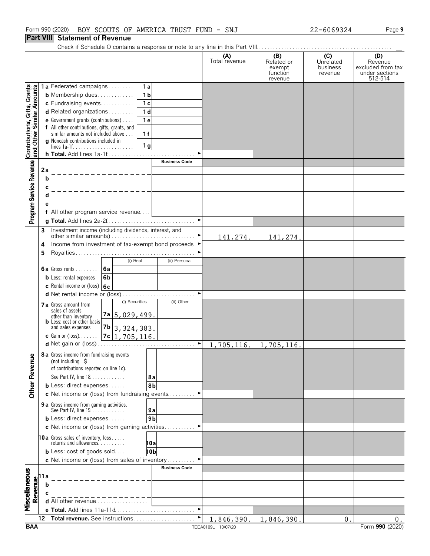**Part VIII Statement of Revenue**

|                                                           |                                                                                                             |                                                                                      |                |                       | (A)<br>Total revenue | (B)<br>Related or<br>exempt<br>function<br>revenue | (C)<br>Unrelated<br>business<br>revenue | (D)<br>Revenue<br>excluded from tax<br>under sections<br>512-514 |
|-----------------------------------------------------------|-------------------------------------------------------------------------------------------------------------|--------------------------------------------------------------------------------------|----------------|-----------------------|----------------------|----------------------------------------------------|-----------------------------------------|------------------------------------------------------------------|
|                                                           |                                                                                                             | 1a Federated campaigns                                                               | 1 a            |                       |                      |                                                    |                                         |                                                                  |
| Contributions, Gifts, Grants<br>and Other Similar Amounts |                                                                                                             | <b>b</b> Membership dues                                                             | $\overline{1}$ |                       |                      |                                                    |                                         |                                                                  |
|                                                           |                                                                                                             | c Fundraising events                                                                 | 1 <sub>c</sub> |                       |                      |                                                    |                                         |                                                                  |
|                                                           |                                                                                                             | d Related organizations                                                              | 1 <sub>d</sub> |                       |                      |                                                    |                                         |                                                                  |
|                                                           |                                                                                                             | e Government grants (contributions)<br>f All other contributions, gifts, grants, and | 1e             |                       |                      |                                                    |                                         |                                                                  |
|                                                           |                                                                                                             | similar amounts not included above                                                   | 1f             |                       |                      |                                                    |                                         |                                                                  |
|                                                           |                                                                                                             | g Noncash contributions included in                                                  |                |                       |                      |                                                    |                                         |                                                                  |
|                                                           |                                                                                                             |                                                                                      | 1 <sub>q</sub> | ٠                     |                      |                                                    |                                         |                                                                  |
|                                                           |                                                                                                             |                                                                                      |                | <b>Business Code</b>  |                      |                                                    |                                         |                                                                  |
| Program Service Revenue                                   | 2a                                                                                                          |                                                                                      |                |                       |                      |                                                    |                                         |                                                                  |
|                                                           | b                                                                                                           |                                                                                      |                |                       |                      |                                                    |                                         |                                                                  |
|                                                           | C                                                                                                           |                                                                                      |                |                       |                      |                                                    |                                         |                                                                  |
|                                                           |                                                                                                             |                                                                                      |                |                       |                      |                                                    |                                         |                                                                  |
|                                                           |                                                                                                             |                                                                                      |                |                       |                      |                                                    |                                         |                                                                  |
|                                                           |                                                                                                             | f All other program service revenue                                                  |                |                       |                      |                                                    |                                         |                                                                  |
|                                                           |                                                                                                             |                                                                                      |                | $\blacktriangleright$ |                      |                                                    |                                         |                                                                  |
|                                                           | 3                                                                                                           | Investment income (including dividends, interest, and                                |                |                       |                      |                                                    |                                         |                                                                  |
|                                                           | 4                                                                                                           | Income from investment of tax-exempt bond proceeds ▶                                 |                |                       | 141,274.             | 141,274.                                           |                                         |                                                                  |
|                                                           | 5                                                                                                           |                                                                                      |                |                       |                      |                                                    |                                         |                                                                  |
|                                                           |                                                                                                             | (i) Real                                                                             |                | (ii) Personal         |                      |                                                    |                                         |                                                                  |
|                                                           |                                                                                                             | 6a<br><b>6a</b> Gross rents $\ldots$                                                 |                |                       |                      |                                                    |                                         |                                                                  |
|                                                           |                                                                                                             | <b>b</b> Less: rental expenses<br>6 <sub>b</sub>                                     |                |                       |                      |                                                    |                                         |                                                                  |
|                                                           |                                                                                                             | c Rental income or (loss) $6c$                                                       |                |                       |                      |                                                    |                                         |                                                                  |
|                                                           |                                                                                                             | d Net rental income or (loss)                                                        |                |                       |                      |                                                    |                                         |                                                                  |
|                                                           |                                                                                                             | (i) Securities<br><b>7 a</b> Gross amount from                                       |                | (ii) Other            |                      |                                                    |                                         |                                                                  |
|                                                           |                                                                                                             | sales of assets<br>7a 5, 029, 499.<br>other than inventory                           |                |                       |                      |                                                    |                                         |                                                                  |
|                                                           |                                                                                                             | <b>b</b> Less: cost or other basis<br>and sales expenses                             |                |                       |                      |                                                    |                                         |                                                                  |
|                                                           |                                                                                                             | $7b$ 3, 324, 383.<br>7c 1,705,116.<br><b>c</b> Gain or (loss) $\ldots$ .             |                |                       |                      |                                                    |                                         |                                                                  |
|                                                           |                                                                                                             |                                                                                      |                |                       | 1,705,116.           | 1,705,116.                                         |                                         |                                                                  |
| Φ                                                         |                                                                                                             | 8 a Gross income from fundraising events                                             |                |                       |                      |                                                    |                                         |                                                                  |
|                                                           |                                                                                                             | (not including $\zeta$                                                               |                |                       |                      |                                                    |                                         |                                                                  |
|                                                           |                                                                                                             | of contributions reported on line 1c).                                               |                |                       |                      |                                                    |                                         |                                                                  |
|                                                           |                                                                                                             | See Part IV, line 18                                                                 | 8а             |                       |                      |                                                    |                                         |                                                                  |
| <b>Other Revenu</b>                                       |                                                                                                             | <b>b</b> Less: direct expenses                                                       | 8b             |                       |                      |                                                    |                                         |                                                                  |
|                                                           |                                                                                                             | c Net income or (loss) from fundraising events                                       |                |                       |                      |                                                    |                                         |                                                                  |
|                                                           |                                                                                                             | 9 a Gross income from gaming activities.<br>See Part IV, line 19.                    | 9a             |                       |                      |                                                    |                                         |                                                                  |
|                                                           |                                                                                                             | <b>b</b> Less: direct expenses                                                       | 9 <sub>b</sub> |                       |                      |                                                    |                                         |                                                                  |
|                                                           |                                                                                                             | c Net income or (loss) from gaming activities                                        |                |                       |                      |                                                    |                                         |                                                                  |
|                                                           |                                                                                                             |                                                                                      |                |                       |                      |                                                    |                                         |                                                                  |
|                                                           |                                                                                                             | <b>10a</b> Gross sales of inventory, less<br>returns and allowances                  | 10a            |                       |                      |                                                    |                                         |                                                                  |
|                                                           |                                                                                                             | <b>b</b> Less: cost of goods sold                                                    | 10 b           |                       |                      |                                                    |                                         |                                                                  |
|                                                           |                                                                                                             | c Net income or (loss) from sales of inventory                                       |                |                       |                      |                                                    |                                         |                                                                  |
|                                                           |                                                                                                             |                                                                                      |                | <b>Business Code</b>  |                      |                                                    |                                         |                                                                  |
|                                                           |                                                                                                             |                                                                                      |                |                       |                      |                                                    |                                         |                                                                  |
|                                                           |                                                                                                             |                                                                                      |                |                       |                      |                                                    |                                         |                                                                  |
| Miscellaneous                                             | $\begin{array}{c}\n\hline\n\text{Revalue} \\ \hline\n\text{or} \\ \hline\n\text{or} \\ \hline\n\end{array}$ | <b>d</b> All other revenue $\ldots \ldots \ldots \ldots \ldots$                      |                |                       |                      |                                                    |                                         |                                                                  |
|                                                           |                                                                                                             |                                                                                      |                |                       |                      |                                                    |                                         |                                                                  |
|                                                           | 12                                                                                                          | Total revenue. See instructions                                                      |                |                       | 1,846,390.           | 1,846,390                                          | $0$ .                                   | $0$ .                                                            |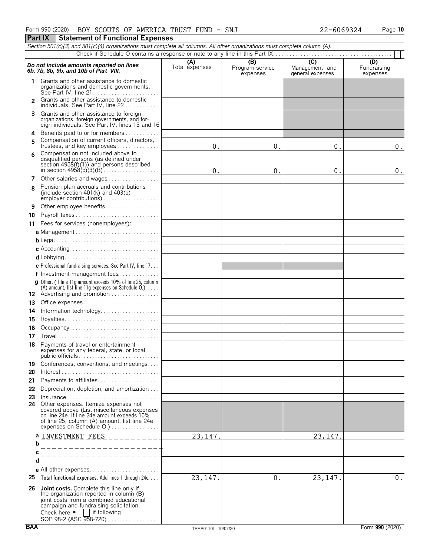|               | Section 501(c)(3) and 501(c)(4) organizations must complete all columns. All other organizations must complete column (A).                                                                                                                                        |                       |                                    |                                                      |                                |
|---------------|-------------------------------------------------------------------------------------------------------------------------------------------------------------------------------------------------------------------------------------------------------------------|-----------------------|------------------------------------|------------------------------------------------------|--------------------------------|
|               |                                                                                                                                                                                                                                                                   |                       |                                    |                                                      |                                |
|               | Do not include amounts reported on lines<br>6b, 7b, 8b, 9b, and 10b of Part VIII.                                                                                                                                                                                 | (A)<br>Total expenses | (B)<br>Program service<br>expenses | $\overline{C}$<br>Management and<br>general expenses | (D)<br>Fundraising<br>expenses |
| 1.            | Grants and other assistance to domestic<br>organizations and domestic governments.                                                                                                                                                                                |                       |                                    |                                                      |                                |
| $\mathcal{P}$ | Grants and other assistance to domestic<br>individuals. See Part IV, line 22                                                                                                                                                                                      |                       |                                    |                                                      |                                |
| 3.            | Grants and other assistance to foreign<br>organizations, foreign governments, and for-<br>eign individuals. See Part IV, lines 15 and 16                                                                                                                          |                       |                                    |                                                      |                                |
| 4             | Benefits paid to or for members                                                                                                                                                                                                                                   |                       |                                    |                                                      |                                |
| 5             | Compensation of current officers, directors,<br>trustees, and key employees                                                                                                                                                                                       | 0.                    | 0.                                 | 0.                                                   | $\boldsymbol{0}$ .             |
| 6             | Compensation not included above to<br>disqualified persons (as defined under<br>section 4958(f)(1)) and persons described                                                                                                                                         | 0.                    | 0.                                 | 0.                                                   | 0.                             |
| 7             | Other salaries and wages                                                                                                                                                                                                                                          |                       |                                    |                                                      |                                |
| 8             | Pension plan accruals and contributions<br>(include section $401(k)$ and $403(b)$                                                                                                                                                                                 |                       |                                    |                                                      |                                |
| 9             | Other employee benefits                                                                                                                                                                                                                                           |                       |                                    |                                                      |                                |
| 10            | Payroll taxes                                                                                                                                                                                                                                                     |                       |                                    |                                                      |                                |
| 11            | Fees for services (nonemployees):                                                                                                                                                                                                                                 |                       |                                    |                                                      |                                |
|               |                                                                                                                                                                                                                                                                   |                       |                                    |                                                      |                                |
|               |                                                                                                                                                                                                                                                                   |                       |                                    |                                                      |                                |
|               |                                                                                                                                                                                                                                                                   |                       |                                    |                                                      |                                |
|               |                                                                                                                                                                                                                                                                   |                       |                                    |                                                      |                                |
|               |                                                                                                                                                                                                                                                                   |                       |                                    |                                                      |                                |
|               | <b>e</b> Professional fundraising services. See Part IV, line $17$                                                                                                                                                                                                |                       |                                    |                                                      |                                |
|               | f Investment management fees                                                                                                                                                                                                                                      |                       |                                    |                                                      |                                |
|               | <b>g</b> Other. (If line 11g amount exceeds 10% of line 25, column<br>(A) amount, list line 11g expenses on Schedule $0.$ )                                                                                                                                       |                       |                                    |                                                      |                                |
|               |                                                                                                                                                                                                                                                                   |                       |                                    |                                                      |                                |
| 13            |                                                                                                                                                                                                                                                                   |                       |                                    |                                                      |                                |
| 14            | Information technology                                                                                                                                                                                                                                            |                       |                                    |                                                      |                                |
| 15            |                                                                                                                                                                                                                                                                   |                       |                                    |                                                      |                                |
| 16            | Occupancy                                                                                                                                                                                                                                                         |                       |                                    |                                                      |                                |
| 17            |                                                                                                                                                                                                                                                                   |                       |                                    |                                                      |                                |
| 18            | Payments of travel or entertainment<br>expenses for any federal, state, or local                                                                                                                                                                                  |                       |                                    |                                                      |                                |
| 19<br>20      | Conferences, conventions, and meetings                                                                                                                                                                                                                            |                       |                                    |                                                      |                                |
| 21            | Payments to affiliates                                                                                                                                                                                                                                            |                       |                                    |                                                      |                                |
| 22            | Depreciation, depletion, and amortization                                                                                                                                                                                                                         |                       |                                    |                                                      |                                |
| 23            | Insurance                                                                                                                                                                                                                                                         |                       |                                    |                                                      |                                |
|               | 24 Other expenses. Itemize expenses not<br>covered above (List miscellaneous expenses<br>on line 24e. If line 24e amount exceeds 10%<br>of line 25, column (A) amount, list line 24e<br>expenses on Schedule O.)                                                  |                       |                                    |                                                      |                                |
| b             | a INVESTMENT FEES<br>.                                                                                                                                                                                                                                            | 23, 147.              |                                    | 23, 147.                                             |                                |
| С             |                                                                                                                                                                                                                                                                   |                       |                                    |                                                      |                                |
|               |                                                                                                                                                                                                                                                                   |                       |                                    |                                                      |                                |
|               | ____________                                                                                                                                                                                                                                                      |                       |                                    |                                                      |                                |
|               |                                                                                                                                                                                                                                                                   |                       |                                    |                                                      |                                |
| 25            | Total functional expenses. Add lines 1 through 24e.                                                                                                                                                                                                               | 23, 147.              | 0.                                 | 23, 147.                                             | $\mathbf 0$ .                  |
| 26            | Joint costs. Complete this line only if<br>the organization reported in column (B)<br>joint costs from a combined educational<br>campaign and fundraising solicitation.<br>Check here $\blacktriangleright$ $\blacksquare$ if following<br>SOP 98-2 (ASC 958-720) |                       |                                    |                                                      |                                |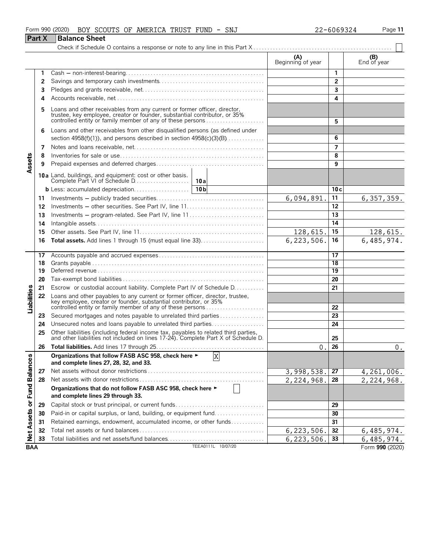|                             |               | Form 990 (2020)<br>BOY SCOUTS OF AMERICA TRUST FUND - SNJ                                                                                                                                                       |                            | 22-6069324      | Page 11            |
|-----------------------------|---------------|-----------------------------------------------------------------------------------------------------------------------------------------------------------------------------------------------------------------|----------------------------|-----------------|--------------------|
|                             | <b>Part X</b> | <b>Balance Sheet</b>                                                                                                                                                                                            |                            |                 |                    |
|                             |               |                                                                                                                                                                                                                 |                            |                 |                    |
|                             |               |                                                                                                                                                                                                                 | (A)<br>Beginning of year   |                 | (B)<br>End of year |
|                             | 1.            |                                                                                                                                                                                                                 |                            | 1               |                    |
|                             | 2             |                                                                                                                                                                                                                 |                            | $\overline{2}$  |                    |
|                             | 3             |                                                                                                                                                                                                                 |                            | 3               |                    |
|                             | 4             |                                                                                                                                                                                                                 |                            | 4               |                    |
|                             |               |                                                                                                                                                                                                                 |                            |                 |                    |
|                             |               | Loans and other receivables from any current or former officer, director, trustee, key employee, creator or founder, substantial contributor, or 35% controlled entity or family member of any of these persons |                            |                 |                    |
|                             |               |                                                                                                                                                                                                                 |                            | 5               |                    |
|                             | 6             | Loans and other receivables from other disqualified persons (as defined under<br>section $4958(f)(1)$ , and persons described in section $4958(c)(3)(B)$                                                        |                            | 6               |                    |
|                             |               |                                                                                                                                                                                                                 |                            |                 |                    |
|                             | 7             |                                                                                                                                                                                                                 |                            | 7               |                    |
|                             | 8             |                                                                                                                                                                                                                 |                            | 8<br>9          |                    |
| Assets                      | 9             |                                                                                                                                                                                                                 |                            |                 |                    |
|                             |               |                                                                                                                                                                                                                 |                            |                 |                    |
|                             |               |                                                                                                                                                                                                                 |                            | 10c             |                    |
|                             | 11            |                                                                                                                                                                                                                 | 6,094,891.                 | 11              | 6, 357, 359.       |
|                             | 12            |                                                                                                                                                                                                                 |                            | 12              |                    |
|                             | 13            | Investments – program-related. See Part IV, line 11                                                                                                                                                             |                            | 13              |                    |
|                             | 14            |                                                                                                                                                                                                                 |                            | 14              |                    |
|                             | 15            |                                                                                                                                                                                                                 | 128,615.                   | 15              | <u>128,615.</u>    |
|                             | 16            |                                                                                                                                                                                                                 | $\overline{6}$ , 223, 506. | 16              | 6,485,974.         |
|                             |               |                                                                                                                                                                                                                 |                            |                 |                    |
|                             | 17<br>18      |                                                                                                                                                                                                                 |                            | 17<br>18        |                    |
|                             | 19            |                                                                                                                                                                                                                 |                            | $\overline{19}$ |                    |
|                             | 20            |                                                                                                                                                                                                                 |                            | 20              |                    |
|                             | 21            | Escrow or custodial account liability. Complete Part IV of Schedule D.                                                                                                                                          |                            | 21              |                    |
| Liabilities                 | 22            |                                                                                                                                                                                                                 |                            |                 |                    |
|                             |               | Loans and other payables to any current or former officer, director, trustee, key employee, creator or founder, substantial contributor, or 35%<br>controlled entity or family member of any of these persons   |                            | 22              |                    |
|                             | 23            | Secured mortgages and notes payable to unrelated third parties                                                                                                                                                  |                            | 23              |                    |
|                             | 24            | Unsecured notes and loans payable to unrelated third parties                                                                                                                                                    |                            | 24              |                    |
|                             | 25            |                                                                                                                                                                                                                 |                            |                 |                    |
|                             |               | Other liabilities (including federal income tax, payables to related third parties, and other liabilities not included on lines 17-24). Complete Part X of Schedule D.                                          |                            | 25              |                    |
|                             | 26            |                                                                                                                                                                                                                 | $\mathbf 0$ .              | 26              | $0$ .              |
|                             |               | X<br>Organizations that follow FASB ASC 958, check here ►                                                                                                                                                       |                            |                 |                    |
|                             |               | and complete lines 27, 28, 32, and 33.                                                                                                                                                                          |                            |                 |                    |
|                             | 27            |                                                                                                                                                                                                                 | 3,998,538.                 | 27              | 4,261,006.         |
|                             | 28            | Organizations that do not follow FASB ASC 958, check here ►                                                                                                                                                     | 2,224,968.                 | 28              | 2,224,968.         |
|                             |               | and complete lines 29 through 33.                                                                                                                                                                               |                            |                 |                    |
| Net Assets or Fund Balances | 29            |                                                                                                                                                                                                                 |                            | 29              |                    |
|                             | 30            | Paid-in or capital surplus, or land, building, or equipment fund                                                                                                                                                |                            | 30              |                    |
|                             | 31            | Retained earnings, endowment, accumulated income, or other funds                                                                                                                                                |                            | 31              |                    |
|                             | 32            |                                                                                                                                                                                                                 | 6, 223, 506.               | 32              | 6,485,974.         |
|                             | 33            | Total liabilities and net assets/fund balances                                                                                                                                                                  | 6,223,506.                 | 33              | 6,485,974.         |
| <b>BAA</b>                  |               | TEEA0111L 10/07/20                                                                                                                                                                                              |                            |                 | Form 990 (2020)    |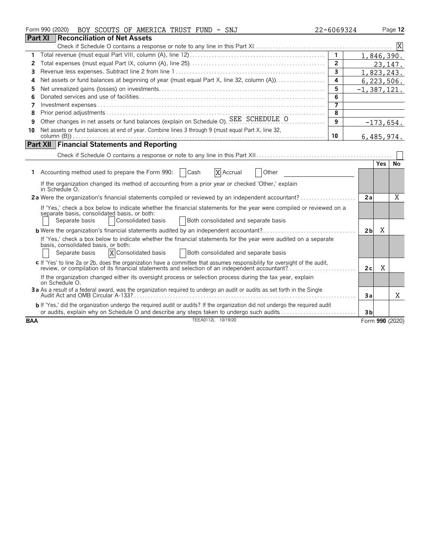|            | Form 990 (2020)<br>BOY SCOUTS OF AMERICA TRUST FUND - SNJ                                                                                                                                                                                            | 22-6069324     |                 |       | Page 12         |
|------------|------------------------------------------------------------------------------------------------------------------------------------------------------------------------------------------------------------------------------------------------------|----------------|-----------------|-------|-----------------|
|            | <b>Part XI</b><br>Reconciliation of Net Assets                                                                                                                                                                                                       |                |                 |       |                 |
|            |                                                                                                                                                                                                                                                      |                |                 |       |                 |
| 1          |                                                                                                                                                                                                                                                      | $\overline{1}$ |                 |       | 1,846,390.      |
| 2          |                                                                                                                                                                                                                                                      | $\overline{2}$ |                 |       | 23, 147.        |
| 3          |                                                                                                                                                                                                                                                      | $\overline{3}$ |                 |       | 1,823,243.      |
| 4          | Net assets or fund balances at beginning of year (must equal Part X, line 32, column (A))                                                                                                                                                            | 4              |                 |       | 6,223,506.      |
| 5          |                                                                                                                                                                                                                                                      | 5              | $-1, 387, 121.$ |       |                 |
| 6          |                                                                                                                                                                                                                                                      | 6              |                 |       |                 |
| 7          |                                                                                                                                                                                                                                                      | 7              |                 |       |                 |
| 8          |                                                                                                                                                                                                                                                      | 8              |                 |       |                 |
| 9          | Other changes in net assets or fund balances (explain on Schedule O). SEE SCHEDULE O                                                                                                                                                                 | 9              |                 |       | $-173,654.$     |
| 10         | Net assets or fund balances at end of year. Combine lines 3 through 9 (must equal Part X, line 32,                                                                                                                                                   |                |                 |       |                 |
|            |                                                                                                                                                                                                                                                      | 10             |                 |       | 6,485,974.      |
|            | <b>Part XII Financial Statements and Reporting</b>                                                                                                                                                                                                   |                |                 |       |                 |
|            |                                                                                                                                                                                                                                                      |                |                 |       |                 |
|            |                                                                                                                                                                                                                                                      |                |                 | Yes I | No              |
|            | X Accrual<br>1 Accounting method used to prepare the Form 990:   Cash<br>Other                                                                                                                                                                       |                |                 |       |                 |
|            | If the organization changed its method of accounting from a prior year or checked 'Other,' explain<br>in Schedule O.                                                                                                                                 |                |                 |       |                 |
|            | 2a Were the organization's financial statements compiled or reviewed by an independent accountant?                                                                                                                                                   |                | 2a              |       | X               |
|            | If 'Yes,' check a box below to indicate whether the financial statements for the year were compiled or reviewed on a<br>separate basis, consolidated basis, or both:<br>Separate basis<br>Consolidated basis<br>Both consolidated and separate basis |                |                 |       |                 |
|            |                                                                                                                                                                                                                                                      |                | 2 <sub>b</sub>  | X     |                 |
|            | If 'Yes,' check a box below to indicate whether the financial statements for the year were audited on a separate<br>basis, consolidated basis, or both:<br>X Consolidated basis<br>Separate basis<br>Both consolidated and separate basis            |                |                 |       |                 |
|            | c If 'Yes' to line 2a or 2b, does the organization have a committee that assumes responsibility for oversight of the audit,<br>review, or compilation of its financial statements and selection of an independent accountant?                        |                | 2c              | X     |                 |
|            | If the organization changed either its oversight process or selection process during the tax year, explain<br>on Schedule O.                                                                                                                         |                |                 |       |                 |
|            | 3a As a result of a federal award, was the organization required to undergo an audit or audits as set forth in the Single                                                                                                                            |                | 3a              |       | X               |
|            | <b>b</b> If 'Yes,' did the organization undergo the required audit or audits? If the organization did not undergo the required audit<br>or audits, explain why on Schedule O and describe any steps taken to undergo such audits                     |                | 3b              |       |                 |
| <b>BAA</b> | TEEA0112L 10/19/20                                                                                                                                                                                                                                   |                |                 |       | Form 990 (2020) |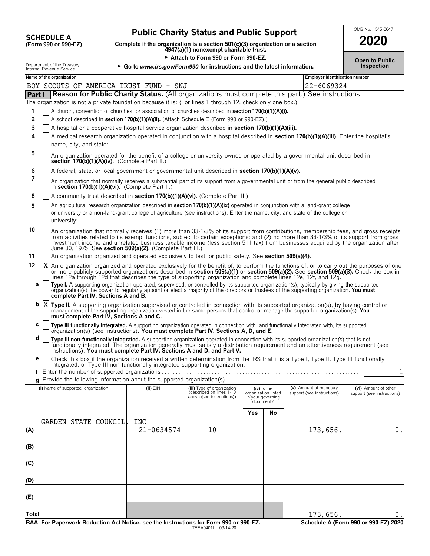| <b>SCHEDULE A</b>    |  |
|----------------------|--|
| (Form 990 or 990.FZ) |  |

# **Public Charity Status and Public Support SUPPOR ADDING. 1545-0047**

**COMPOSCHEDULE A**<br>(Form 990 or 990-EZ) Complete if the organization is a section 501(c)(3) organization or a section<br>4947(a)(1) nonexempt charitable trust.

Attach to Form 990 or Form 990-EZ.

| 2020                                |  |
|-------------------------------------|--|
| <b>Open to Public</b><br>Inchection |  |

|        | Internal Revenue Service                                                                                                                                                                   | Department of the Treasury         |                                          |                                                            | ► Go to www.irs.gov/Form990 for instructions and the latest information.                                       |     |                                                       |                                                                                                                                                                                                                                                                                                                                                                                                                    | Inspection                 |
|--------|--------------------------------------------------------------------------------------------------------------------------------------------------------------------------------------------|------------------------------------|------------------------------------------|------------------------------------------------------------|----------------------------------------------------------------------------------------------------------------|-----|-------------------------------------------------------|--------------------------------------------------------------------------------------------------------------------------------------------------------------------------------------------------------------------------------------------------------------------------------------------------------------------------------------------------------------------------------------------------------------------|----------------------------|
|        | Name of the organization                                                                                                                                                                   |                                    |                                          |                                                            |                                                                                                                |     |                                                       | <b>Employer identification number</b>                                                                                                                                                                                                                                                                                                                                                                              |                            |
|        |                                                                                                                                                                                            |                                    |                                          | BOY SCOUTS OF AMERICA TRUST FUND - SNJ                     |                                                                                                                |     |                                                       | 22-6069324                                                                                                                                                                                                                                                                                                                                                                                                         |                            |
| Part I |                                                                                                                                                                                            |                                    |                                          |                                                            |                                                                                                                |     |                                                       | <b>Reason for Public Charity Status.</b> (All organizations must complete this part.) See instructions.                                                                                                                                                                                                                                                                                                            |                            |
|        |                                                                                                                                                                                            |                                    |                                          |                                                            | The organization is not a private foundation because it is: (For lines 1 through 12, check only one box.)      |     |                                                       |                                                                                                                                                                                                                                                                                                                                                                                                                    |                            |
| 1      |                                                                                                                                                                                            |                                    |                                          |                                                            | A church, convention of churches, or association of churches described in <b>section 170(b)(1)(A)(i).</b>      |     |                                                       |                                                                                                                                                                                                                                                                                                                                                                                                                    |                            |
| 2<br>3 |                                                                                                                                                                                            |                                    |                                          |                                                            | A school described in section 170(b)(1)(A)(ii). (Attach Schedule E (Form 990 or 990-EZ).)                      |     |                                                       |                                                                                                                                                                                                                                                                                                                                                                                                                    |                            |
| 4      |                                                                                                                                                                                            |                                    |                                          |                                                            | A hospital or a cooperative hospital service organization described in section 170(b)(1)(A)(iii).              |     |                                                       | A medical research organization operated in conjunction with a hospital described in section 170(b)(1)(A)(iii). Enter the hospital's                                                                                                                                                                                                                                                                               |                            |
|        |                                                                                                                                                                                            | name, city, and state:             |                                          |                                                            |                                                                                                                |     |                                                       |                                                                                                                                                                                                                                                                                                                                                                                                                    |                            |
| 5      |                                                                                                                                                                                            |                                    |                                          | section 170(b)(1)(A)(iv). (Complete Part II.)              | ------------------------------                                                                                 |     |                                                       | An organization operated for the benefit of a college or university owned or operated by a governmental unit described in                                                                                                                                                                                                                                                                                          |                            |
| 6      | A federal, state, or local government or governmental unit described in section 170(b)(1)(A)(v).                                                                                           |                                    |                                          |                                                            |                                                                                                                |     |                                                       |                                                                                                                                                                                                                                                                                                                                                                                                                    |                            |
| 7      | An organization that normally receives a substantial part of its support from a governmental unit or from the general public described<br>in section 170(b)(1)(A)(vi). (Complete Part II.) |                                    |                                          |                                                            |                                                                                                                |     |                                                       |                                                                                                                                                                                                                                                                                                                                                                                                                    |                            |
| 8      |                                                                                                                                                                                            |                                    |                                          |                                                            | A community trust described in section 170(b)(1)(A)(vi). (Complete Part II.)                                   |     |                                                       |                                                                                                                                                                                                                                                                                                                                                                                                                    |                            |
| 9      |                                                                                                                                                                                            |                                    |                                          |                                                            |                                                                                                                |     |                                                       | An agricultural research organization described in <b>section 170(b)(1)(A)(ix)</b> operated in conjunction with a land-grant college                                                                                                                                                                                                                                                                               |                            |
|        |                                                                                                                                                                                            |                                    |                                          |                                                            |                                                                                                                |     |                                                       | or university or a non-land-grant college of agriculture (see instructions). Enter the name, city, and state of the college or                                                                                                                                                                                                                                                                                     |                            |
|        |                                                                                                                                                                                            | university:                        |                                          |                                                            | ________________________________                                                                               |     |                                                       |                                                                                                                                                                                                                                                                                                                                                                                                                    |                            |
| 10     |                                                                                                                                                                                            |                                    |                                          | June 30, 1975. See section 509(a)(2). (Complete Part III.) |                                                                                                                |     |                                                       | An organization that normally receives (1) more than 33-1/3% of its support from contributions, membership fees, and gross receipts<br>from activities related to its exempt functions, subject to certain exceptions; and (2) no more than 33-1/3% of its support from gross<br>investment income and unrelated business taxable income (less section 511 tax) from businesses acquired by the organization after |                            |
| 11     |                                                                                                                                                                                            |                                    |                                          |                                                            | An organization organized and operated exclusively to test for public safety. See section 509(a)(4).           |     |                                                       |                                                                                                                                                                                                                                                                                                                                                                                                                    |                            |
| 12     | X                                                                                                                                                                                          |                                    |                                          |                                                            | lines 12a through 12d that describes the type of supporting organization and complete lines 12e, 12f, and 12g. |     |                                                       | An organization organized and operated exclusively for the benefit of, to perform the functions of, or to carry out the purposes of one<br>or more publicly supported organizations described in section 509(a)(1) or section 509(a)(2). See section 509(a)(3). Check the box in                                                                                                                                   |                            |
| а      |                                                                                                                                                                                            |                                    | complete Part IV, Sections A and B.      |                                                            |                                                                                                                |     |                                                       | Type I. A supporting organization operated, supervised, or controlled by its supported organization(s), typically by giving the supported organization(s) the power to regularly appoint or elect a majority of the directors                                                                                                                                                                                      |                            |
| b      | X                                                                                                                                                                                          |                                    | must complete Part IV, Sections A and C. |                                                            |                                                                                                                |     |                                                       | Type II. A supporting organization supervised or controlled in connection with its supported organization(s), by having control or<br>management of the supporting organization vested in the same persons that control or manage the supported organization(s). You                                                                                                                                               |                            |
| С      |                                                                                                                                                                                            |                                    |                                          |                                                            | organization(s) (see instructions). You must complete Part IV, Sections A, D, and E.                           |     |                                                       | Type III functionally integrated. A supporting organization operated in connection with, and functionally integrated with, its supported                                                                                                                                                                                                                                                                           |                            |
| d      |                                                                                                                                                                                            |                                    |                                          |                                                            |                                                                                                                |     |                                                       | Type III non-functionally integrated. A supporting organization operated in connection with its supported organization(s) that is not<br>functionally integrated. The organization generally must satisfy a distribution requirement and an attentiveness requirement (see<br>instructions). You must complete Part IV, Sections A and D, and Part V.                                                              |                            |
| е      |                                                                                                                                                                                            |                                    |                                          |                                                            | integrated, or Type III non-functionally integrated supporting organization.                                   |     |                                                       | Check this box if the organization received a written determination from the IRS that it is a Type I, Type II, Type III functionally                                                                                                                                                                                                                                                                               |                            |
|        |                                                                                                                                                                                            |                                    |                                          |                                                            | g Provide the following information about the supported organization(s).                                       |     |                                                       |                                                                                                                                                                                                                                                                                                                                                                                                                    | $1\vert$                   |
|        |                                                                                                                                                                                            | (i) Name of supported organization |                                          | $(ii)$ $EIN$                                               |                                                                                                                |     | $(iv)$ is the                                         | (v) Amount of monetary                                                                                                                                                                                                                                                                                                                                                                                             | (vi) Amount of other       |
|        |                                                                                                                                                                                            |                                    |                                          |                                                            | (iii) Type of organization<br>(described on lines 1-10<br>above (see instructions))                            |     | organization listed<br>in your governing<br>document? | support (see instructions)                                                                                                                                                                                                                                                                                                                                                                                         | support (see instructions) |
|        |                                                                                                                                                                                            |                                    |                                          |                                                            |                                                                                                                | Yes | No                                                    |                                                                                                                                                                                                                                                                                                                                                                                                                    |                            |
|        |                                                                                                                                                                                            |                                    | GARDEN STATE COUNCIL                     | <b>INC</b>                                                 |                                                                                                                |     |                                                       |                                                                                                                                                                                                                                                                                                                                                                                                                    |                            |
| (A)    |                                                                                                                                                                                            |                                    |                                          | 21-0634574                                                 | 10                                                                                                             |     |                                                       | 173,656.                                                                                                                                                                                                                                                                                                                                                                                                           | 0.                         |
| (B)    |                                                                                                                                                                                            |                                    |                                          |                                                            |                                                                                                                |     |                                                       |                                                                                                                                                                                                                                                                                                                                                                                                                    |                            |
| (C)    |                                                                                                                                                                                            |                                    |                                          |                                                            |                                                                                                                |     |                                                       |                                                                                                                                                                                                                                                                                                                                                                                                                    |                            |
| (D)    |                                                                                                                                                                                            |                                    |                                          |                                                            |                                                                                                                |     |                                                       |                                                                                                                                                                                                                                                                                                                                                                                                                    |                            |
| (E)    |                                                                                                                                                                                            |                                    |                                          |                                                            |                                                                                                                |     |                                                       |                                                                                                                                                                                                                                                                                                                                                                                                                    |                            |
|        |                                                                                                                                                                                            |                                    |                                          |                                                            |                                                                                                                |     |                                                       |                                                                                                                                                                                                                                                                                                                                                                                                                    |                            |

**Total**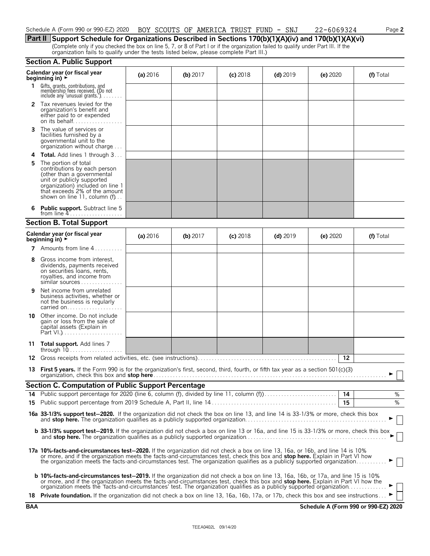**Part II Support Schedule for Organizations Described in Sections 170(b)(1)(A)(iv) and 170(b)(1)(A)(vi)** (Complete only if you checked the box on line 5, 7, or 8 of Part I or if the organization failed to qualify under Part III. If the organization fails to qualify under the tests listed below, please complete Part III.)

| <b>Section A. Public Support</b> |  |  |  |  |
|----------------------------------|--|--|--|--|
|----------------------------------|--|--|--|--|

| Calendar year (or fiscal year<br>beginning in) $\blacktriangleright$ |                                                                                                                                                                                                                                                                                                                                                                                                         | (a) 2016   | (b) $2017$ | $(c)$ 2018 | $(d)$ 2019 | (e) $2020$ | (f) Total |  |
|----------------------------------------------------------------------|---------------------------------------------------------------------------------------------------------------------------------------------------------------------------------------------------------------------------------------------------------------------------------------------------------------------------------------------------------------------------------------------------------|------------|------------|------------|------------|------------|-----------|--|
| 1.                                                                   | Gifts, grants, contributions, and<br>membership fees received. (Do not<br>include any 'unusual grants.'). $\dots$ .                                                                                                                                                                                                                                                                                     |            |            |            |            |            |           |  |
| 2                                                                    | Tax revenues levied for the<br>organization's benefit and<br>either paid to or expended<br>on its behalf                                                                                                                                                                                                                                                                                                |            |            |            |            |            |           |  |
| 3                                                                    | The value of services or<br>facilities furnished by a<br>governmental unit to the<br>organization without charge                                                                                                                                                                                                                                                                                        |            |            |            |            |            |           |  |
| 4                                                                    | <b>Total.</b> Add lines 1 through 3                                                                                                                                                                                                                                                                                                                                                                     |            |            |            |            |            |           |  |
| 5                                                                    | The portion of total<br>contributions by each person<br>(other than a governmental<br>unit or publicly supported<br>organization) included on line 1<br>that exceeds 2% of the amount<br>shown on line 11, column (f)                                                                                                                                                                                   |            |            |            |            |            |           |  |
|                                                                      | <b>Public support.</b> Subtract line 5                                                                                                                                                                                                                                                                                                                                                                  |            |            |            |            |            |           |  |
|                                                                      | <b>Section B. Total Support</b>                                                                                                                                                                                                                                                                                                                                                                         |            |            |            |            |            |           |  |
|                                                                      | Calendar year (or fiscal year<br>beginning in) $\blacktriangleright$                                                                                                                                                                                                                                                                                                                                    | (a) $2016$ | (b) $2017$ | $(c)$ 2018 | $(d)$ 2019 | (e) $2020$ | (f) Total |  |
|                                                                      | <b>7</b> Amounts from line $4, \ldots, \ldots$                                                                                                                                                                                                                                                                                                                                                          |            |            |            |            |            |           |  |
| 8                                                                    | Gross income from interest.<br>dividends, payments received<br>on securities loans, rents,<br>royalties, and income from<br>similar sources                                                                                                                                                                                                                                                             |            |            |            |            |            |           |  |
| 9                                                                    | Net income from unrelated<br>business activities, whether or<br>not the business is regularly<br>carried on                                                                                                                                                                                                                                                                                             |            |            |            |            |            |           |  |
| 10                                                                   | Other income. Do not include<br>gain or loss from the sale of<br>capital assets (Explain in                                                                                                                                                                                                                                                                                                             |            |            |            |            |            |           |  |
|                                                                      | 11 Total support. Add lines 7                                                                                                                                                                                                                                                                                                                                                                           |            |            |            |            |            |           |  |
| 12                                                                   |                                                                                                                                                                                                                                                                                                                                                                                                         |            |            |            |            | 12         |           |  |
| 13                                                                   | First 5 years. If the Form 990 is for the organization's first, second, third, fourth, or fifth tax year as a section 501(c)(3)                                                                                                                                                                                                                                                                         |            |            |            |            |            |           |  |
|                                                                      | <b>Section C. Computation of Public Support Percentage</b>                                                                                                                                                                                                                                                                                                                                              |            |            |            |            |            |           |  |
|                                                                      |                                                                                                                                                                                                                                                                                                                                                                                                         |            |            |            |            | 14         | ℅         |  |
| 15                                                                   |                                                                                                                                                                                                                                                                                                                                                                                                         |            |            |            |            | 15         | %         |  |
|                                                                      | 16a 33-1/3% support test-2020. If the organization did not check the box on line 13, and line 14 is 33-1/3% or more, check this box                                                                                                                                                                                                                                                                     |            |            |            |            |            |           |  |
|                                                                      | b 33-1/3% support test-2019. If the organization did not check a box on line 13 or 16a, and line 15 is 33-1/3% or more, check this box                                                                                                                                                                                                                                                                  |            |            |            |            |            |           |  |
|                                                                      | 17a 10%-facts-and-circumstances test-2020. If the organization did not check a box on line 13, 16a, or 16b, and line 14 is 10%<br>or more, and if the organization meets the facts-and-circumstances test, check this box and stop here. Explain in Part VI how<br>the organization meets the facts-and-circumstances test. The organization qualifies as a publicly supported organization             |            |            |            |            |            |           |  |
|                                                                      | <b>b 10%-facts-and-circumstances test-2019.</b> If the organization did not check a box on line 13, 16a, 16b, or 17a, and line 15 is 10%<br>or more, and if the organization meets the facts-and-circumstances test, check this box and stop here. Explain in Part VI how the<br>organization meets the 'facts-and-circumstances' test. The organization qualifies as a publicly supported organization |            |            |            |            |            |           |  |
|                                                                      | 18 Private foundation. If the organization did not check a box on line 13, 16a, 16b, 17a, or 17b, check this box and see instructions                                                                                                                                                                                                                                                                   |            |            |            |            |            |           |  |
|                                                                      |                                                                                                                                                                                                                                                                                                                                                                                                         |            |            |            |            |            |           |  |

**BAA Schedule A (Form 990 or 990-EZ) 2020**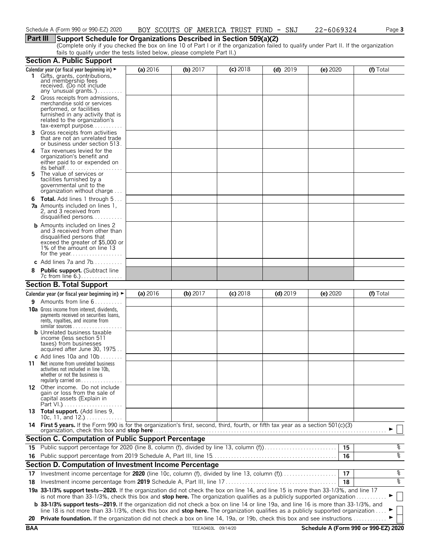### **Part III Support Schedule for Organizations Described in Section 509(a)(2)**

(Complete only if you checked the box on line 10 of Part I or if the organization failed to qualify under Part II. If the organization fails to qualify under the tests listed below, please complete Part II.)

|            | <b>Section A. Public Support</b>                                                                                                                                                                                                                                              |          |                    |            |            |          |                                      |
|------------|-------------------------------------------------------------------------------------------------------------------------------------------------------------------------------------------------------------------------------------------------------------------------------|----------|--------------------|------------|------------|----------|--------------------------------------|
|            | Calendar year (or fiscal year beginning in) ►                                                                                                                                                                                                                                 | (a) 2016 | (b) $2017$         | $(c)$ 2018 | $(d)$ 2019 | (e) 2020 | (f) Total                            |
|            | 1 Gifts, grants, contributions,<br>and membership fees<br>received. (Do not include<br>any 'unusual grants.')                                                                                                                                                                 |          |                    |            |            |          |                                      |
|            | 2 Gross receipts from admissions,<br>merchandise sold or services<br>performed, or facilities<br>furnished in any activity that is<br>related to the organization's<br>$tax\text{-}exempt$ purpose                                                                            |          |                    |            |            |          |                                      |
| 3.         | Gross receipts from activities<br>that are not an unrelated trade<br>or business under section 513.                                                                                                                                                                           |          |                    |            |            |          |                                      |
| 4          | Tax revenues levied for the<br>organization's benefit and<br>either paid to or expended on                                                                                                                                                                                    |          |                    |            |            |          |                                      |
| 5.         | The value of services or<br>facilities furnished by a<br>governmental unit to the<br>organization without charge                                                                                                                                                              |          |                    |            |            |          |                                      |
| 6          | <b>Total.</b> Add lines 1 through 5<br><b>7a</b> Amounts included on lines 1,<br>2, and 3 received from<br>disqualified persons                                                                                                                                               |          |                    |            |            |          |                                      |
|            | <b>b</b> Amounts included on lines 2<br>and 3 received from other than<br>disqualified persons that<br>exceed the greater of \$5,000 or<br>1% of the amount on line 13                                                                                                        |          |                    |            |            |          |                                      |
|            | c Add lines $7a$ and $7b$                                                                                                                                                                                                                                                     |          |                    |            |            |          |                                      |
|            | <b>Public support.</b> (Subtract line                                                                                                                                                                                                                                         |          |                    |            |            |          |                                      |
|            | <b>Section B. Total Support</b>                                                                                                                                                                                                                                               |          |                    |            |            |          |                                      |
|            | Calendar year (or fiscal year beginning in) $\blacktriangleright$                                                                                                                                                                                                             | (a) 2016 | (b) 2017           | $(c)$ 2018 | $(d)$ 2019 | (e) 2020 | (f) Total                            |
| 9.         | Amounts from line 6                                                                                                                                                                                                                                                           |          |                    |            |            |          |                                      |
|            | <b>10a</b> Gross income from interest, dividends,<br>payments received on securities loans,<br>rents, royalties, and income from<br><b>b</b> Unrelated business taxable<br>income (less section 511<br>taxes) from businesses                                                 |          |                    |            |            |          |                                      |
|            | acquired after June 30, 1975                                                                                                                                                                                                                                                  |          |                    |            |            |          |                                      |
| 11         | c Add lines 10a and $10b$<br>Net income from unrelated business<br>activities not included in line 10b,<br>whether or not the business is<br>regularly carried on $\dots\dots\dots\dots$                                                                                      |          |                    |            |            |          |                                      |
|            | 12 Other income. Do not include<br>gain or loss from the sale of<br>capital assets (Explain in                                                                                                                                                                                |          |                    |            |            |          |                                      |
|            | 13 Total support. (Add lines 9,<br>10c, 11, and $12$                                                                                                                                                                                                                          |          |                    |            |            |          |                                      |
|            | 14 First 5 years. If the Form 990 is for the organization's first, second, third, fourth, or fifth tax year as a section 501(c)(3)<br>organization, check this box and stop here                                                                                              |          |                    |            |            |          |                                      |
|            | <b>Section C. Computation of Public Support Percentage</b>                                                                                                                                                                                                                    |          |                    |            |            |          |                                      |
|            | 15 Public support percentage for 2020 (line 8, column (f), divided by line 13, column (f)                                                                                                                                                                                     |          |                    |            |            | 15       | န့                                   |
|            |                                                                                                                                                                                                                                                                               |          |                    |            |            | 16       | ०१०                                  |
|            | Section D. Computation of Investment Income Percentage                                                                                                                                                                                                                        |          |                    |            |            |          |                                      |
| 17         |                                                                                                                                                                                                                                                                               |          |                    |            |            | 17       | %                                    |
| 18         |                                                                                                                                                                                                                                                                               |          |                    |            |            | 18       | ०७                                   |
|            | 19a 33-1/3% support tests-2020. If the organization did not check the box on line 14, and line 15 is more than 33-1/3%, and line 17<br>is not more than 33-1/3%, check this box and stop here. The organization qualifies as a publicly supported organization                |          |                    |            |            |          |                                      |
|            | <b>b</b> 33-1/3% support tests-2019. If the organization did not check a box on line 14 or line 19a, and line 16 is more than 33-1/3%, and<br>line 18 is not more than 33-1/3%, check this box and stop here. The organization qualifies as a publicly supported organization |          |                    |            |            |          |                                      |
| 20         | Private foundation. If the organization did not check a box on line 14, 19a, or 19b, check this box and see instructions.                                                                                                                                                     |          |                    |            |            |          |                                      |
| <b>BAA</b> |                                                                                                                                                                                                                                                                               |          | TEEA0403L 09/14/20 |            |            |          | Schedule A (Form 990 or 990-EZ) 2020 |
|            |                                                                                                                                                                                                                                                                               |          |                    |            |            |          |                                      |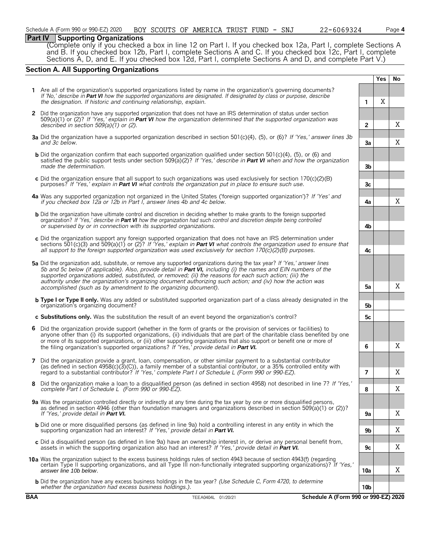### **Part IV Supporting Organizations**

(Complete only if you checked a box in line 12 on Part I. If you checked box 12a, Part I, complete Sections A and B. If you checked box 12b, Part I, complete Sections A and C. If you checked box 12c, Part I, complete Sections A, D, and E. If you checked box 12d, Part I, complete Sections A and D, and complete Part V.)

### **Section A. All Supporting Organizations**

|   | Yes                                                                                                                                                                                                                                                                                                                                                                                                                                                                                                                                          |                |   |   |
|---|----------------------------------------------------------------------------------------------------------------------------------------------------------------------------------------------------------------------------------------------------------------------------------------------------------------------------------------------------------------------------------------------------------------------------------------------------------------------------------------------------------------------------------------------|----------------|---|---|
|   | 1 Are all of the organization's supported organizations listed by name in the organization's governing documents?<br>If 'No,' describe in Part VI how the supported organizations are designated. If designated by class or purpose, describe<br>the designation. If historic and continuing relationship, explain.                                                                                                                                                                                                                          | 1              | Χ |   |
|   | 2 Did the organization have any supported organization that does not have an IRS determination of status under section<br>509(a)(1) or (2)? If 'Yes,' explain in <b>Part VI</b> how the organization determined that the supported organization was<br>described in section $509(a)(1)$ or (2).                                                                                                                                                                                                                                              | $\overline{2}$ |   | X |
|   | 3a Did the organization have a supported organization described in section 501(c)(4), (5), or (6)? If 'Yes,' answer lines 3b<br>and 3c below.                                                                                                                                                                                                                                                                                                                                                                                                | За             |   | X |
|   | <b>b</b> Did the organization confirm that each supported organization qualified under section 501(c)(4), (5), or (6) and<br>satisfied the public support tests under section 509(a)(2)? If 'Yes,' describe in Part VI when and how the organization<br>made the determination.                                                                                                                                                                                                                                                              | 3 <sub>b</sub> |   |   |
|   | c Did the organization ensure that all support to such organizations was used exclusively for section $170(c)(2)(B)$<br>purposes? If 'Yes,' explain in <b>Part VI</b> what controls the organization put in place to ensure such use.                                                                                                                                                                                                                                                                                                        | 3 <sub>c</sub> |   |   |
|   | 4a Was any supported organization not organized in the United States ('foreign supported organization')? If 'Yes' and<br>if you checked box 12a or 12b in Part I, answer lines 4b and 4c below.                                                                                                                                                                                                                                                                                                                                              | 4a             |   | X |
|   | <b>b</b> Did the organization have ultimate control and discretion in deciding whether to make grants to the foreign supported<br>organization? If 'Yes,' describe in Part VI how the organization had such control and discretion despite being controlled<br>or supervised by or in connection with its supported organizations.                                                                                                                                                                                                           | 4b             |   |   |
|   | c Did the organization support any foreign supported organization that does not have an IRS determination under<br>sections 501(c)(3) and 509(a)(1) or (2)? If 'Yes,' explain in <b>Part VI</b> what controls the organization used to ensure that<br>all support to the foreign supported organization was used exclusively for section $170(c)(2)(B)$ purposes.                                                                                                                                                                            | 4c             |   |   |
|   | 5a Did the organization add, substitute, or remove any supported organizations during the tax year? If 'Yes,' answer lines<br>5b and 5c below (if applicable). Also, provide detail in Part VI, including (i) the names and EIN numbers of the<br>supported organizations added, substituted, or removed; (ii) the reasons for each such action; (iii) the<br>authority under the organization's organizing document authorizing such action; and (iv) how the action was<br>accomplished (such as by amendment to the organizing document). | 5a             |   | Χ |
|   | <b>b Type I or Type II only.</b> Was any added or substituted supported organization part of a class already designated in the<br>organization's organizing document?                                                                                                                                                                                                                                                                                                                                                                        | 5b             |   |   |
|   | c Substitutions only. Was the substitution the result of an event beyond the organization's control?                                                                                                                                                                                                                                                                                                                                                                                                                                         | 5с             |   |   |
|   | 6 Did the organization provide support (whether in the form of grants or the provision of services or facilities) to<br>anyone other than (i) its supported organizations, (ii) individuals that are part of the charitable class benefited by one<br>or more of its supported organizations, or (iii) other supporting organizations that also support or benefit one or more of<br>the filing organization's supported organizations? If 'Yes,' provide detail in Part VI.                                                                 | 6              |   | Χ |
|   |                                                                                                                                                                                                                                                                                                                                                                                                                                                                                                                                              |                |   |   |
|   | 7 Did the organization provide a grant, loan, compensation, or other similar payment to a substantial contributor<br>(as defined in section 4958(c)(3)(C)), a family member of a substantial contributor, or a 35% controlled entity with<br>regard to a substantial contributor? If 'Yes,' complete Part I of Schedule L (Form 990 or 990-EZ).                                                                                                                                                                                              | 7              |   | Χ |
| 8 | Did the organization make a loan to a disqualified person (as defined in section 4958) not described in line 7? If 'Yes,'<br>complete Part I of Schedule L (Form 990 or 990-EZ).                                                                                                                                                                                                                                                                                                                                                             | 8              |   | Χ |
|   | 9a Was the organization controlled directly or indirectly at any time during the tax year by one or more disqualified persons,<br>as defined in section 4946 (other than foundation managers and organizations described in section 509(a)(1) or (2))?                                                                                                                                                                                                                                                                                       |                |   | X |
|   | If 'Yes,' provide detail in Part VI.<br><b>b</b> Did one or more disqualified persons (as defined in line 9a) hold a controlling interest in any entity in which the<br>supporting organization had an interest? If 'Yes,' provide detail in Part VI.                                                                                                                                                                                                                                                                                        | 9a<br>9b       |   | X |
|   | c Did a disqualified person (as defined in line 9a) have an ownership interest in, or derive any personal benefit from,<br>assets in which the supporting organization also had an interest? If 'Yes,' provide detail in <b>Part VI.</b>                                                                                                                                                                                                                                                                                                     | 9 <sub>c</sub> |   | X |
|   | 10a Was the organization subject to the excess business holdings rules of section 4943 because of section 4943(f) (regarding<br>certain Type II supporting organizations, and all Type III non-functionally integrated supporting organizations)? If 'Yes,'<br>answer line 10b below.                                                                                                                                                                                                                                                        | 10a            |   | X |
|   | <b>b</b> Did the organization have any excess business holdings in the tax year? (Use Schedule C, Form 4720, to determine<br>whether the organization had excess business holdings.).                                                                                                                                                                                                                                                                                                                                                        | 10b            |   |   |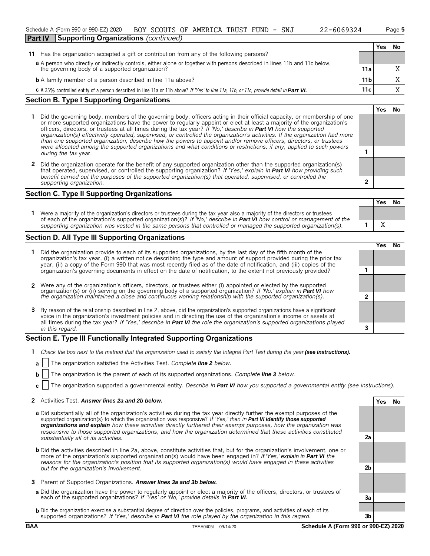| Schedule A (Form 990 or 990-EZ) 2020<br>BOY SCOUTS OF AMERICA TRUST FUND - SNJ<br>22-6069324                                            |                 |     | Page 5 |
|-----------------------------------------------------------------------------------------------------------------------------------------|-----------------|-----|--------|
| <b>Supporting Organizations (continued)</b><br><b>Part IV</b>                                                                           |                 |     |        |
|                                                                                                                                         |                 | Yes | Νo     |
| Has the organization accepted a gift or contribution from any of the following persons?<br>11                                           |                 |     |        |
| a A person who directly or indirectly controls, either alone or together with persons described in lines 11b and 11c below,             |                 |     |        |
| the governing body of a supported organization?                                                                                         | 11a             |     |        |
| <b>b</b> A family member of a person described in line 11a above?                                                                       | 11 <sub>b</sub> |     |        |
| C A 35% controlled entity of a person described in line 11a or 11b above? If 'Yes' to line 11a, 11b, or 11c, provide detail in Part VI. | 11c             |     |        |

### **Section B. Type I Supporting Organizations**

- **1** Did the governing body, members of the governing body, officers acting in their official capacity, or membership of one or more supported organizations have the power to regularly appoint or elect at least a majority of the organization's officers, directors, or trustees at all times during the tax year? *If 'No,' describe in Part VI how the supported organization(s) effectively operated, supervised, or controlled the organization's activities. If the organization had more than one supported organization, describe how the powers to appoint and/or remove officers, directors, or trustees were allocated among the supported organizations and what conditions or restrictions, if any, applied to such powers* **1** *during the tax* year.
- **2** Did the organization operate for the benefit of any supported organization other than the supported organization(s) that operated, supervised, or controlled the supporting organization? *If 'Yes,' explain in Part VI how providing such benefit carried out the purposes of the supported organization(s) that operated, supervised, or controlled the supporting organization.* **2**

### **Section C. Type II Supporting Organizations**

**Yes No 1** Were a majority of the organization's directors or trustees during the tax year also a majority of the directors or trustees of each of the organization's supported organization(s)? *If 'No,' describe in Part VI how control or management of the supporting organization was vested in the same persons that controlled or managed the supported organization(s).* **1** X

### **Section D. All Type III Supporting Organizations**

|                                                                                                                                                                                                                                                                                                                                                                                |  | ∕e< |  |
|--------------------------------------------------------------------------------------------------------------------------------------------------------------------------------------------------------------------------------------------------------------------------------------------------------------------------------------------------------------------------------|--|-----|--|
| Did the organization provide to each of its supported organizations, by the last day of the fifth month of the<br>organization's tax year, (i) a written notice describing the type and amount of support provided during the prior tax<br>year, (ii) a copy of the Form 990 that was most recently filed as of the date of notification, and (iii) copies of the              |  |     |  |
| organization's governing documents in effect on the date of notification, to the extent not previously provided?                                                                                                                                                                                                                                                               |  |     |  |
| 2 Were any of the organization's officers, directors, or trustees either (i) appointed or elected by the supported organization(s) or (ii) serving on the governing body of a supported organization? If 'No,' explain in Part                                                                                                                                                 |  |     |  |
|                                                                                                                                                                                                                                                                                                                                                                                |  |     |  |
| 3 By reason of the relationship described in line 2, above, did the organization's supported organizations have a significant<br>voice in the organization's investment policies and in directing the use of the organization's income or assets at<br>all times during the tax year? If 'Yes,' describe in Part VI the role the organization's supported organizations played |  |     |  |
| in this regard.                                                                                                                                                                                                                                                                                                                                                                |  |     |  |

### **Section E. Type III Functionally Integrated Supporting Organizations**

- **1** Check the box next to the method that the organization used to satisfy the Integral Part Test during the year (see instructions).
- **a** The organization satisfied the Activities Test. *Complete line 2 below.*
- **b** The organization is the parent of each of its supported organizations. *Complete line 3 below.*
- **c** The organization supported a governmental entity. *Describe in Part VI how you supported a governmental entity (see instructions).*

### **2** Activities Test. *Answer lines 2a and 2b below.* **Yes No**

- **a** Did substantially all of the organization's activities during the tax year directly further the exempt purposes of the supported organization(s) to which the organization was responsive? *If 'Yes,' then in Part VI identify those supported organizations and explain how these activities directly furthered their exempt purposes, how the organization was responsive to those supported organizations, and how the organization determined that these activities constituted substantially all of its activities.* **2a**
- **b** Did the activities described in line 2a, above, constitute activities that, but for the organization's involvement, one or more of the organization's supported organization(s) would have been engaged in? *If 'Yes,' explain in Part VI the reasons for the organization's position that its supported organization(s) would have engaged in these activities but for the organization's involvement.* **2b**
- **3** Parent of Supported Organizations. *Answer lines 3a and 3b below.*
- **a** Did the organization have the power to regularly appoint or elect a majority of the officers, directors, or trustees of each of the supported organizations? *If 'Yes' or 'No,' provide details in Part VI.* **3a**
- **b** Did the organization exercise a substantial degree of direction over the policies, programs, and activities of each of its supported organizations? *If 'Yes,' describe in Part VI the role played by the organization in this regard.* **3b**

**Yes No**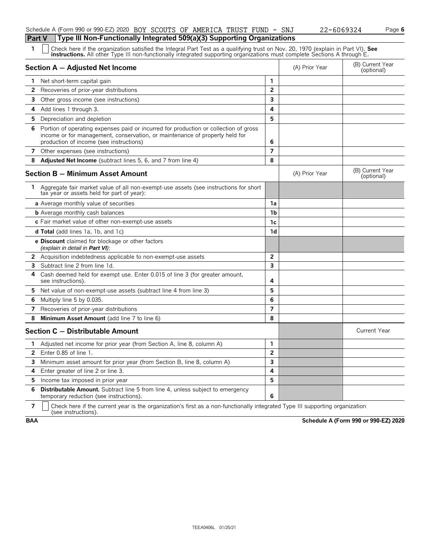| Schedule A (Form 990 or 990-EZ) 2020 BOY SCOUTS OF AMERICA TRUST FUND - SNJ      |  |  |  | 22-6069324 | Page 6 |
|----------------------------------------------------------------------------------|--|--|--|------------|--------|
| Part V   Type III Non-Functionally Integrated 509(a)(3) Supporting Organizations |  |  |  |            |        |

Check here if the organization satisfied the Integral Part Test as a qualifying trust on Nov. 20, 1970 (explain in Part VI). See instructions. All other Type III non-functionally integrated supporting organizations must co

|                | Section A - Adjusted Net Income                                                                                                                                                                                |                         | (A) Prior Year | (B) Current Year<br>(optional) |
|----------------|----------------------------------------------------------------------------------------------------------------------------------------------------------------------------------------------------------------|-------------------------|----------------|--------------------------------|
| 1.             | Net short-term capital gain                                                                                                                                                                                    | $\mathbf{1}$            |                |                                |
| $\overline{2}$ | Recoveries of prior-year distributions                                                                                                                                                                         | $\overline{2}$          |                |                                |
| 3              | Other gross income (see instructions)                                                                                                                                                                          | 3                       |                |                                |
| 4              | Add lines 1 through 3.                                                                                                                                                                                         | 4                       |                |                                |
| 5              | Depreciation and depletion                                                                                                                                                                                     | 5                       |                |                                |
| 6              | Portion of operating expenses paid or incurred for production or collection of gross<br>income or for management, conservation, or maintenance of property held for<br>production of income (see instructions) | 6                       |                |                                |
| 7              | Other expenses (see instructions)                                                                                                                                                                              | $\overline{7}$          |                |                                |
| 8              | Adjusted Net Income (subtract lines 5, 6, and 7 from line 4)                                                                                                                                                   | 8                       |                |                                |
|                | Section B - Minimum Asset Amount                                                                                                                                                                               |                         | (A) Prior Year | (B) Current Year<br>(optional) |
| $\mathbf{1}$   | Aggregate fair market value of all non-exempt-use assets (see instructions for short<br>tax year or assets held for part of year):                                                                             |                         |                |                                |
|                | <b>a</b> Average monthly value of securities                                                                                                                                                                   | 1a                      |                |                                |
|                | <b>b</b> Average monthly cash balances                                                                                                                                                                         | 1 <sub>b</sub>          |                |                                |
|                | c Fair market value of other non-exempt-use assets                                                                                                                                                             | 1c                      |                |                                |
|                | <b>d Total</b> (add lines 1a, 1b, and 1c)                                                                                                                                                                      | 1d                      |                |                                |
|                | <b>e Discount</b> claimed for blockage or other factors<br>(explain in detail in Part VI):                                                                                                                     |                         |                |                                |
|                | <b>2</b> Acquisition indebtedness applicable to non-exempt-use assets                                                                                                                                          | $\overline{2}$          |                |                                |
| 3              | Subtract line 2 from line 1d.                                                                                                                                                                                  | $\overline{\mathbf{3}}$ |                |                                |
| 4              | Cash deemed held for exempt use. Enter 0.015 of line 3 (for greater amount,<br>see instructions).                                                                                                              | 4                       |                |                                |
| 5.             | Net value of non-exempt-use assets (subtract line 4 from line 3)                                                                                                                                               | 5                       |                |                                |
| 6              | Multiply line 5 by 0.035.                                                                                                                                                                                      | 6                       |                |                                |
| 7              | Recoveries of prior-year distributions                                                                                                                                                                         | $\overline{7}$          |                |                                |
| 8              | Minimum Asset Amount (add line 7 to line 6)                                                                                                                                                                    | 8                       |                |                                |
|                | Section C - Distributable Amount                                                                                                                                                                               |                         |                | <b>Current Year</b>            |
| 1              | Adjusted net income for prior year (from Section A, line 8, column A)                                                                                                                                          | $\mathbf{1}$            |                |                                |
| $\overline{2}$ | Enter $0.85$ of line $1$ .                                                                                                                                                                                     | $\overline{2}$          |                |                                |
| 3              | Minimum asset amount for prior year (from Section B, line 8, column A)                                                                                                                                         | 3                       |                |                                |
| 4              | Enter greater of line 2 or line 3.                                                                                                                                                                             | 4                       |                |                                |
| 5              | Income tax imposed in prior year                                                                                                                                                                               | 5                       |                |                                |
| 6              | <b>Distributable Amount.</b> Subtract line 5 from line 4, unless subject to emergency<br>temporary reduction (see instructions).                                                                               | 6                       |                |                                |

**7**  $\mid$  Check here if the current year is the organization's first as a non-functionally integrated Type III supporting organization (see instructions).

**BAA Schedule A (Form 990 or 990-EZ) 2020**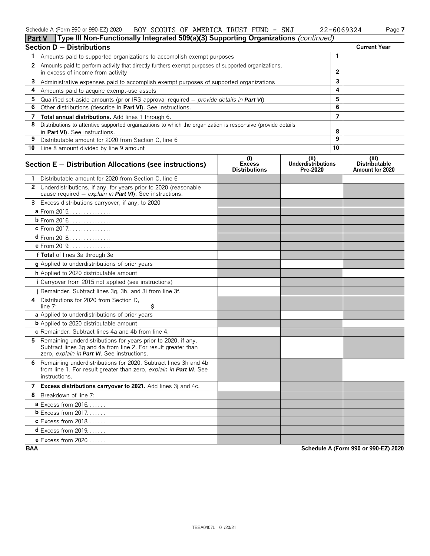| $\text{Tr}_{\mathbf{u}}$ III Non Eunctionally Intograted 500(a)(2) Cunnecting Organizations (continued)<br>$D_{\text{out}}$ $M$ |  |                                  |  |                                 |            |          |
|---------------------------------------------------------------------------------------------------------------------------------|--|----------------------------------|--|---------------------------------|------------|----------|
| Schedule A (Form 990 or 990-EZ) 2020                                                                                            |  | BOY SCOUTS OF AMERICA TRUST FUND |  | SNJ<br>$\overline{\phantom{0}}$ | 22-6069324 | $P$ aqe. |

| <b>Part V</b> | <b>If ype in Non-Functionally integrated 509(a)(5) Supporting Organizations</b> ( <i>continued)</i>                                                                           |                                              |                                               |                |                                           |
|---------------|-------------------------------------------------------------------------------------------------------------------------------------------------------------------------------|----------------------------------------------|-----------------------------------------------|----------------|-------------------------------------------|
|               | <b>Section D - Distributions</b>                                                                                                                                              |                                              |                                               |                | <b>Current Year</b>                       |
| 1             | Amounts paid to supported organizations to accomplish exempt purposes                                                                                                         |                                              |                                               | $\mathbf{1}$   |                                           |
|               | 2 Amounts paid to perform activity that directly furthers exempt purposes of supported organizations,                                                                         |                                              |                                               |                |                                           |
|               | in excess of income from activity                                                                                                                                             |                                              |                                               | 2              |                                           |
|               | 3 Administrative expenses paid to accomplish exempt purposes of supported organizations                                                                                       |                                              |                                               | 3              |                                           |
| 4             | Amounts paid to acquire exempt-use assets                                                                                                                                     |                                              |                                               | 4              |                                           |
| 5             | Qualified set-aside amounts (prior IRS approval required $-$ provide details in Part VI)                                                                                      |                                              |                                               | 5              |                                           |
| 6             | Other distributions (describe in Part VI). See instructions.                                                                                                                  |                                              | 6                                             |                |                                           |
|               | 7 Total annual distributions. Add lines 1 through 6.                                                                                                                          |                                              |                                               | $\overline{7}$ |                                           |
| 8             | Distributions to attentive supported organizations to which the organization is responsive (provide details                                                                   |                                              |                                               | 8              |                                           |
| 9             | in Part VI). See instructions.<br>Distributable amount for 2020 from Section C, line 6                                                                                        |                                              |                                               | 9              |                                           |
|               | 10 Line 8 amount divided by line 9 amount                                                                                                                                     |                                              |                                               | 10             |                                           |
|               |                                                                                                                                                                               |                                              |                                               |                |                                           |
|               | Section E - Distribution Allocations (see instructions)                                                                                                                       | (i)<br><b>Excess</b><br><b>Distributions</b> | (ii)<br><b>Underdistributions</b><br>Pre-2020 |                | (iii)<br>Distributable<br>Amount for 2020 |
|               | 1 Distributable amount for 2020 from Section C, line 6                                                                                                                        |                                              |                                               |                |                                           |
|               | 2 Underdistributions, if any, for years prior to 2020 (reasonable<br>cause required - explain in Part VI). See instructions.                                                  |                                              |                                               |                |                                           |
|               | 3 Excess distributions carryover, if any, to 2020                                                                                                                             |                                              |                                               |                |                                           |
|               | a From 2015                                                                                                                                                                   |                                              |                                               |                |                                           |
|               | <b>b</b> From 2016                                                                                                                                                            |                                              |                                               |                |                                           |
|               | c From 2017.                                                                                                                                                                  |                                              |                                               |                |                                           |
|               | $d$ From 2018                                                                                                                                                                 |                                              |                                               |                |                                           |
|               | e From 2019                                                                                                                                                                   |                                              |                                               |                |                                           |
|               | f Total of lines 3a through 3e                                                                                                                                                |                                              |                                               |                |                                           |
|               | g Applied to underdistributions of prior years                                                                                                                                |                                              |                                               |                |                                           |
|               | <b>h</b> Applied to 2020 distributable amount                                                                                                                                 |                                              |                                               |                |                                           |
|               | <i>i</i> Carryover from 2015 not applied (see instructions)                                                                                                                   |                                              |                                               |                |                                           |
|               | j Remainder. Subtract lines 3g, 3h, and 3i from line 3f.                                                                                                                      |                                              |                                               |                |                                           |
| 4             | Distributions for 2020 from Section D,<br>\$<br>line 7:                                                                                                                       |                                              |                                               |                |                                           |
|               | a Applied to underdistributions of prior years                                                                                                                                |                                              |                                               |                |                                           |
|               | <b>b</b> Applied to 2020 distributable amount                                                                                                                                 |                                              |                                               |                |                                           |
|               | c Remainder. Subtract lines 4a and 4b from line 4.                                                                                                                            |                                              |                                               |                |                                           |
| 5.            | Remaining underdistributions for years prior to 2020, if any.<br>Subtract lines 3q and 4a from line 2. For result greater than<br>zero, explain in Part VI. See instructions. |                                              |                                               |                |                                           |
|               | 6 Remaining underdistributions for 2020. Subtract lines 3h and 4b<br>from line 1. For result greater than zero, explain in Part VI. See<br>instructions.                      |                                              |                                               |                |                                           |
|               | 7 Excess distributions carryover to 2021. Add lines 3j and 4c.                                                                                                                |                                              |                                               |                |                                           |
| 8             | Breakdown of line 7:                                                                                                                                                          |                                              |                                               |                |                                           |
|               | <b>a</b> Excess from 2016                                                                                                                                                     |                                              |                                               |                |                                           |
|               | $b$ Excess from 2017.                                                                                                                                                         |                                              |                                               |                |                                           |
|               | $c$ Excess from 2018                                                                                                                                                          |                                              |                                               |                |                                           |
|               | <b>d</b> Excess from 2019                                                                                                                                                     |                                              |                                               |                |                                           |
|               | e Excess from 2020                                                                                                                                                            |                                              |                                               |                |                                           |

**BAA Schedule A (Form 990 or 990-EZ) 2020**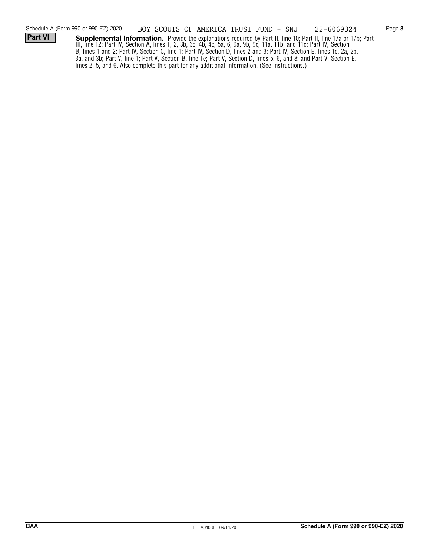|                | Schedule A (Form 990 or 990-EZ) 2020                                                                                   | BOY SCOUTS OF AMERICA TRUST FUND - SNJ |  | 22-6069324                                                                                                             | Page 8 |
|----------------|------------------------------------------------------------------------------------------------------------------------|----------------------------------------|--|------------------------------------------------------------------------------------------------------------------------|--------|
| <b>Part VI</b> |                                                                                                                        |                                        |  | <b>Supplemental Information.</b> Provide the explanations required by Part II, line 10; Part II, line 17a or 17b; Part |        |
|                | III, line 12; Part IV, Section A, lines 1, 2, 3b, 3c, 4b, 4c, 5a, 6, 9a, 9b, 9c, 11a, 11b, and 11c; Part IV, Section   |                                        |  |                                                                                                                        |        |
|                | B, lines 1 and 2; Part IV, Section C, line 1; Part IV, Section D, lines 2 and 3; Part IV, Section E, lines 1c, 2a, 2b, |                                        |  |                                                                                                                        |        |
|                | 3a, and 3b; Part V, line 1; Part V, Section B, line 1e; Part V, Section D, lines 5, 6, and 8; and Part V, Section E,   |                                        |  |                                                                                                                        |        |
|                | lines 2, 5, and 6. Also complete this part for any additional information. (See instructions.)                         |                                        |  |                                                                                                                        |        |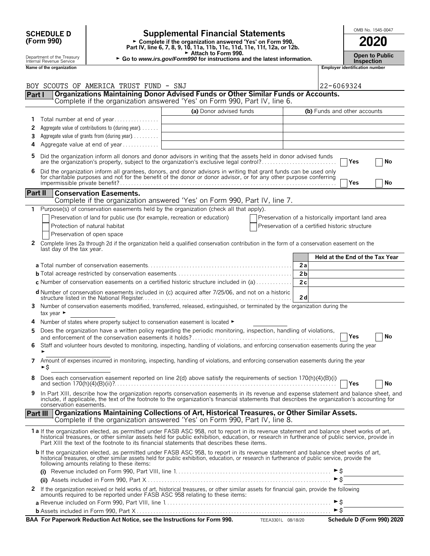|         | <b>SCHEDULE D</b>                                      |                                                                                                             | <b>Supplemental Financial Statements</b>                                                                                                                                                                                                                                                                                                                                               |                                                                                                      |                |                              |                                       | OMB No. 1545-0047               |
|---------|--------------------------------------------------------|-------------------------------------------------------------------------------------------------------------|----------------------------------------------------------------------------------------------------------------------------------------------------------------------------------------------------------------------------------------------------------------------------------------------------------------------------------------------------------------------------------------|------------------------------------------------------------------------------------------------------|----------------|------------------------------|---------------------------------------|---------------------------------|
|         | (Form 990)                                             |                                                                                                             | ► Complete if the organization answered 'Yes' on Form 990,<br>Part IV, line 6, 7, 8, 9, 10, 11a, 11b, 11c, 11d, 11e, 11f, 12a, or 12b.                                                                                                                                                                                                                                                 |                                                                                                      |                |                              |                                       | 2020                            |
|         | Department of the Treasury<br>Internal Revenue Service |                                                                                                             | Attach to Form 990.<br>► Go to www.irs.gov/Form990 for instructions and the latest information.                                                                                                                                                                                                                                                                                        |                                                                                                      |                |                              | <b>Inspection</b>                     | <b>Open to Public</b>           |
|         | Name of the organization                               |                                                                                                             |                                                                                                                                                                                                                                                                                                                                                                                        |                                                                                                      |                |                              | <b>Employer identification number</b> |                                 |
|         |                                                        |                                                                                                             |                                                                                                                                                                                                                                                                                                                                                                                        |                                                                                                      |                |                              |                                       |                                 |
|         |                                                        | BOY SCOUTS OF AMERICA TRUST FUND - SNJ                                                                      | Organizations Maintaining Donor Advised Funds or Other Similar Funds or Accounts.                                                                                                                                                                                                                                                                                                      |                                                                                                      |                | 22-6069324                   |                                       |                                 |
| Part I  |                                                        |                                                                                                             | Complete if the organization answered 'Yes' on Form 990, Part IV, line 6.                                                                                                                                                                                                                                                                                                              |                                                                                                      |                |                              |                                       |                                 |
|         |                                                        |                                                                                                             | (a) Donor advised funds                                                                                                                                                                                                                                                                                                                                                                |                                                                                                      |                | (b) Funds and other accounts |                                       |                                 |
| 1       |                                                        | Total number at end of year                                                                                 |                                                                                                                                                                                                                                                                                                                                                                                        |                                                                                                      |                |                              |                                       |                                 |
| 2       |                                                        | Aggregate value of contributions to (during year)                                                           |                                                                                                                                                                                                                                                                                                                                                                                        |                                                                                                      |                |                              |                                       |                                 |
| 3       |                                                        | Aggregate value of grants from (during year)                                                                |                                                                                                                                                                                                                                                                                                                                                                                        |                                                                                                      |                |                              |                                       |                                 |
| 4       |                                                        | Aggregate value at end of year                                                                              |                                                                                                                                                                                                                                                                                                                                                                                        |                                                                                                      |                |                              |                                       |                                 |
| 5.      |                                                        |                                                                                                             | Did the organization inform all donors and donor advisors in writing that the assets held in donor advised funds<br>are the organization's property, subject to the organization's exclusive legal control?                                                                                                                                                                            |                                                                                                      |                |                              | Yes                                   | No                              |
| 6       |                                                        |                                                                                                             | Did the organization inform all grantees, donors, and donor advisors in writing that grant funds can be used only for charitable purposes and not for the benefit of the donor or donor advisor, or for any other purpose conf                                                                                                                                                         |                                                                                                      |                |                              | Yes                                   | No                              |
| Part II |                                                        | <b>Conservation Easements.</b>                                                                              |                                                                                                                                                                                                                                                                                                                                                                                        |                                                                                                      |                |                              |                                       |                                 |
|         |                                                        |                                                                                                             | Complete if the organization answered 'Yes' on Form 990, Part IV, line 7.                                                                                                                                                                                                                                                                                                              |                                                                                                      |                |                              |                                       |                                 |
| 1.      |                                                        |                                                                                                             | Purpose(s) of conservation easements held by the organization (check all that apply).                                                                                                                                                                                                                                                                                                  |                                                                                                      |                |                              |                                       |                                 |
|         |                                                        | Preservation of land for public use (for example, recreation or education)<br>Protection of natural habitat |                                                                                                                                                                                                                                                                                                                                                                                        | Preservation of a historically important land area<br>Preservation of a certified historic structure |                |                              |                                       |                                 |
|         |                                                        | Preservation of open space                                                                                  |                                                                                                                                                                                                                                                                                                                                                                                        |                                                                                                      |                |                              |                                       |                                 |
|         |                                                        |                                                                                                             | 2 Complete lines 2a through 2d if the organization held a qualified conservation contribution in the form of a conservation easement on the                                                                                                                                                                                                                                            |                                                                                                      |                |                              |                                       |                                 |
|         | last day of the tax year.                              |                                                                                                             |                                                                                                                                                                                                                                                                                                                                                                                        |                                                                                                      |                |                              |                                       |                                 |
|         |                                                        |                                                                                                             |                                                                                                                                                                                                                                                                                                                                                                                        |                                                                                                      |                |                              |                                       | Held at the End of the Tax Year |
|         |                                                        |                                                                                                             |                                                                                                                                                                                                                                                                                                                                                                                        |                                                                                                      | 2a             |                              |                                       |                                 |
|         |                                                        |                                                                                                             |                                                                                                                                                                                                                                                                                                                                                                                        |                                                                                                      | 2 <sub>b</sub> |                              |                                       |                                 |
|         |                                                        |                                                                                                             | <b>c</b> Number of conservation easements on a certified historic structure included in (a) $\dots \dots \dots$                                                                                                                                                                                                                                                                        |                                                                                                      | 2c             |                              |                                       |                                 |
|         |                                                        |                                                                                                             | <b>d</b> Number of conservation easements included in (c) acquired after 7/25/06, and not on a historic                                                                                                                                                                                                                                                                                |                                                                                                      | 2d             |                              |                                       |                                 |
|         | tax year $\blacktriangleright$                         |                                                                                                             | 3 Number of conservation easements modified, transferred, released, extinguished, or terminated by the organization during the                                                                                                                                                                                                                                                         |                                                                                                      |                |                              |                                       |                                 |
|         |                                                        | Number of states where property subject to conservation easement is located $\blacktriangleright$           |                                                                                                                                                                                                                                                                                                                                                                                        |                                                                                                      |                |                              |                                       |                                 |
| 5       |                                                        |                                                                                                             | Does the organization have a written policy regarding the periodic monitoring, inspection, handling of violations,                                                                                                                                                                                                                                                                     |                                                                                                      |                |                              | Yes                                   | No                              |
|         |                                                        |                                                                                                             | 6 Staff and volunteer hours devoted to monitoring, inspecting, handling of violations, and enforcing conservation easements during the year                                                                                                                                                                                                                                            |                                                                                                      |                |                              |                                       |                                 |
|         | ►\$                                                    |                                                                                                             | 7 Amount of expenses incurred in monitoring, inspecting, handling of violations, and enforcing conservation easements during the year                                                                                                                                                                                                                                                  |                                                                                                      |                |                              |                                       |                                 |
| 8       |                                                        |                                                                                                             | Does each conservation easement reported on line 2(d) above satisfy the requirements of section 170(h)(4)(B)(i)                                                                                                                                                                                                                                                                        |                                                                                                      |                |                              | Yes                                   | <b>No</b>                       |
| 9       | conservation easements.                                |                                                                                                             | In Part XIII, describe how the organization reports conservation easements in its revenue and expense statement and balance sheet, and<br>include, if applicable, the text of the footnote to the organization's financial statements that describes the organization's accounting for                                                                                                 |                                                                                                      |                |                              |                                       |                                 |
|         |                                                        |                                                                                                             | Part III   Organizations Maintaining Collections of Art, Historical Treasures, or Other Similar Assets.<br>Complete if the organization answered 'Yes' on Form 990, Part IV, line 8.                                                                                                                                                                                                   |                                                                                                      |                |                              |                                       |                                 |
|         |                                                        |                                                                                                             | 1a If the organization elected, as permitted under FASB ASC 958, not to report in its revenue statement and balance sheet works of art,<br>historical treasures, or other similar assets held for public exhibition, education, or research in furtherance of public service, provide in<br>Part XIII the text of the footnote to its financial statements that describes these items. |                                                                                                      |                |                              |                                       |                                 |
|         |                                                        | following amounts relating to these items:                                                                  | <b>b</b> If the organization elected, as permitted under FASB ASC 958, to report in its revenue statement and balance sheet works of art,<br>historical treasures, or other similar assets held for public exhibition, education, or research in furtherance of public service, provide the                                                                                            |                                                                                                      |                |                              |                                       |                                 |
|         |                                                        |                                                                                                             |                                                                                                                                                                                                                                                                                                                                                                                        |                                                                                                      |                | $\triangleright$ \$          |                                       |                                 |
| 2       |                                                        |                                                                                                             |                                                                                                                                                                                                                                                                                                                                                                                        |                                                                                                      |                |                              |                                       |                                 |
|         |                                                        |                                                                                                             | If the organization received or held works of art, historical treasures, or other similar assets for financial gain, provide the following<br>amounts required to be reported under FASB ASC 958 relating to these items:                                                                                                                                                              |                                                                                                      |                |                              |                                       |                                 |

| BAA For Paperwork Reduction Act Notice, see the Instructions for Form 990. | TEEA3301L 08/18/20 | Schedule D (Form 990) 2020 |
|----------------------------------------------------------------------------|--------------------|----------------------------|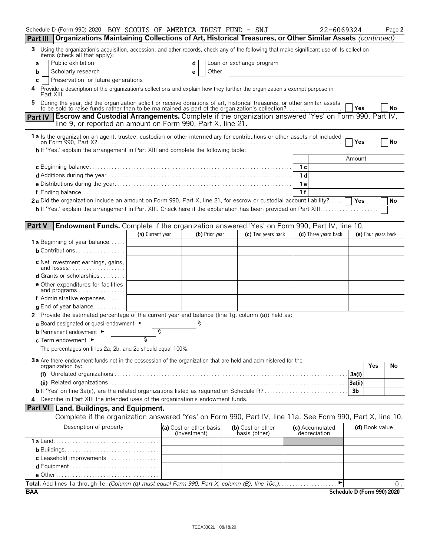|                 | Schedule D (Form 990) 2020 BOY SCOUTS OF AMERICA TRUST FUND - SNJ                                                                                                                                                         |                  |                                         |                                    | 22-6069324                      |                            | Page 2    |
|-----------------|---------------------------------------------------------------------------------------------------------------------------------------------------------------------------------------------------------------------------|------------------|-----------------------------------------|------------------------------------|---------------------------------|----------------------------|-----------|
| <b>Part III</b> | Organizations Maintaining Collections of Art, Historical Treasures, or Other Similar Assets (continued)                                                                                                                   |                  |                                         |                                    |                                 |                            |           |
| 3               | Using the organization's acquisition, accession, and other records, check any of the following that make significant use of its collection<br>items (check all that apply):                                               |                  |                                         |                                    |                                 |                            |           |
| a               | Public exhibition                                                                                                                                                                                                         |                  |                                         | Loan or exchange program           |                                 |                            |           |
| b               | Scholarly research                                                                                                                                                                                                        |                  | Other<br>е                              |                                    |                                 |                            |           |
| С               | Preservation for future generations                                                                                                                                                                                       |                  |                                         |                                    |                                 |                            |           |
|                 | Provide a description of the organization's collections and explain how they further the organization's exempt purpose in<br>Part XIII.                                                                                   |                  |                                         |                                    |                                 |                            |           |
|                 | During the year, did the organization solicit or receive donations of art, historical treasures, or other similar assets to be sold to raise funds rather than to be maintained as part of the organization's collection? |                  |                                         |                                    |                                 | <b>Yes</b>                 | <b>No</b> |
| <b>Part IV</b>  | <b>Escrow and Custodial Arrangements.</b> Complete if the organization answered 'Yes' on Form 990, Part IV,                                                                                                               |                  |                                         |                                    |                                 |                            |           |
|                 | line 9, or reported an amount on Form 990, Part X, line 21.                                                                                                                                                               |                  |                                         |                                    |                                 |                            |           |
|                 | 1a Is the organization an agent, trustee, custodian or other intermediary for contributions or other assets not included                                                                                                  |                  |                                         |                                    |                                 |                            |           |
|                 | <b>b</b> If 'Yes,' explain the arrangement in Part XIII and complete the following table:                                                                                                                                 |                  |                                         |                                    |                                 | Yes                        | No        |
|                 |                                                                                                                                                                                                                           |                  |                                         |                                    |                                 | Amount                     |           |
|                 |                                                                                                                                                                                                                           |                  |                                         |                                    | 1 с                             |                            |           |
|                 |                                                                                                                                                                                                                           |                  |                                         |                                    | 1 d                             |                            |           |
|                 |                                                                                                                                                                                                                           |                  |                                         |                                    | 1е                              |                            |           |
|                 |                                                                                                                                                                                                                           |                  |                                         |                                    | 1f                              |                            |           |
|                 | 2a Did the organization include an amount on Form 990, Part X, line 21, for escrow or custodial account liability?                                                                                                        |                  |                                         |                                    |                                 | Yes                        | No        |
|                 |                                                                                                                                                                                                                           |                  |                                         |                                    |                                 |                            |           |
|                 |                                                                                                                                                                                                                           |                  |                                         |                                    |                                 |                            |           |
| <b>Part V</b>   | <b>Endowment Funds.</b> Complete if the organization answered 'Yes' on Form 990, Part IV, line 10.                                                                                                                        |                  |                                         |                                    |                                 |                            |           |
|                 |                                                                                                                                                                                                                           | (a) Current year | (b) Prior year                          | (c) Two years back                 | (d) Three years back            | (e) Four years back        |           |
|                 | <b>1 a</b> Beginning of year balance                                                                                                                                                                                      |                  |                                         |                                    |                                 |                            |           |
|                 | <b>b</b> Contributions                                                                                                                                                                                                    |                  |                                         |                                    |                                 |                            |           |
|                 | c Net investment earnings, gains,<br>and losses                                                                                                                                                                           |                  |                                         |                                    |                                 |                            |           |
|                 | <b>d</b> Grants or scholarships $\ldots$                                                                                                                                                                                  |                  |                                         |                                    |                                 |                            |           |
|                 | <b>e</b> Other expenditures for facilities<br>and programs                                                                                                                                                                |                  |                                         |                                    |                                 |                            |           |
|                 | <b>f</b> Administrative expenses $\ldots$                                                                                                                                                                                 |                  |                                         |                                    |                                 |                            |           |
|                 | <b>q</b> End of year balance $\ldots \ldots \ldots$                                                                                                                                                                       |                  |                                         |                                    |                                 |                            |           |
|                 | 2 Provide the estimated percentage of the current year end balance (line 1g, column (a)) held as:                                                                                                                         |                  |                                         |                                    |                                 |                            |           |
|                 | a Board designated or quasi-endowment $\blacktriangleright$                                                                                                                                                               |                  |                                         |                                    |                                 |                            |           |
|                 | <b>b</b> Permanent endowment ►                                                                                                                                                                                            | ిం               |                                         |                                    |                                 |                            |           |
|                 | c Term endowment $\blacktriangleright$                                                                                                                                                                                    | يو               |                                         |                                    |                                 |                            |           |
|                 | The percentages on lines 2a, 2b, and 2c should equal 100%.                                                                                                                                                                |                  |                                         |                                    |                                 |                            |           |
|                 | 3a Are there endowment funds not in the possession of the organization that are held and administered for the                                                                                                             |                  |                                         |                                    |                                 |                            |           |
|                 | organization by:                                                                                                                                                                                                          |                  |                                         |                                    |                                 | Yes                        | No        |
|                 |                                                                                                                                                                                                                           |                  |                                         |                                    |                                 | 3a(i)                      |           |
|                 | <b>b</b> If 'Yes' on line 3a(ii), are the related organizations listed as required on Schedule R?                                                                                                                         |                  |                                         |                                    |                                 | 3a(ii)                     |           |
|                 | 4 Describe in Part XIII the intended uses of the organization's endowment funds.                                                                                                                                          |                  |                                         |                                    |                                 | 3 <sub>b</sub>             |           |
|                 |                                                                                                                                                                                                                           |                  |                                         |                                    |                                 |                            |           |
|                 | <b>Part VI</b> Land, Buildings, and Equipment.<br>Complete if the organization answered 'Yes' on Form 990, Part IV, line 11a. See Form 990, Part X, line 10.                                                              |                  |                                         |                                    |                                 |                            |           |
|                 |                                                                                                                                                                                                                           |                  |                                         |                                    |                                 |                            |           |
|                 | Description of property                                                                                                                                                                                                   |                  | (a) Cost or other basis<br>(investment) | (b) Cost or other<br>basis (other) | (c) Accumulated<br>depreciation | (d) Book value             |           |
|                 |                                                                                                                                                                                                                           |                  |                                         |                                    |                                 |                            |           |
|                 |                                                                                                                                                                                                                           |                  |                                         |                                    |                                 |                            |           |
|                 | c Leasehold improvements                                                                                                                                                                                                  |                  |                                         |                                    |                                 |                            |           |
|                 |                                                                                                                                                                                                                           |                  |                                         |                                    |                                 |                            |           |
|                 |                                                                                                                                                                                                                           |                  |                                         |                                    |                                 |                            |           |
|                 | Total. Add lines 1a through 1e. (Column (d) must equal Form 990, Part X, column (B), line 10c.)                                                                                                                           |                  |                                         |                                    | ▶                               |                            | 0.        |
| <b>BAA</b>      |                                                                                                                                                                                                                           |                  |                                         |                                    |                                 | Schedule D (Form 990) 2020 |           |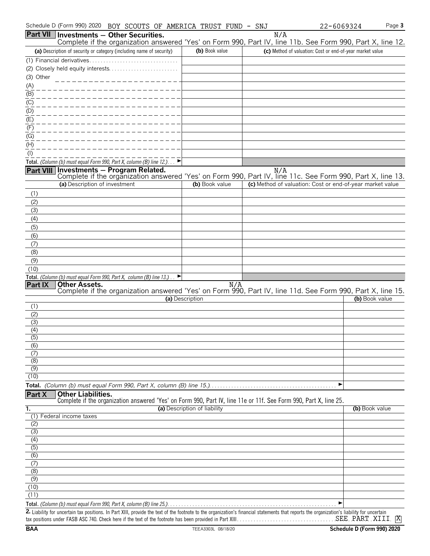| Schedule D (Form 990) 2020<br>BOY SCOUTS OF AMERICA TRUST FUND - SNJ                                                                                                                                           |                              |     | Page 3<br>22-6069324                                      |
|----------------------------------------------------------------------------------------------------------------------------------------------------------------------------------------------------------------|------------------------------|-----|-----------------------------------------------------------|
| <b>Part VII Investments - Other Securities.</b><br>Complete if the organization answered 'Yes' on Form 990, Part IV, line 11b. See Form 990, Part X, line 12.                                                  |                              | N/A |                                                           |
| (a) Description of security or category (including name of security)                                                                                                                                           | (b) Book value               |     | (c) Method of valuation: Cost or end-of-year market value |
| (1) Financial derivatives                                                                                                                                                                                      |                              |     |                                                           |
| (2) Closely held equity interests                                                                                                                                                                              |                              |     |                                                           |
| (3) Other                                                                                                                                                                                                      |                              |     |                                                           |
| $\underline{\underline{(A)}}$                                                                                                                                                                                  |                              |     |                                                           |
| (B)                                                                                                                                                                                                            |                              |     |                                                           |
| $\underline{(C)}$                                                                                                                                                                                              |                              |     |                                                           |
| (D)                                                                                                                                                                                                            |                              |     |                                                           |
| (E)                                                                                                                                                                                                            |                              |     |                                                           |
| (F)                                                                                                                                                                                                            |                              |     |                                                           |
| (G)<br>(H)                                                                                                                                                                                                     |                              |     |                                                           |
| $($ l $)$                                                                                                                                                                                                      |                              |     |                                                           |
| Total. (Column (b) must equal Form 990, Part X, column (B) line 12.). $\Box$                                                                                                                                   |                              |     |                                                           |
|                                                                                                                                                                                                                |                              |     |                                                           |
| N/A Nill <b>Investments – Program Related.</b> N/A N/A Reart VIII Investments – Program Related.<br>Complete if the organization answered 'Yes' on Form 990, Part IV, line 11c. See Form 990, Part X, line 13. |                              |     |                                                           |
| (a) Description of investment                                                                                                                                                                                  | (b) Book value               |     | (c) Method of valuation: Cost or end-of-year market value |
| (1)                                                                                                                                                                                                            |                              |     |                                                           |
| (2)                                                                                                                                                                                                            |                              |     |                                                           |
| (3)                                                                                                                                                                                                            |                              |     |                                                           |
| (4)                                                                                                                                                                                                            |                              |     |                                                           |
| (5)                                                                                                                                                                                                            |                              |     |                                                           |
| (6)                                                                                                                                                                                                            |                              |     |                                                           |
| (7)                                                                                                                                                                                                            |                              |     |                                                           |
| (8)                                                                                                                                                                                                            |                              |     |                                                           |
| (9)<br>(10)                                                                                                                                                                                                    |                              |     |                                                           |
| Total. (Column (b) must equal Form 990, Part X, column (B) line 13.).                                                                                                                                          |                              |     |                                                           |
| <b>Other Assets.</b><br><b>Part IX</b>                                                                                                                                                                         | N/A                          |     |                                                           |
| Complete if the organization answered 'Yes' on Form 990, Part IV, line 11d. See Form 990, Part X, line 15.                                                                                                     |                              |     |                                                           |
| (1)                                                                                                                                                                                                            | (a) Description              |     | (b) Book value                                            |
| (2)                                                                                                                                                                                                            |                              |     |                                                           |
| (3)                                                                                                                                                                                                            |                              |     |                                                           |
| (4)                                                                                                                                                                                                            |                              |     |                                                           |
| (5)                                                                                                                                                                                                            |                              |     |                                                           |
| (6)                                                                                                                                                                                                            |                              |     |                                                           |
| $\overline{(\overline{7})}$<br>(8)                                                                                                                                                                             |                              |     |                                                           |
| (9)                                                                                                                                                                                                            |                              |     |                                                           |
| (10)                                                                                                                                                                                                           |                              |     |                                                           |
|                                                                                                                                                                                                                |                              |     | ▶                                                         |
| <b>Part X</b><br><b>Other Liabilities.</b>                                                                                                                                                                     |                              |     |                                                           |
| Complete if the organization answered 'Yes' on Form 990, Part IV, line 11e or 11f. See Form 990, Part X, line 25.                                                                                              |                              |     |                                                           |
| 1.                                                                                                                                                                                                             | (a) Description of liability |     | (b) Book value                                            |
| Federal income taxes<br>(1)<br>(2)                                                                                                                                                                             |                              |     |                                                           |
| (3)                                                                                                                                                                                                            |                              |     |                                                           |
| (4)                                                                                                                                                                                                            |                              |     |                                                           |
| (5)                                                                                                                                                                                                            |                              |     |                                                           |
| $\overline{(6)}$                                                                                                                                                                                               |                              |     |                                                           |
| (7)                                                                                                                                                                                                            |                              |     |                                                           |
| (8)                                                                                                                                                                                                            |                              |     |                                                           |
| (9)                                                                                                                                                                                                            |                              |     |                                                           |
| (10)<br>(11)                                                                                                                                                                                                   |                              |     |                                                           |
|                                                                                                                                                                                                                |                              |     |                                                           |
| 2. Liability for uncertain tax positions. In Part XIII, provide the text of the footnote to the organization's financial statements that reports the organization's liability for uncertain                    |                              |     |                                                           |
|                                                                                                                                                                                                                |                              |     |                                                           |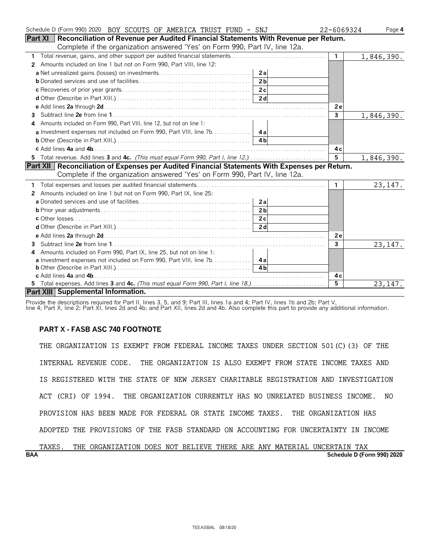| Schedule D (Form 990) 2020 BOY SCOUTS OF AMERICA TRUST FUND - SNJ                                     | 22-6069324   | Page 4     |
|-------------------------------------------------------------------------------------------------------|--------------|------------|
| Part XI   Reconciliation of Revenue per Audited Financial Statements With Revenue per Return.         |              |            |
| Complete if the organization answered 'Yes' on Form 990, Part IV, line 12a.                           |              |            |
|                                                                                                       | $\mathbf{1}$ | 1,846,390. |
| Amounts included on line 1 but not on Form 990, Part VIII, line 12:<br>2                              |              |            |
| 2a                                                                                                    |              |            |
| 2 <sub>h</sub>                                                                                        |              |            |
|                                                                                                       |              |            |
|                                                                                                       |              |            |
|                                                                                                       | 2e           |            |
|                                                                                                       | $\mathbf{3}$ | 1,846,390. |
| Amounts included on Form 990, Part VIII, line 12, but not on line 1:<br>4                             |              |            |
|                                                                                                       |              |            |
|                                                                                                       |              |            |
|                                                                                                       | 4 c          |            |
| 5 Total revenue. Add lines 3 and 4c. (This must equal Form 990, Part I, line 12.)                     | 5            | 1,846,390. |
| <b>Part XII Reconciliation of Expenses per Audited Financial Statements With Expenses per Return.</b> |              |            |
| Complete if the organization answered 'Yes' on Form 990, Part IV, line 12a.                           |              |            |
|                                                                                                       | $\mathbf{1}$ | 23, 147.   |
| Amounts included on line 1 but not on Form 990, Part IX, line 25:<br>$\mathbf{2}^{\prime}$            |              |            |
| 2a                                                                                                    |              |            |
| 2 <sub>b</sub>                                                                                        |              |            |
|                                                                                                       |              |            |
|                                                                                                       |              |            |
|                                                                                                       | 2e           |            |
| 3.                                                                                                    | 3            | 23, 147.   |
| Amounts included on Form 990, Part IX, line 25, but not on line 1:<br>4                               |              |            |
| <b>a</b> Investment expenses not included on Form 990, Part VIII, line 7b. 4a                         |              |            |
| 4 <sub>h</sub>                                                                                        |              |            |
|                                                                                                       | 4 c          |            |
| 5 Total expenses. Add lines 3 and 4c. (This must equal Form 990, Part I, line 18.)                    | 5            | 23, 147.   |
| Part XIII Supplemental Information.                                                                   |              |            |

Provide the descriptions required for Part II, lines 3, 5, and 9; Part III, lines 1a and 4; Part IV, lines 1b and 2b; Part V,

line 4; Part X, line 2; Part XI, lines 2d and 4b; and Part XII, lines 2d and 4b. Also complete this part to provide any additional information.

### **PART X - FASB ASC 740 FOOTNOTE**

THE ORGANIZATION IS EXEMPT FROM FEDERAL INCOME TAXES UNDER SECTION 501(C)(3) OF THE INTERNAL REVENUE CODE. THE ORGANIZATION IS ALSO EXEMPT FROM STATE INCOME TAXES AND IS REGISTERED WITH THE STATE OF NEW JERSEY CHARITABLE REGISTRATION AND INVESTIGATION ACT (CRI) OF 1994. THE ORGANIZATION CURRENTLY HAS NO UNRELATED BUSINESS INCOME. NO PROVISION HAS BEEN MADE FOR FEDERAL OR STATE INCOME TAXES. THE ORGANIZATION HAS ADOPTED THE PROVISIONS OF THE FASB STANDARD ON ACCOUNTING FOR UNCERTAINTY IN INCOME

| <b>BAA</b> |       |     |                                                                    |  |  |  |  | Schedule D (Form 990) 2020 |  |
|------------|-------|-----|--------------------------------------------------------------------|--|--|--|--|----------------------------|--|
|            | TAXES | THE | ORGANIZATION DOES NOT BELIEVE THERE ARE ANY MATERIAL UNCERTAIN TAX |  |  |  |  |                            |  |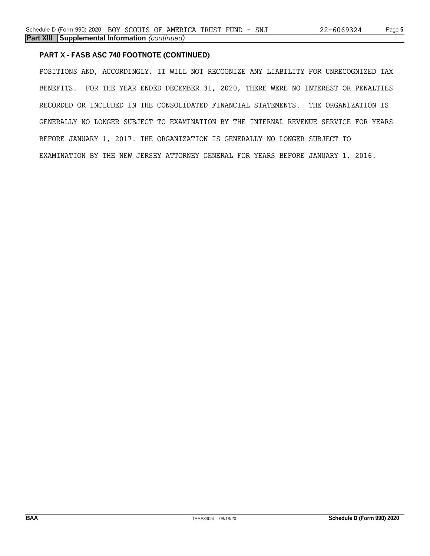### **PART X - FASB ASC 740 FOOTNOTE (CONTINUED)**

POSITIONS AND, ACCORDINGLY, IT WILL NOT RECOGNIZE ANY LIABILITY FOR UNRECOGNIZED TAX BENEFITS. FOR THE YEAR ENDED DECEMBER 31, 2020, THERE WERE NO INTEREST OR PENALTIES RECORDED OR INCLUDED IN THE CONSOLIDATED FINANCIAL STATEMENTS. THE ORGANIZATION IS GENERALLY NO LONGER SUBJECT TO EXAMINATION BY THE INTERNAL REVENUE SERVICE FOR YEARS BEFORE JANUARY 1, 2017. THE ORGANIZATION IS GENERALLY NO LONGER SUBJECT TO EXAMINATION BY THE NEW JERSEY ATTORNEY GENERAL FOR YEARS BEFORE JANUARY 1, 2016.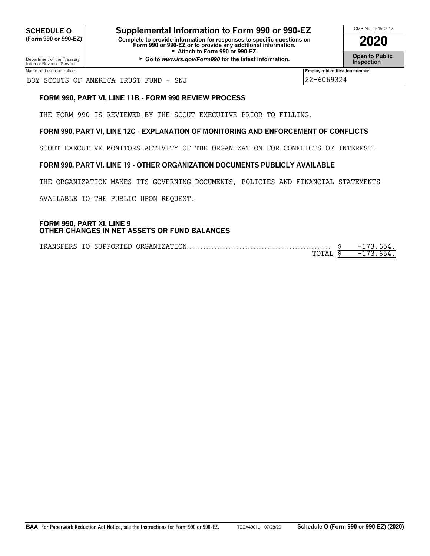**CHEDULE O** Supplemental Information to Form 990 or 990-EZ<br>
Form 990 or 990-EZ) Complete to provide information for responses to specific questions on **(Form 990 or 990-EZ) Complete to provide information for responses to specific questions on Form 990 or 990-EZ or to provide any additional information. 2020** Attach to Form 990 or 990-EZ.

**Open to Public Department of the Treasury Go to** *Public* **Department of the latest information.<br>■ Co to** *www.irs.gov/Form990* **for the latest information.** 

Department of the Treasury<br>Internal Revenue Service

### BOY SCOUTS OF AMERICA TRUST FUND - SNJ 22-6069324

### **FORM 990, PART VI, LINE 11B - FORM 990 REVIEW PROCESS**

THE FORM 990 IS REVIEWED BY THE SCOUT EXECUTIVE PRIOR TO FILLING.

### **FORM 990, PART VI, LINE 12C - EXPLANATION OF MONITORING AND ENFORCEMENT OF CONFLICTS**

SCOUT EXECUTIVE MONITORS ACTIVITY OF THE ORGANIZATION FOR CONFLICTS OF INTEREST.

### **FORM 990, PART VI, LINE 19 - OTHER ORGANIZATION DOCUMENTS PUBLICLY AVAILABLE**

THE ORGANIZATION MAKES ITS GOVERNING DOCUMENTS, POLICIES AND FINANCIAL STATEMENTS

AVAILABLE TO THE PUBLIC UPON REQUEST.

### **FORM 990, PART XI, LINE 9 OTHER CHANGES IN NET ASSETS OR FUND BALANCES**

|  | TRANSFERS TO SUPPORTED ORGANIZATION | $-1$ |
|--|-------------------------------------|------|
|  | ™∩™™™™™™™™™™™™™                     | $-1$ |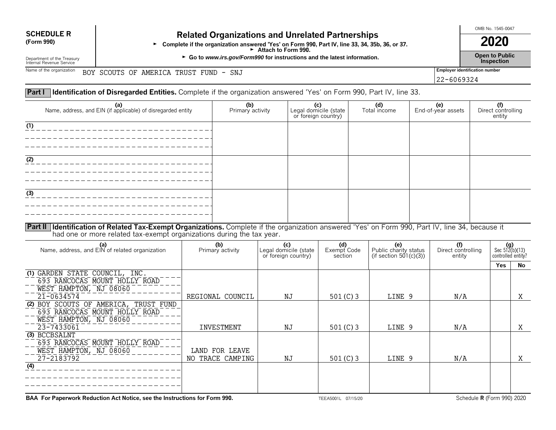# **SCHEDULE R Related Organizations and Unrelated Partnerships**<br>(Form 990) **Related Organization answered 'Yes' on Form 990, Part IV, line 33, 34, 35h**

Form 990)<br>Form 990, Part IV, line 33, 34, 35b, 36, or 37.<br>Attach to Form 990.

► Go to *www.irs.gov/Form990* for instructions and the latest information. <br>Inspection

OMB No. 1545-0047

22-6069324

Department of the Treasury<br>Internal Revenue Service

Name of the organization **BOY SCOUTS OF AMERICA TRUST FUND - SNJ Employer identification number** 

### **Part I Identification of Disregarded Entities.** Complete if the organization answered 'Yes' on Form 990, Part IV, line 33.

| (a)<br>Name, address, and EIN (if applicable) of disregarded entity                                                                                                                                                          |                         | (b)<br>Primary activity            |                                                     | (c)<br>Legal domicile (state<br>or foreign country) |                               |  | (d)<br>Total income                                    |                                     | (e)<br>End-of-year assets | (f)<br>Direct controlling<br>entity |                                                            |        |
|------------------------------------------------------------------------------------------------------------------------------------------------------------------------------------------------------------------------------|-------------------------|------------------------------------|-----------------------------------------------------|-----------------------------------------------------|-------------------------------|--|--------------------------------------------------------|-------------------------------------|---------------------------|-------------------------------------|------------------------------------------------------------|--------|
| (1)                                                                                                                                                                                                                          |                         |                                    |                                                     |                                                     |                               |  |                                                        |                                     |                           |                                     |                                                            |        |
|                                                                                                                                                                                                                              |                         |                                    |                                                     |                                                     |                               |  |                                                        |                                     |                           |                                     |                                                            |        |
| (3)                                                                                                                                                                                                                          |                         |                                    |                                                     |                                                     |                               |  |                                                        |                                     |                           |                                     |                                                            |        |
|                                                                                                                                                                                                                              |                         |                                    |                                                     |                                                     |                               |  |                                                        |                                     |                           |                                     |                                                            |        |
| Part II   Identification of Related Tax-Exempt Organizations. Complete if the organization answered 'Yes' on Form 990, Part IV, line 34, because it<br>had one or more related tax-exempt organizations during the tax year. |                         |                                    |                                                     |                                                     |                               |  |                                                        |                                     |                           |                                     |                                                            |        |
| (a)<br>Name, address, and EIN of related organization                                                                                                                                                                        | (b)<br>Primary activity |                                    | (c)<br>Legal domicile (state<br>or foreign country) |                                                     | (d)<br>Exempt Code<br>section |  | (e)<br>Public charity status<br>(if section 501(c)(3)) | (f)<br>Direct controlling<br>entity |                           |                                     | $(g)$<br>Sec 512(b)(13)<br>controlled entity?<br>Yes<br>No |        |
| (1) GARDEN STATE COUNCIL, INC.<br>693 RANCOCAS MOUNT HOLLY ROAD<br>WEST HAMPTON, NJ 08060                                                                                                                                    |                         |                                    | NJ                                                  |                                                     | 501 $(C)$ 3                   |  |                                                        |                                     |                           |                                     |                                                            |        |
| $\frac{1}{21} - \frac{1}{0634574}$<br>(2) BOY SCOUTS OF AMERICA, TRUST FUND<br>693 RANCOCAS MOUNT HOLLY ROAD<br>WEST HAMPTON, NJ 08060                                                                                       |                         | REGIONAL COUNCIL<br>INVESTMENT     |                                                     |                                                     |                               |  | LINE 9                                                 |                                     | N/A                       |                                     |                                                            | X      |
| $\overline{23} - \overline{7433061}$<br>(3) BCCBSALNT<br>693 RANCOCAS MOUNT HOLLY ROAD<br>WEST HAMPTON, NJ 08060<br>$\overline{27} - 2183792$                                                                                |                         | LAND FOR LEAVE<br>NO TRACE CAMPING |                                                     | NJ<br>NJ                                            | 501 $(C)$ 3<br>501 $(C)$ 3    |  | LINE 9<br>LINE 9                                       |                                     | N/A<br>N/A                |                                     |                                                            | X<br>X |
| $\overline{(4)}$                                                                                                                                                                                                             |                         |                                    |                                                     |                                                     |                               |  |                                                        |                                     |                           |                                     |                                                            |        |

**BAA For Paperwork Reduction Act Notice, see the Instructions for Form 990.** TEEA5001L 07/15/20 TEEA5001L 07/15/20 Schedule **R** (Form 990) 2020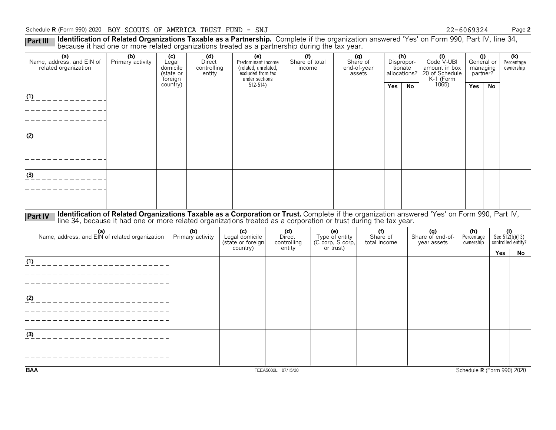### Schedule **R** (Form 990) 2020 BOY SCOUTS OF AMERICA TRUST FUND - SNJ 22-6069324 Page 2

Part III I **Identification of Related Organizations Taxable as a Partnership.** Complete if the organization answered 'Yes' on Form 990, Part IV, line 34,<br>because it had one or more related organizations treated as a partne

| (a)<br>Name, address, and EIN of<br>related organization | (b)<br>Primary activity                                                                                                                      | (c)<br>Legal<br>domicile<br>(state or<br>foreign | (d)<br>Direct<br>controlling<br>entity |  | (e)<br>Predominant income<br>(related, unrelated,<br>excluded from tax<br>under sections |                    | (f)<br>Share of total<br>income |  |                                           | (g)<br>Share of<br>end-of-year<br>assets | (h)<br>Dispropor-<br>tionate<br>allocations? |           | (i)<br>Code V-UBI<br>amount in box<br>20 of Schedule<br>K-1 (Form | managing<br>partner? | (j)<br>General or | (k)<br>Percentage<br>ownership                |
|----------------------------------------------------------|----------------------------------------------------------------------------------------------------------------------------------------------|--------------------------------------------------|----------------------------------------|--|------------------------------------------------------------------------------------------|--------------------|---------------------------------|--|-------------------------------------------|------------------------------------------|----------------------------------------------|-----------|-------------------------------------------------------------------|----------------------|-------------------|-----------------------------------------------|
|                                                          |                                                                                                                                              | country)                                         |                                        |  | $512 - 514$                                                                              |                    |                                 |  |                                           |                                          | Yes                                          | <b>No</b> | 1065)                                                             | Yes                  | <b>No</b>         |                                               |
| $\frac{(1)}{(1)}$ _ _ _ _ _ _ _ _ _ _ _ _ _              |                                                                                                                                              |                                                  |                                        |  |                                                                                          |                    |                                 |  |                                           |                                          |                                              |           |                                                                   |                      |                   |                                               |
|                                                          |                                                                                                                                              |                                                  |                                        |  |                                                                                          |                    |                                 |  |                                           |                                          |                                              |           |                                                                   |                      |                   |                                               |
|                                                          |                                                                                                                                              |                                                  |                                        |  |                                                                                          |                    |                                 |  |                                           |                                          |                                              |           |                                                                   |                      |                   |                                               |
| $(2)$ _ _ _ _ _ _ _ _ _ _ _ _                            |                                                                                                                                              |                                                  |                                        |  |                                                                                          |                    |                                 |  |                                           |                                          |                                              |           |                                                                   |                      |                   |                                               |
|                                                          |                                                                                                                                              |                                                  |                                        |  |                                                                                          |                    |                                 |  |                                           |                                          |                                              |           |                                                                   |                      |                   |                                               |
|                                                          |                                                                                                                                              |                                                  |                                        |  |                                                                                          |                    |                                 |  |                                           |                                          |                                              |           |                                                                   |                      |                   |                                               |
|                                                          |                                                                                                                                              |                                                  |                                        |  |                                                                                          |                    |                                 |  |                                           |                                          |                                              |           |                                                                   |                      |                   |                                               |
| (3)                                                      |                                                                                                                                              |                                                  |                                        |  |                                                                                          |                    |                                 |  |                                           |                                          |                                              |           |                                                                   |                      |                   |                                               |
|                                                          |                                                                                                                                              |                                                  |                                        |  |                                                                                          |                    |                                 |  |                                           |                                          |                                              |           |                                                                   |                      |                   |                                               |
|                                                          |                                                                                                                                              |                                                  |                                        |  |                                                                                          |                    |                                 |  |                                           |                                          |                                              |           |                                                                   |                      |                   |                                               |
| <b>Part IV</b>                                           | Identification of Related Organizations Taxable as a Corporation or Trust. Complete if the organization answered 'Yes' on Form 990, Part IV, |                                                  |                                        |  |                                                                                          |                    |                                 |  |                                           |                                          |                                              |           |                                                                   |                      |                   |                                               |
|                                                          | line 34, because it had one or more related organizations treated as a corporation or trust during the tax year.                             |                                                  |                                        |  |                                                                                          |                    |                                 |  |                                           |                                          |                                              |           |                                                                   |                      |                   |                                               |
| (a)<br>Name, address, and EIN of related organization    |                                                                                                                                              |                                                  | (b)<br>Primary activity                |  | (c)<br>Legal domicile                                                                    |                    | (d)<br>Direct                   |  | (e)<br>Type of entity<br>(C corp, S corp, | (f)<br>Share of                          |                                              |           | (g)<br>Share of end-of-                                           | (h)<br>Percentage    |                   | (i)<br>Sec $5!2(b)(13)$<br>controlled entity? |
|                                                          |                                                                                                                                              |                                                  |                                        |  | (state or foreign<br>country)                                                            |                    | controlling<br>entity           |  | or trust)                                 | total income                             |                                              |           | year assets                                                       | ownership            |                   | Yes<br>No                                     |
| (1)<br>_______________________                           |                                                                                                                                              |                                                  |                                        |  |                                                                                          |                    |                                 |  |                                           |                                          |                                              |           |                                                                   |                      |                   |                                               |
|                                                          |                                                                                                                                              |                                                  |                                        |  |                                                                                          |                    |                                 |  |                                           |                                          |                                              |           |                                                                   |                      |                   |                                               |
|                                                          |                                                                                                                                              |                                                  |                                        |  |                                                                                          |                    |                                 |  |                                           |                                          |                                              |           |                                                                   |                      |                   |                                               |
| (2)                                                      |                                                                                                                                              |                                                  |                                        |  |                                                                                          |                    |                                 |  |                                           |                                          |                                              |           |                                                                   |                      |                   |                                               |
|                                                          |                                                                                                                                              |                                                  |                                        |  |                                                                                          |                    |                                 |  |                                           |                                          |                                              |           |                                                                   |                      |                   |                                               |
|                                                          |                                                                                                                                              |                                                  |                                        |  |                                                                                          |                    |                                 |  |                                           |                                          |                                              |           |                                                                   |                      |                   |                                               |
|                                                          |                                                                                                                                              |                                                  |                                        |  |                                                                                          |                    |                                 |  |                                           |                                          |                                              |           |                                                                   |                      |                   |                                               |
| (3)                                                      |                                                                                                                                              |                                                  |                                        |  |                                                                                          |                    |                                 |  |                                           |                                          |                                              |           |                                                                   |                      |                   |                                               |
|                                                          |                                                                                                                                              |                                                  |                                        |  |                                                                                          |                    |                                 |  |                                           |                                          |                                              |           |                                                                   |                      |                   |                                               |
|                                                          |                                                                                                                                              |                                                  |                                        |  |                                                                                          |                    |                                 |  |                                           |                                          |                                              |           |                                                                   |                      |                   |                                               |
| <b>BAA</b>                                               |                                                                                                                                              |                                                  |                                        |  |                                                                                          | TEEA5002L 07/15/20 |                                 |  |                                           |                                          |                                              |           |                                                                   |                      |                   | Schedule R (Form 990) 2020                    |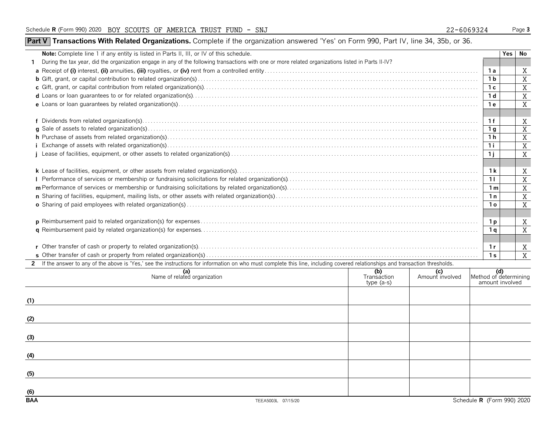## **Part V** Transactions With Related Organizations. Complete if the organization answered 'Yes' on Form 990, Part IV, line 34, 35b, or 36.

|                | Yes | No                                              |
|----------------|-----|-------------------------------------------------|
|                |     |                                                 |
| 1 a            |     | X                                               |
| 1 b            |     | X                                               |
| 1 с            |     | X                                               |
| 1 d            |     | X                                               |
| 1 e            |     | X                                               |
|                |     |                                                 |
| 1 f            |     | X                                               |
| 1 g            |     | $\overline{X}$                                  |
| 1 h            |     | X                                               |
| 1i             |     | $\mathbf X$                                     |
| 1j             |     | $\mathbf X$                                     |
|                |     |                                                 |
| 1 k            |     | X                                               |
| 11             |     | X                                               |
| 1 m            |     | X                                               |
| 1n             |     | $\mathbf X$                                     |
| 1ο             |     | X                                               |
|                |     |                                                 |
|                |     | X                                               |
| 1 a            |     | X                                               |
|                |     |                                                 |
| 1r             |     | X                                               |
| 1 <sub>S</sub> |     | X                                               |
|                |     |                                                 |
|                |     |                                                 |
|                |     |                                                 |
|                |     |                                                 |
|                |     |                                                 |
|                |     |                                                 |
|                |     |                                                 |
|                |     |                                                 |
|                |     |                                                 |
|                |     |                                                 |
|                |     |                                                 |
|                |     |                                                 |
|                |     |                                                 |
|                |     |                                                 |
|                | 1 p | (d)<br>Method of determining<br>amount involved |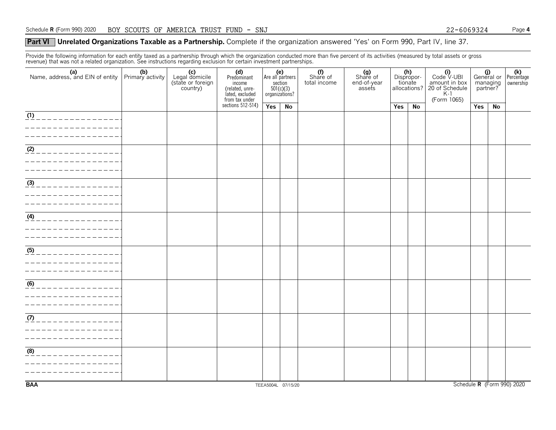### **Part VI** Unrelated Organizations Taxable as a Partnership. Complete if the organization answered 'Yes' on Form 990, Part IV, line 37.

Provide the following information for each entity taxed as a partnership through which the organization conducted more than five percent of its activities (measured by total assets or gross revenue) that was not a related organization. See instructions regarding exclusion for certain investment partnerships.

|                                                                                                                                                                                                                                                                                                                                                                                                                                                        | (c)<br>Legal domicile<br>(state or foreign<br>country) | (d)<br>Predominant<br>income<br>(related, unre-<br>lated, excluded | (e)<br>Are all partners<br>$\frac{\text{section}}{501(c)(3)}$<br>organizations? |    | Share of<br>total income | (g)<br>Share of<br>end-of-year<br>assets | (h)<br>Dispropor-<br>tionate<br>allocations? |    | $(i)$<br>Code $\vee$ UBI<br>amount in box<br>20 of Schedule<br>K-1<br>(Form 1065) | (i)<br>General or Percentage<br>managing<br>partner? |    | ownership                  |
|--------------------------------------------------------------------------------------------------------------------------------------------------------------------------------------------------------------------------------------------------------------------------------------------------------------------------------------------------------------------------------------------------------------------------------------------------------|--------------------------------------------------------|--------------------------------------------------------------------|---------------------------------------------------------------------------------|----|--------------------------|------------------------------------------|----------------------------------------------|----|-----------------------------------------------------------------------------------|------------------------------------------------------|----|----------------------------|
|                                                                                                                                                                                                                                                                                                                                                                                                                                                        |                                                        | from tax under<br>sections 512-514)                                | Yes                                                                             | No |                          |                                          | Yes                                          | No |                                                                                   | Yes                                                  | No |                            |
| $\boxed{ \frac{1}{12} \frac{1}{2} \frac{1}{2} \frac{1}{2} \frac{1}{2} \frac{1}{2} \frac{1}{2} \frac{1}{2} \frac{1}{2} \frac{1}{2} \frac{1}{2} \frac{1}{2} \frac{1}{2} \frac{1}{2} \frac{1}{2} \frac{1}{2} \frac{1}{2} \frac{1}{2} \frac{1}{2} \frac{1}{2} \frac{1}{2} \frac{1}{2} \frac{1}{2} \frac{1}{2} \frac{1}{2} \frac{1}{2} \frac{1}{2} \frac{1}{2} \frac{1}{2} \frac{1}{2} \frac{1}{2$<br>----------------<br>_ _ _ _ _ _ _ _ _ _ _ _ _ _ _ _ _ |                                                        |                                                                    |                                                                                 |    |                          |                                          |                                              |    |                                                                                   |                                                      |    |                            |
| <u>(2) _ _ _ _ _ _ _ _ _ _ _ _ _ _ _</u>                                                                                                                                                                                                                                                                                                                                                                                                               |                                                        |                                                                    |                                                                                 |    |                          |                                          |                                              |    |                                                                                   |                                                      |    |                            |
| $\frac{(3)}{2}$<br>. _ _ _ _ _ _ _ _ _ _ _ _ _ _ _                                                                                                                                                                                                                                                                                                                                                                                                     |                                                        |                                                                    |                                                                                 |    |                          |                                          |                                              |    |                                                                                   |                                                      |    |                            |
| $(4)$ _ _ _ _ _ _ _ _ _ _ _ _ _ _ _ _                                                                                                                                                                                                                                                                                                                                                                                                                  |                                                        |                                                                    |                                                                                 |    |                          |                                          |                                              |    |                                                                                   |                                                      |    |                            |
| (5)<br>. _ _ _ _ _ _ _ _ _ _ _ _ _ _                                                                                                                                                                                                                                                                                                                                                                                                                   |                                                        |                                                                    |                                                                                 |    |                          |                                          |                                              |    |                                                                                   |                                                      |    |                            |
| <u>____________________</u><br>_ _ _ _ _ _ _ _ _ _ _ _ _ _ _ _ _                                                                                                                                                                                                                                                                                                                                                                                       |                                                        |                                                                    |                                                                                 |    |                          |                                          |                                              |    |                                                                                   |                                                      |    |                            |
| $\frac{1}{\left(\frac{7}{2}\right)^2}$<br>-----------------                                                                                                                                                                                                                                                                                                                                                                                            |                                                        |                                                                    |                                                                                 |    |                          |                                          |                                              |    |                                                                                   |                                                      |    |                            |
| (8)<br>______________                                                                                                                                                                                                                                                                                                                                                                                                                                  |                                                        |                                                                    |                                                                                 |    |                          |                                          |                                              |    |                                                                                   |                                                      |    |                            |
| <b>BAA</b>                                                                                                                                                                                                                                                                                                                                                                                                                                             |                                                        |                                                                    | TEEA5004L 07/15/20                                                              |    |                          |                                          |                                              |    |                                                                                   |                                                      |    | Schedule R (Form 990) 2020 |